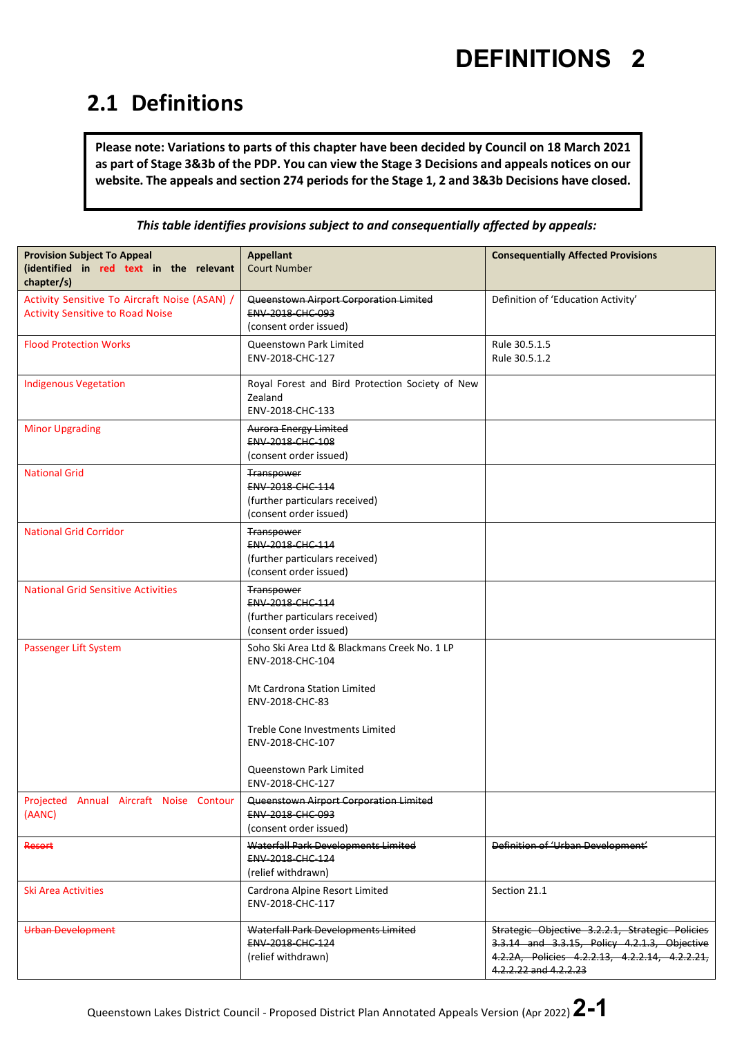#### **2.1 Definitions**

**Please note: Variations to parts of this chapter have been decided by Council on 18 March 2021 as part of Stage 3&3b of the PDP. You can view the Stage 3 Decisions and appeals notices on our website. The appeals and section 274 periods for the Stage 1, 2 and 3&3b Decisions have closed.**

*This table identifies provisions subject to and consequentially affected by appeals:*

| <b>Provision Subject To Appeal</b><br>(identified in red text in the relevant<br>chapter/s) | <b>Appellant</b><br><b>Court Number</b>                                                     | <b>Consequentially Affected Provisions</b>                                                                                                                                 |
|---------------------------------------------------------------------------------------------|---------------------------------------------------------------------------------------------|----------------------------------------------------------------------------------------------------------------------------------------------------------------------------|
| Activity Sensitive To Aircraft Noise (ASAN) /<br><b>Activity Sensitive to Road Noise</b>    | Queenstown Airport Corporation Limited<br><b>ENV 2018 CHC 093</b><br>(consent order issued) | Definition of 'Education Activity'                                                                                                                                         |
| <b>Flood Protection Works</b>                                                               | Queenstown Park Limited<br>ENV-2018-CHC-127                                                 | Rule 30.5.1.5<br>Rule 30.5.1.2                                                                                                                                             |
| <b>Indigenous Vegetation</b>                                                                | Royal Forest and Bird Protection Society of New<br>Zealand<br>ENV-2018-CHC-133              |                                                                                                                                                                            |
| <b>Minor Upgrading</b>                                                                      | <b>Aurora Energy Limited</b><br><b>ENV 2018 CHC 108</b><br>(consent order issued)           |                                                                                                                                                                            |
| <b>National Grid</b>                                                                        | Transpower<br>ENV-2018-CHC-114<br>(further particulars received)<br>(consent order issued)  |                                                                                                                                                                            |
| <b>National Grid Corridor</b>                                                               | Transpower<br>ENV-2018-CHC-114<br>(further particulars received)<br>(consent order issued)  |                                                                                                                                                                            |
| <b>National Grid Sensitive Activities</b>                                                   | Transpower<br>ENV-2018-CHC-114<br>(further particulars received)<br>(consent order issued)  |                                                                                                                                                                            |
| Passenger Lift System                                                                       | Soho Ski Area Ltd & Blackmans Creek No. 1 LP<br>ENV-2018-CHC-104                            |                                                                                                                                                                            |
|                                                                                             | Mt Cardrona Station Limited<br>ENV-2018-CHC-83                                              |                                                                                                                                                                            |
|                                                                                             | Treble Cone Investments Limited<br>ENV-2018-CHC-107                                         |                                                                                                                                                                            |
|                                                                                             | Queenstown Park Limited<br>ENV-2018-CHC-127                                                 |                                                                                                                                                                            |
| Projected Annual Aircraft Noise Contour<br>(AANC)                                           | Queenstown Airport Corporation Limited<br>ENV-2018-CHC-093<br>(consent order issued)        |                                                                                                                                                                            |
| Resort                                                                                      | Waterfall Park Developments Limited<br><b>ENV 2018 CHC 124</b><br>(relief withdrawn)        | Definition of 'Urban Development'                                                                                                                                          |
| Ski Area Activities                                                                         | Cardrona Alpine Resort Limited<br>ENV-2018-CHC-117                                          | Section 21.1                                                                                                                                                               |
| Urban Development                                                                           | Waterfall Park Developments Limited<br>ENV-2018-CHC-124<br>(relief withdrawn)               | Strategic Objective 3.2.2.1, Strategic Policies<br>3.3.14 and 3.3.15, Policy 4.2.1.3, Objective<br>4.2.2A, Policies 4.2.2.13, 4.2.2.14, 4.2.2.21,<br>4.2.2.22 and 4.2.2.23 |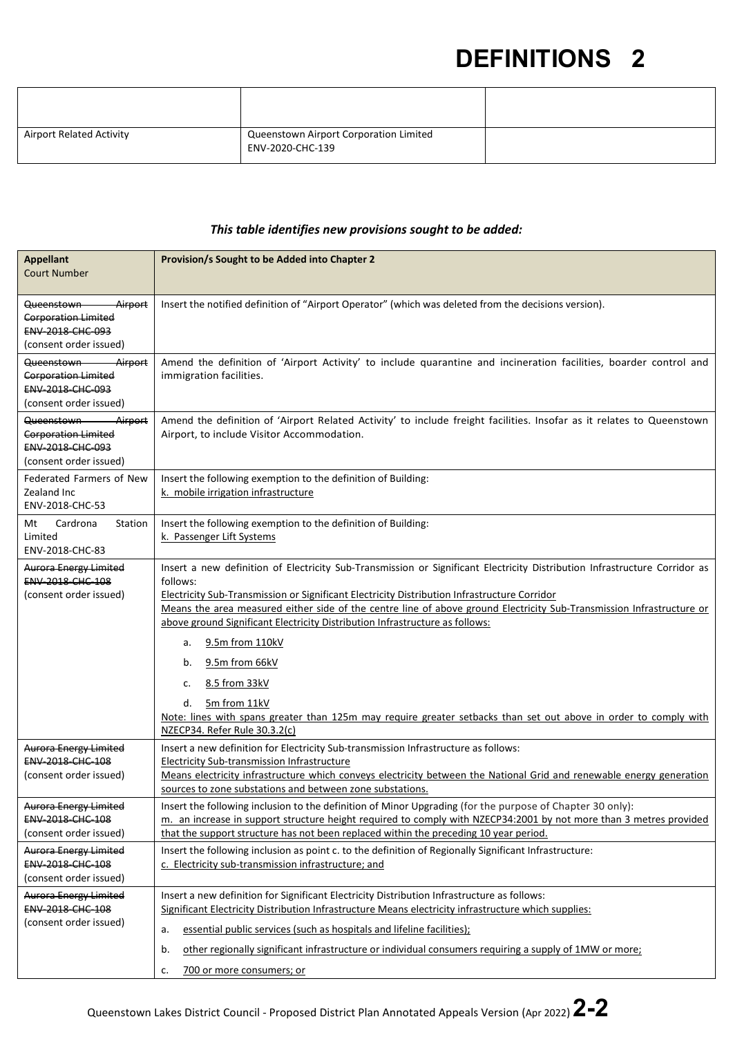| <b>Airport Related Activity</b> | Queenstown Airport Corporation Limited<br>ENV-2020-CHC-139 |  |
|---------------------------------|------------------------------------------------------------|--|

#### *This table identifies new provisions sought to be added:*

| <b>Appellant</b><br><b>Court Number</b>                                                                       | Provision/s Sought to be Added into Chapter 2                                                                                                                                                                                                                                                                                                                                                                                                                                                                                                                                                                                                                     |
|---------------------------------------------------------------------------------------------------------------|-------------------------------------------------------------------------------------------------------------------------------------------------------------------------------------------------------------------------------------------------------------------------------------------------------------------------------------------------------------------------------------------------------------------------------------------------------------------------------------------------------------------------------------------------------------------------------------------------------------------------------------------------------------------|
| Airport<br>Queenstown<br><b>Corporation Limited</b><br>ENV-2018-CHC-093<br>(consent order issued)             | Insert the notified definition of "Airport Operator" (which was deleted from the decisions version).                                                                                                                                                                                                                                                                                                                                                                                                                                                                                                                                                              |
| Queenstown-<br><b>Airport</b><br><b>Corporation Limited</b><br>ENV-2018-CHC-093<br>(consent order issued)     | Amend the definition of 'Airport Activity' to include quarantine and incineration facilities, boarder control and<br>immigration facilities.                                                                                                                                                                                                                                                                                                                                                                                                                                                                                                                      |
| Queenstown-<br><del>Airport</del><br><b>Corporation Limited</b><br>ENV-2018-CHC-093<br>(consent order issued) | Amend the definition of 'Airport Related Activity' to include freight facilities. Insofar as it relates to Queenstown<br>Airport, to include Visitor Accommodation.                                                                                                                                                                                                                                                                                                                                                                                                                                                                                               |
| Federated Farmers of New<br>Zealand Inc<br>ENV-2018-CHC-53                                                    | Insert the following exemption to the definition of Building:<br>k. mobile irrigation infrastructure                                                                                                                                                                                                                                                                                                                                                                                                                                                                                                                                                              |
| Cardrona<br>Station<br>Mt<br>Limited<br>ENV-2018-CHC-83                                                       | Insert the following exemption to the definition of Building:<br>k. Passenger Lift Systems                                                                                                                                                                                                                                                                                                                                                                                                                                                                                                                                                                        |
| <b>Aurora Energy Limited</b><br><b>ENV 2018 CHC 108</b><br>(consent order issued)                             | Insert a new definition of Electricity Sub-Transmission or Significant Electricity Distribution Infrastructure Corridor as<br>follows:<br>Electricity Sub-Transmission or Significant Electricity Distribution Infrastructure Corridor<br>Means the area measured either side of the centre line of above ground Electricity Sub-Transmission Infrastructure or<br>above ground Significant Electricity Distribution Infrastructure as follows:<br>9.5m from 110kV<br>a.<br>9.5m from 66kV<br>b.<br>8.5 from 33kV<br>c.<br>5m from 11kV<br>d.<br>Note: lines with spans greater than 125m may require greater setbacks than set out above in order to comply with |
| <b>Aurora Energy Limited</b><br>ENV-2018-CHC-108<br>(consent order issued)                                    | NZECP34. Refer Rule 30.3.2(c)<br>Insert a new definition for Electricity Sub-transmission Infrastructure as follows:<br>Electricity Sub-transmission Infrastructure<br>Means electricity infrastructure which conveys electricity between the National Grid and renewable energy generation<br>sources to zone substations and between zone substations.                                                                                                                                                                                                                                                                                                          |
| <b>Aurora Energy Limited</b><br>ENV-2018-CHC-108<br>(consent order issued)                                    | Insert the following inclusion to the definition of Minor Upgrading (for the purpose of Chapter 30 only):<br>m. an increase in support structure height required to comply with NZECP34:2001 by not more than 3 metres provided<br>that the support structure has not been replaced within the preceding 10 year period.                                                                                                                                                                                                                                                                                                                                          |
| <b>Aurora Energy Limited</b><br>ENV-2018-CHC-108<br>(consent order issued)                                    | Insert the following inclusion as point c. to the definition of Regionally Significant Infrastructure:<br>c. Electricity sub-transmission infrastructure; and                                                                                                                                                                                                                                                                                                                                                                                                                                                                                                     |
| <b>Aurora Energy Limited</b><br>ENV-2018-CHC-108<br>(consent order issued)                                    | Insert a new definition for Significant Electricity Distribution Infrastructure as follows:<br>Significant Electricity Distribution Infrastructure Means electricity infrastructure which supplies:<br>essential public services (such as hospitals and lifeline facilities);<br>a.<br>other regionally significant infrastructure or individual consumers requiring a supply of 1MW or more;<br>b.<br>700 or more consumers; or<br>c.                                                                                                                                                                                                                            |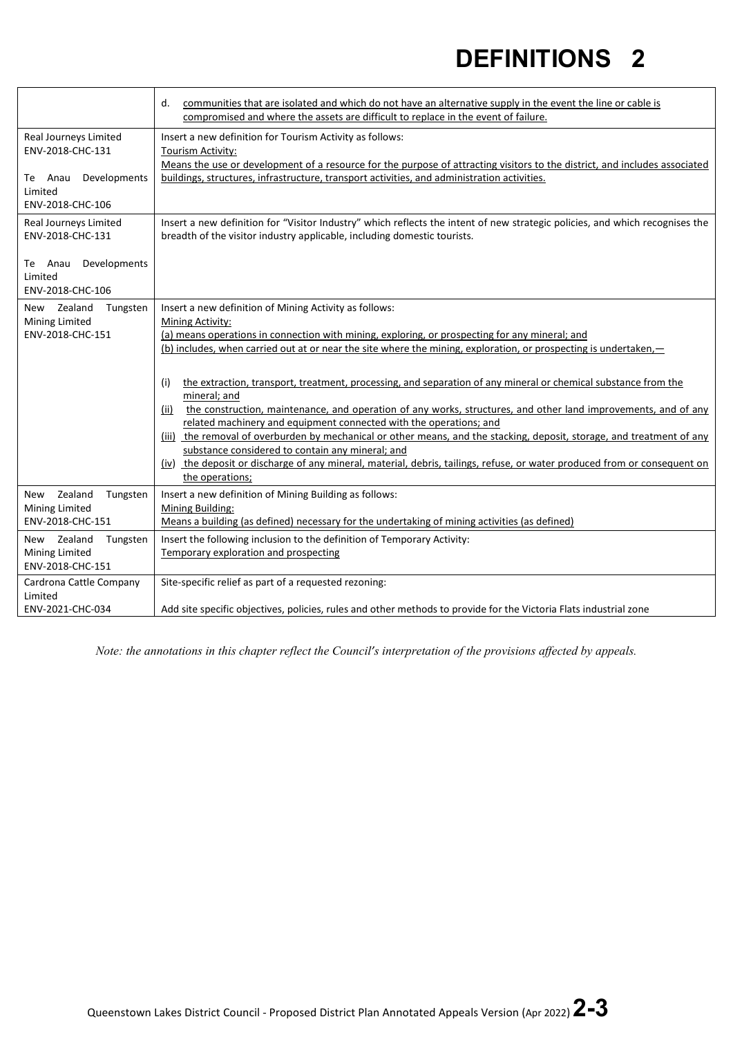|                                                     | communities that are isolated and which do not have an alternative supply in the event the line or cable is<br>d.<br>compromised and where the assets are difficult to replace in the event of failure.     |
|-----------------------------------------------------|-------------------------------------------------------------------------------------------------------------------------------------------------------------------------------------------------------------|
| Real Journeys Limited<br>ENV-2018-CHC-131           | Insert a new definition for Tourism Activity as follows:<br>Tourism Activity:<br>Means the use or development of a resource for the purpose of attracting visitors to the district, and includes associated |
| Te Anau Developments<br>Limited<br>ENV-2018-CHC-106 | buildings, structures, infrastructure, transport activities, and administration activities.                                                                                                                 |
| Real Journeys Limited<br>ENV-2018-CHC-131           | Insert a new definition for "Visitor Industry" which reflects the intent of new strategic policies, and which recognises the<br>breadth of the visitor industry applicable, including domestic tourists.    |
| Te Anau Developments<br>Limited<br>ENV-2018-CHC-106 |                                                                                                                                                                                                             |
| New Zealand<br>Tungsten                             | Insert a new definition of Mining Activity as follows:                                                                                                                                                      |
| <b>Mining Limited</b><br>ENV-2018-CHC-151           | Mining Activity:<br>(a) means operations in connection with mining, exploring, or prospecting for any mineral; and                                                                                          |
|                                                     | (b) includes, when carried out at or near the site where the mining, exploration, or prospecting is undertaken,                                                                                             |
|                                                     |                                                                                                                                                                                                             |
|                                                     | the extraction, transport, treatment, processing, and separation of any mineral or chemical substance from the<br>(i)<br>mineral; and                                                                       |
|                                                     | the construction, maintenance, and operation of any works, structures, and other land improvements, and of any<br>(ii)                                                                                      |
|                                                     | related machinery and equipment connected with the operations; and<br>(iii) the removal of overburden by mechanical or other means, and the stacking, deposit, storage, and treatment of any                |
|                                                     | substance considered to contain any mineral; and                                                                                                                                                            |
|                                                     | (iv) the deposit or discharge of any mineral, material, debris, tailings, refuse, or water produced from or consequent on                                                                                   |
|                                                     | the operations;                                                                                                                                                                                             |
| Zealand<br>Tungsten<br>New<br>Mining Limited        | Insert a new definition of Mining Building as follows:<br>Mining Building:                                                                                                                                  |
| ENV-2018-CHC-151                                    | Means a building (as defined) necessary for the undertaking of mining activities (as defined)                                                                                                               |
| New Zealand<br>Tungsten                             | Insert the following inclusion to the definition of Temporary Activity:                                                                                                                                     |
| <b>Mining Limited</b><br>ENV-2018-CHC-151           | Temporary exploration and prospecting                                                                                                                                                                       |
| Cardrona Cattle Company                             | Site-specific relief as part of a requested rezoning:                                                                                                                                                       |
| Limited<br>ENV-2021-CHC-034                         | Add site specific objectives, policies, rules and other methods to provide for the Victoria Flats industrial zone                                                                                           |
|                                                     |                                                                                                                                                                                                             |

*Note: the annotations in this chapter reflect the Council's interpretation of the provisions affected by appeals.*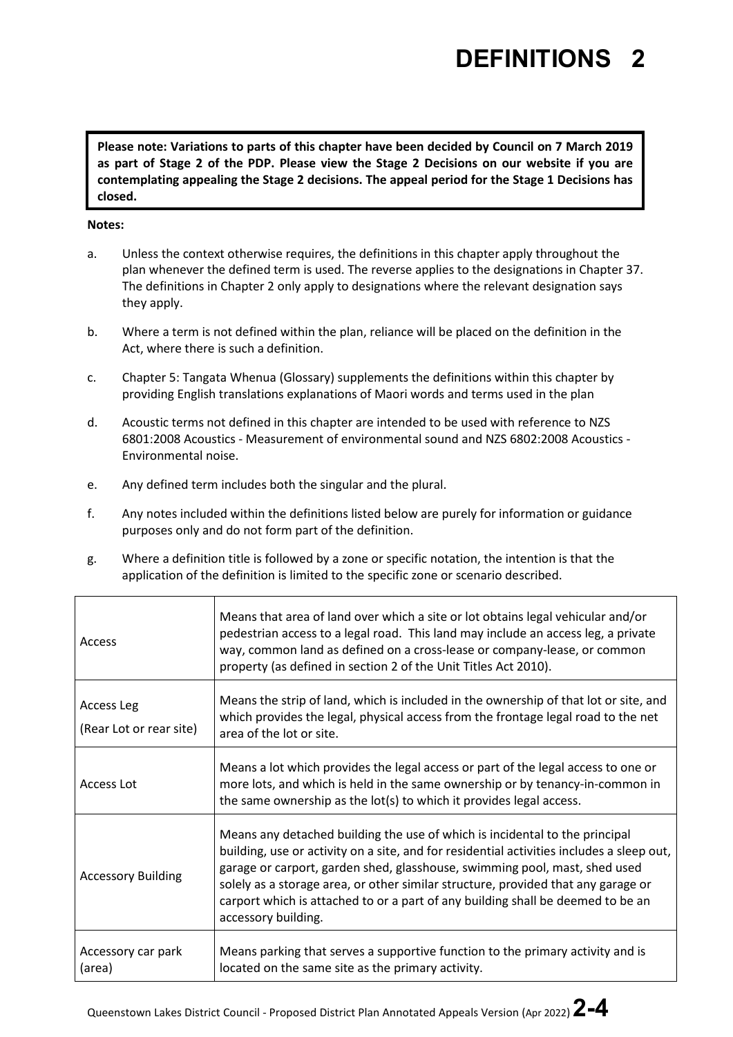**Please note: Variations to parts of this chapter have been decided by Council on 7 March 2019 as part of Stage 2 of the PDP. Please view the Stage 2 Decisions on our website if you are contemplating appealing the Stage 2 decisions. The appeal period for the Stage 1 Decisions has closed.**

#### **Notes:**

- a. Unless the context otherwise requires, the definitions in this chapter apply throughout the plan whenever the defined term is used. The reverse applies to the designations in Chapter 37. The definitions in Chapter 2 only apply to designations where the relevant designation says they apply.
- b. Where a term is not defined within the plan, reliance will be placed on the definition in the Act, where there is such a definition.
- c. Chapter 5: Tangata Whenua (Glossary) supplements the definitions within this chapter by providing English translations explanations of Maori words and terms used in the plan
- d. Acoustic terms not defined in this chapter are intended to be used with reference to NZS 6801:2008 Acoustics - Measurement of environmental sound and NZS 6802:2008 Acoustics - Environmental noise.
- e. Any defined term includes both the singular and the plural.
- f. Any notes included within the definitions listed below are purely for information or guidance purposes only and do not form part of the definition.
- g. Where a definition title is followed by a zone or specific notation, the intention is that the application of the definition is limited to the specific zone or scenario described.

| Access                                | Means that area of land over which a site or lot obtains legal vehicular and/or<br>pedestrian access to a legal road. This land may include an access leg, a private<br>way, common land as defined on a cross-lease or company-lease, or common<br>property (as defined in section 2 of the Unit Titles Act 2010).                                                                                                                                   |
|---------------------------------------|-------------------------------------------------------------------------------------------------------------------------------------------------------------------------------------------------------------------------------------------------------------------------------------------------------------------------------------------------------------------------------------------------------------------------------------------------------|
| Access Leg<br>(Rear Lot or rear site) | Means the strip of land, which is included in the ownership of that lot or site, and<br>which provides the legal, physical access from the frontage legal road to the net<br>area of the lot or site.                                                                                                                                                                                                                                                 |
| Access Lot                            | Means a lot which provides the legal access or part of the legal access to one or<br>more lots, and which is held in the same ownership or by tenancy-in-common in<br>the same ownership as the lot(s) to which it provides legal access.                                                                                                                                                                                                             |
| <b>Accessory Building</b>             | Means any detached building the use of which is incidental to the principal<br>building, use or activity on a site, and for residential activities includes a sleep out,<br>garage or carport, garden shed, glasshouse, swimming pool, mast, shed used<br>solely as a storage area, or other similar structure, provided that any garage or<br>carport which is attached to or a part of any building shall be deemed to be an<br>accessory building. |
| Accessory car park<br>(area)          | Means parking that serves a supportive function to the primary activity and is<br>located on the same site as the primary activity.                                                                                                                                                                                                                                                                                                                   |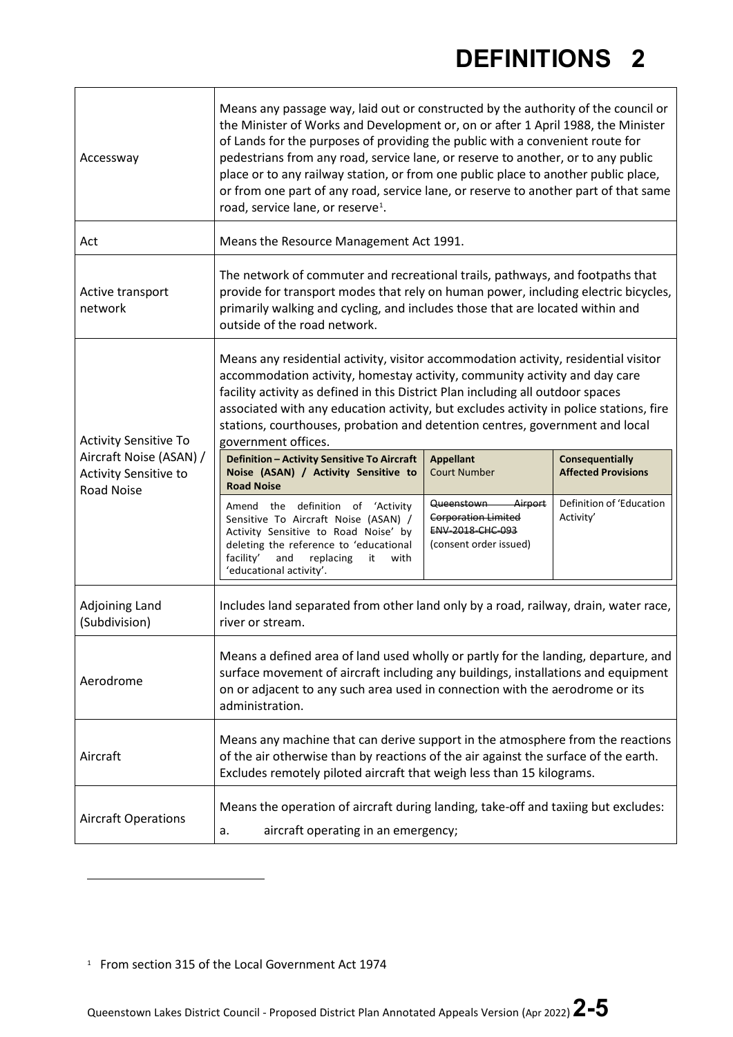| Accessway                                               | Means any passage way, laid out or constructed by the authority of the council or<br>the Minister of Works and Development or, on or after 1 April 1988, the Minister<br>of Lands for the purposes of providing the public with a convenient route for<br>pedestrians from any road, service lane, or reserve to another, or to any public<br>place or to any railway station, or from one public place to another public place,<br>or from one part of any road, service lane, or reserve to another part of that same<br>road, service lane, or reserve <sup>1</sup> . |                                                                                                    |                                               |
|---------------------------------------------------------|--------------------------------------------------------------------------------------------------------------------------------------------------------------------------------------------------------------------------------------------------------------------------------------------------------------------------------------------------------------------------------------------------------------------------------------------------------------------------------------------------------------------------------------------------------------------------|----------------------------------------------------------------------------------------------------|-----------------------------------------------|
| Act                                                     | Means the Resource Management Act 1991.                                                                                                                                                                                                                                                                                                                                                                                                                                                                                                                                  |                                                                                                    |                                               |
| Active transport<br>network                             | The network of commuter and recreational trails, pathways, and footpaths that<br>provide for transport modes that rely on human power, including electric bicycles,<br>primarily walking and cycling, and includes those that are located within and<br>outside of the road network.                                                                                                                                                                                                                                                                                     |                                                                                                    |                                               |
| <b>Activity Sensitive To</b>                            | Means any residential activity, visitor accommodation activity, residential visitor<br>accommodation activity, homestay activity, community activity and day care<br>facility activity as defined in this District Plan including all outdoor spaces<br>associated with any education activity, but excludes activity in police stations, fire<br>stations, courthouses, probation and detention centres, government and local<br>government offices.                                                                                                                    |                                                                                                    |                                               |
| Aircraft Noise (ASAN) /<br><b>Activity Sensitive to</b> | Definition - Activity Sensitive To Aircraft<br>Noise (ASAN) / Activity Sensitive to<br><b>Road Noise</b>                                                                                                                                                                                                                                                                                                                                                                                                                                                                 | <b>Appellant</b><br><b>Court Number</b>                                                            | Consequentially<br><b>Affected Provisions</b> |
| Road Noise                                              | Amend the definition of 'Activity<br>Sensitive To Aircraft Noise (ASAN) /<br>Activity Sensitive to Road Noise' by<br>deleting the reference to 'educational<br>facility'<br>and<br>replacing<br>it<br>with<br>'educational activity'.                                                                                                                                                                                                                                                                                                                                    | Queenstown-<br>Airport<br><b>Corporation Limited</b><br>ENV-2018-CHC-093<br>(consent order issued) | Definition of 'Education<br>Activity'         |
| <b>Adjoining Land</b><br>(Subdivision)                  | Includes land separated from other land only by a road, railway, drain, water race,<br>river or stream.                                                                                                                                                                                                                                                                                                                                                                                                                                                                  |                                                                                                    |                                               |
| Aerodrome                                               | Means a defined area of land used wholly or partly for the landing, departure, and<br>surface movement of aircraft including any buildings, installations and equipment<br>on or adjacent to any such area used in connection with the aerodrome or its<br>administration.                                                                                                                                                                                                                                                                                               |                                                                                                    |                                               |
| Aircraft                                                | Means any machine that can derive support in the atmosphere from the reactions<br>of the air otherwise than by reactions of the air against the surface of the earth.<br>Excludes remotely piloted aircraft that weigh less than 15 kilograms.                                                                                                                                                                                                                                                                                                                           |                                                                                                    |                                               |
| <b>Aircraft Operations</b>                              | Means the operation of aircraft during landing, take-off and taxiing but excludes:<br>aircraft operating in an emergency;<br>a.                                                                                                                                                                                                                                                                                                                                                                                                                                          |                                                                                                    |                                               |

<span id="page-4-0"></span><sup>1</sup> From section 315 of the Local Government Act 1974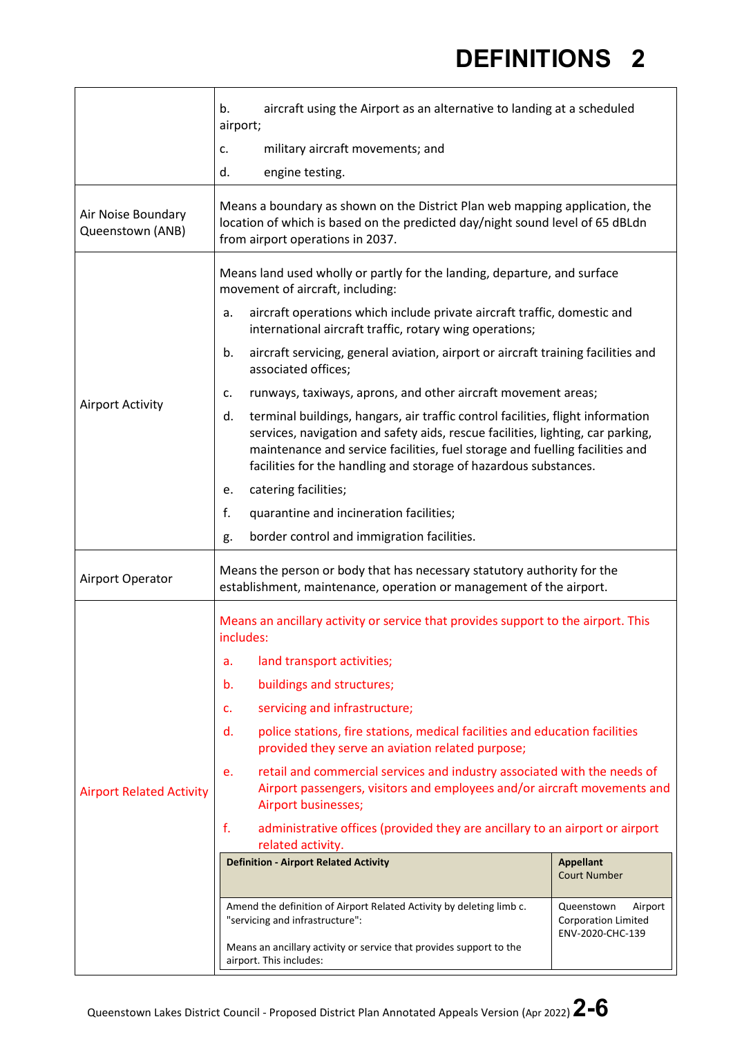|                                        | b.<br>aircraft using the Airport as an alternative to landing at a scheduled<br>airport;                                                                                                                                                                                                                                     |                                                                         |
|----------------------------------------|------------------------------------------------------------------------------------------------------------------------------------------------------------------------------------------------------------------------------------------------------------------------------------------------------------------------------|-------------------------------------------------------------------------|
|                                        | military aircraft movements; and<br>c.                                                                                                                                                                                                                                                                                       |                                                                         |
|                                        | d.<br>engine testing.                                                                                                                                                                                                                                                                                                        |                                                                         |
| Air Noise Boundary<br>Queenstown (ANB) | Means a boundary as shown on the District Plan web mapping application, the<br>location of which is based on the predicted day/night sound level of 65 dBLdn<br>from airport operations in 2037.                                                                                                                             |                                                                         |
|                                        | Means land used wholly or partly for the landing, departure, and surface<br>movement of aircraft, including:                                                                                                                                                                                                                 |                                                                         |
|                                        | aircraft operations which include private aircraft traffic, domestic and<br>a.<br>international aircraft traffic, rotary wing operations;                                                                                                                                                                                    |                                                                         |
|                                        | aircraft servicing, general aviation, airport or aircraft training facilities and<br>b.<br>associated offices;                                                                                                                                                                                                               |                                                                         |
|                                        | runways, taxiways, aprons, and other aircraft movement areas;<br>c.                                                                                                                                                                                                                                                          |                                                                         |
| <b>Airport Activity</b>                | terminal buildings, hangars, air traffic control facilities, flight information<br>d.<br>services, navigation and safety aids, rescue facilities, lighting, car parking,<br>maintenance and service facilities, fuel storage and fuelling facilities and<br>facilities for the handling and storage of hazardous substances. |                                                                         |
|                                        | catering facilities;<br>е.                                                                                                                                                                                                                                                                                                   |                                                                         |
|                                        | f.<br>quarantine and incineration facilities;                                                                                                                                                                                                                                                                                |                                                                         |
|                                        | border control and immigration facilities.<br>g.                                                                                                                                                                                                                                                                             |                                                                         |
| Airport Operator                       | Means the person or body that has necessary statutory authority for the<br>establishment, maintenance, operation or management of the airport.                                                                                                                                                                               |                                                                         |
|                                        | Means an ancillary activity or service that provides support to the airport. This<br>includes:                                                                                                                                                                                                                               |                                                                         |
|                                        | land transport activities;<br>a.                                                                                                                                                                                                                                                                                             |                                                                         |
|                                        | buildings and structures;<br>b.                                                                                                                                                                                                                                                                                              |                                                                         |
|                                        | servicing and infrastructure;<br>c.                                                                                                                                                                                                                                                                                          |                                                                         |
|                                        | police stations, fire stations, medical facilities and education facilities<br>d.<br>provided they serve an aviation related purpose;                                                                                                                                                                                        |                                                                         |
| <b>Airport Related Activity</b>        | retail and commercial services and industry associated with the needs of<br>e.<br>Airport passengers, visitors and employees and/or aircraft movements and<br>Airport businesses;                                                                                                                                            |                                                                         |
|                                        | f.<br>administrative offices (provided they are ancillary to an airport or airport<br>related activity.                                                                                                                                                                                                                      |                                                                         |
|                                        | <b>Definition - Airport Related Activity</b>                                                                                                                                                                                                                                                                                 | <b>Appellant</b><br><b>Court Number</b>                                 |
|                                        | Amend the definition of Airport Related Activity by deleting limb c.<br>"servicing and infrastructure":                                                                                                                                                                                                                      | Queenstown<br>Airport<br><b>Corporation Limited</b><br>ENV-2020-CHC-139 |
|                                        | Means an ancillary activity or service that provides support to the<br>airport. This includes:                                                                                                                                                                                                                               |                                                                         |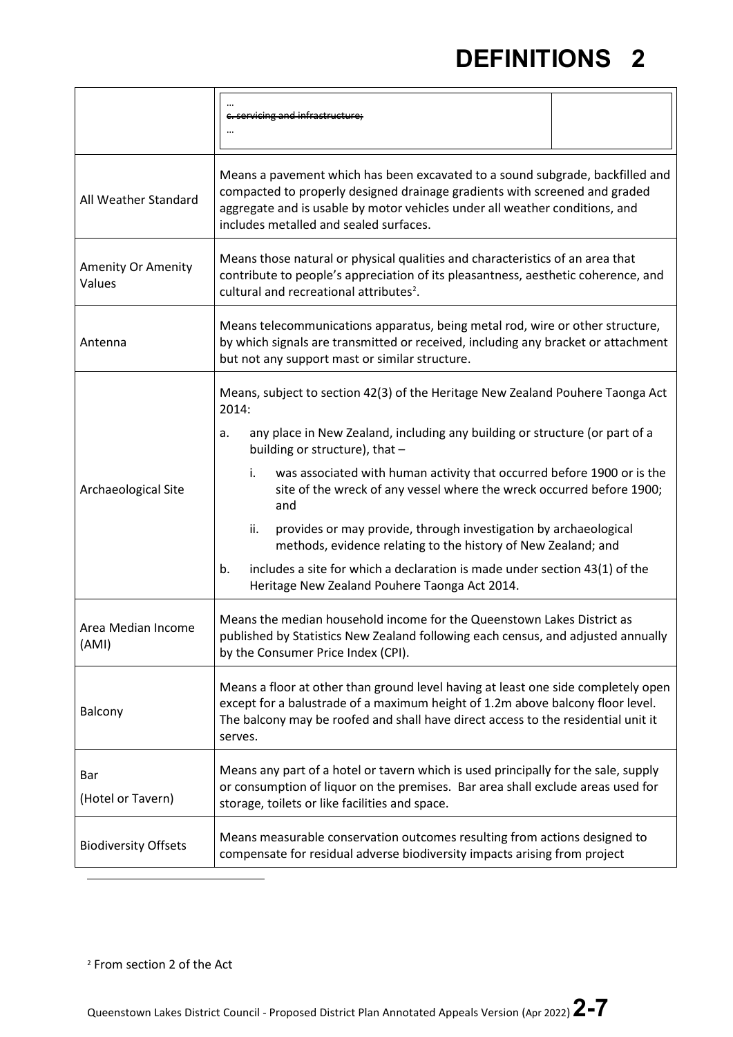<span id="page-6-0"></span>

|                              | c. servicing and infrastructure;                                                                                                                                                                                                                                                                                                                                                                                                                                                                                                                                                                                                                                |  |
|------------------------------|-----------------------------------------------------------------------------------------------------------------------------------------------------------------------------------------------------------------------------------------------------------------------------------------------------------------------------------------------------------------------------------------------------------------------------------------------------------------------------------------------------------------------------------------------------------------------------------------------------------------------------------------------------------------|--|
| All Weather Standard         | Means a pavement which has been excavated to a sound subgrade, backfilled and<br>compacted to properly designed drainage gradients with screened and graded<br>aggregate and is usable by motor vehicles under all weather conditions, and<br>includes metalled and sealed surfaces.                                                                                                                                                                                                                                                                                                                                                                            |  |
| Amenity Or Amenity<br>Values | Means those natural or physical qualities and characteristics of an area that<br>contribute to people's appreciation of its pleasantness, aesthetic coherence, and<br>cultural and recreational attributes <sup>2</sup> .                                                                                                                                                                                                                                                                                                                                                                                                                                       |  |
| Antenna                      | Means telecommunications apparatus, being metal rod, wire or other structure,<br>by which signals are transmitted or received, including any bracket or attachment<br>but not any support mast or similar structure.                                                                                                                                                                                                                                                                                                                                                                                                                                            |  |
| Archaeological Site          | Means, subject to section 42(3) of the Heritage New Zealand Pouhere Taonga Act<br>2014:<br>any place in New Zealand, including any building or structure (or part of a<br>a.<br>building or structure), that -<br>was associated with human activity that occurred before 1900 or is the<br>i.<br>site of the wreck of any vessel where the wreck occurred before 1900;<br>and<br>provides or may provide, through investigation by archaeological<br>ii.<br>methods, evidence relating to the history of New Zealand; and<br>includes a site for which a declaration is made under section 43(1) of the<br>b.<br>Heritage New Zealand Pouhere Taonga Act 2014. |  |
| Area Median Income<br>(AMI)  | Means the median household income for the Queenstown Lakes District as<br>published by Statistics New Zealand following each census, and adjusted annually<br>by the Consumer Price Index (CPI).                                                                                                                                                                                                                                                                                                                                                                                                                                                                |  |
| Balcony                      | Means a floor at other than ground level having at least one side completely open<br>except for a balustrade of a maximum height of 1.2m above balcony floor level.<br>The balcony may be roofed and shall have direct access to the residential unit it<br>serves.                                                                                                                                                                                                                                                                                                                                                                                             |  |
| Bar<br>(Hotel or Tavern)     | Means any part of a hotel or tavern which is used principally for the sale, supply<br>or consumption of liquor on the premises. Bar area shall exclude areas used for<br>storage, toilets or like facilities and space.                                                                                                                                                                                                                                                                                                                                                                                                                                         |  |
| <b>Biodiversity Offsets</b>  | Means measurable conservation outcomes resulting from actions designed to<br>compensate for residual adverse biodiversity impacts arising from project                                                                                                                                                                                                                                                                                                                                                                                                                                                                                                          |  |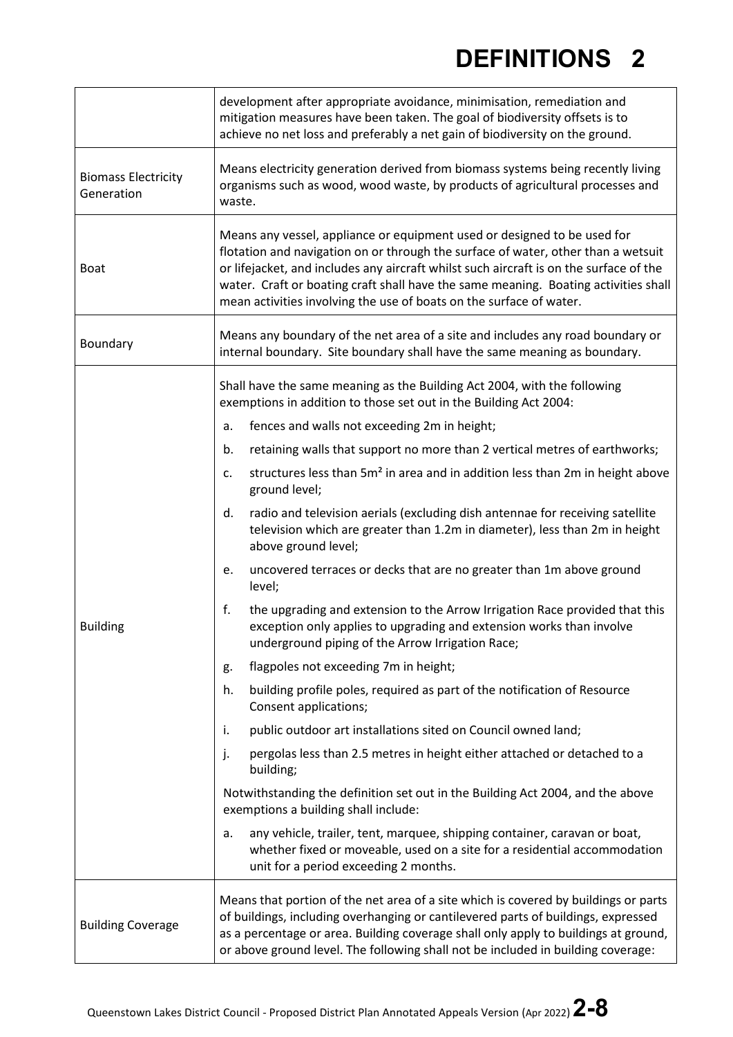|                                          | development after appropriate avoidance, minimisation, remediation and<br>mitigation measures have been taken. The goal of biodiversity offsets is to<br>achieve no net loss and preferably a net gain of biodiversity on the ground.                                                                                                                                                                                 |  |
|------------------------------------------|-----------------------------------------------------------------------------------------------------------------------------------------------------------------------------------------------------------------------------------------------------------------------------------------------------------------------------------------------------------------------------------------------------------------------|--|
| <b>Biomass Electricity</b><br>Generation | Means electricity generation derived from biomass systems being recently living<br>organisms such as wood, wood waste, by products of agricultural processes and<br>waste.                                                                                                                                                                                                                                            |  |
| <b>Boat</b>                              | Means any vessel, appliance or equipment used or designed to be used for<br>flotation and navigation on or through the surface of water, other than a wetsuit<br>or lifejacket, and includes any aircraft whilst such aircraft is on the surface of the<br>water. Craft or boating craft shall have the same meaning. Boating activities shall<br>mean activities involving the use of boats on the surface of water. |  |
| Boundary                                 | Means any boundary of the net area of a site and includes any road boundary or<br>internal boundary. Site boundary shall have the same meaning as boundary.                                                                                                                                                                                                                                                           |  |
|                                          | Shall have the same meaning as the Building Act 2004, with the following<br>exemptions in addition to those set out in the Building Act 2004:                                                                                                                                                                                                                                                                         |  |
|                                          | fences and walls not exceeding 2m in height;<br>a.                                                                                                                                                                                                                                                                                                                                                                    |  |
|                                          | retaining walls that support no more than 2 vertical metres of earthworks;<br>b.                                                                                                                                                                                                                                                                                                                                      |  |
|                                          | structures less than 5m <sup>2</sup> in area and in addition less than 2m in height above<br>c.<br>ground level;                                                                                                                                                                                                                                                                                                      |  |
|                                          | radio and television aerials (excluding dish antennae for receiving satellite<br>d.<br>television which are greater than 1.2m in diameter), less than 2m in height<br>above ground level;                                                                                                                                                                                                                             |  |
|                                          | uncovered terraces or decks that are no greater than 1m above ground<br>e.<br>level;                                                                                                                                                                                                                                                                                                                                  |  |
| <b>Building</b>                          | f.<br>the upgrading and extension to the Arrow Irrigation Race provided that this<br>exception only applies to upgrading and extension works than involve<br>underground piping of the Arrow Irrigation Race;                                                                                                                                                                                                         |  |
|                                          | flagpoles not exceeding 7m in height;<br>g.                                                                                                                                                                                                                                                                                                                                                                           |  |
|                                          | building profile poles, required as part of the notification of Resource<br>h.<br>Consent applications;                                                                                                                                                                                                                                                                                                               |  |
|                                          | public outdoor art installations sited on Council owned land;<br>i.                                                                                                                                                                                                                                                                                                                                                   |  |
|                                          | pergolas less than 2.5 metres in height either attached or detached to a<br>j.<br>building;                                                                                                                                                                                                                                                                                                                           |  |
|                                          | Notwithstanding the definition set out in the Building Act 2004, and the above<br>exemptions a building shall include:                                                                                                                                                                                                                                                                                                |  |
|                                          | any vehicle, trailer, tent, marquee, shipping container, caravan or boat,<br>a.<br>whether fixed or moveable, used on a site for a residential accommodation<br>unit for a period exceeding 2 months.                                                                                                                                                                                                                 |  |
| <b>Building Coverage</b>                 | Means that portion of the net area of a site which is covered by buildings or parts<br>of buildings, including overhanging or cantilevered parts of buildings, expressed<br>as a percentage or area. Building coverage shall only apply to buildings at ground,<br>or above ground level. The following shall not be included in building coverage:                                                                   |  |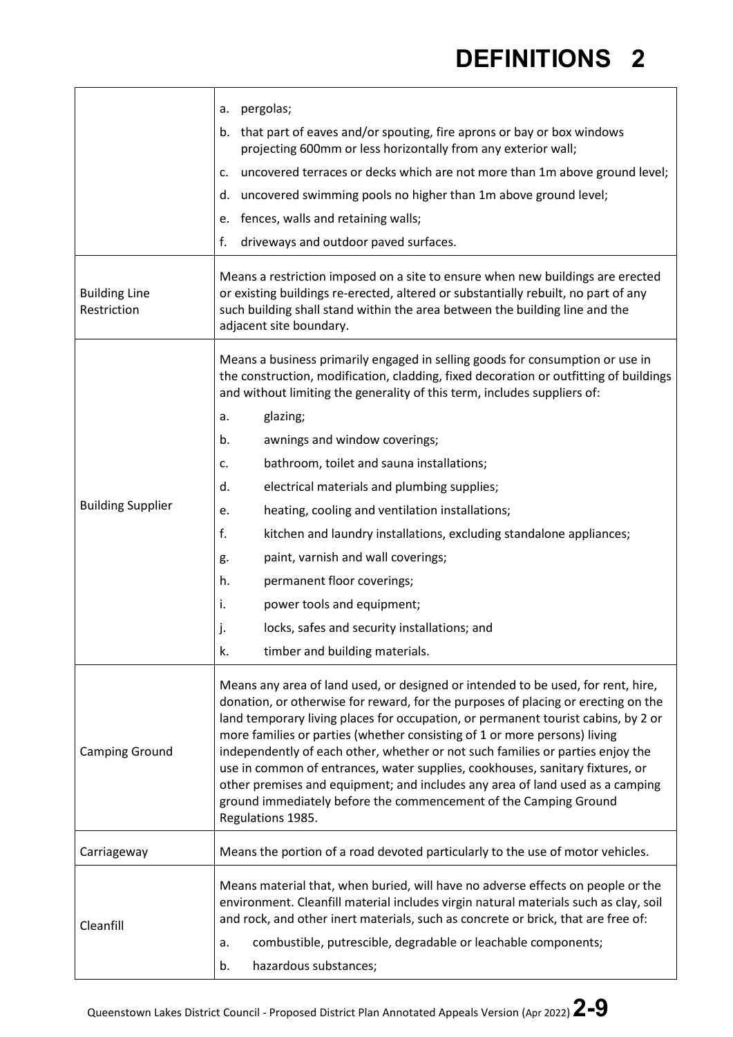|                                     | pergolas;<br>a.<br>that part of eaves and/or spouting, fire aprons or bay or box windows<br>b.<br>projecting 600mm or less horizontally from any exterior wall;<br>uncovered terraces or decks which are not more than 1m above ground level;<br>c.<br>uncovered swimming pools no higher than 1m above ground level;<br>d.<br>fences, walls and retaining walls;<br>e.<br>f.<br>driveways and outdoor paved surfaces.<br>Means a restriction imposed on a site to ensure when new buildings are erected                                                                                                                                                                                                                                                                    |
|-------------------------------------|-----------------------------------------------------------------------------------------------------------------------------------------------------------------------------------------------------------------------------------------------------------------------------------------------------------------------------------------------------------------------------------------------------------------------------------------------------------------------------------------------------------------------------------------------------------------------------------------------------------------------------------------------------------------------------------------------------------------------------------------------------------------------------|
| <b>Building Line</b><br>Restriction | or existing buildings re-erected, altered or substantially rebuilt, no part of any<br>such building shall stand within the area between the building line and the<br>adjacent site boundary.                                                                                                                                                                                                                                                                                                                                                                                                                                                                                                                                                                                |
| <b>Building Supplier</b>            | Means a business primarily engaged in selling goods for consumption or use in<br>the construction, modification, cladding, fixed decoration or outfitting of buildings<br>and without limiting the generality of this term, includes suppliers of:<br>glazing;<br>a.<br>b.<br>awnings and window coverings;<br>bathroom, toilet and sauna installations;<br>c.<br>electrical materials and plumbing supplies;<br>d.<br>heating, cooling and ventilation installations;<br>e.<br>f.<br>kitchen and laundry installations, excluding standalone appliances;<br>paint, varnish and wall coverings;<br>g.<br>permanent floor coverings;<br>h.<br>power tools and equipment;<br>i.<br>locks, safes and security installations; and<br>j.<br>k.<br>timber and building materials. |
| <b>Camping Ground</b>               | Means any area of land used, or designed or intended to be used, for rent, hire,<br>donation, or otherwise for reward, for the purposes of placing or erecting on the<br>land temporary living places for occupation, or permanent tourist cabins, by 2 or<br>more families or parties (whether consisting of 1 or more persons) living<br>independently of each other, whether or not such families or parties enjoy the<br>use in common of entrances, water supplies, cookhouses, sanitary fixtures, or<br>other premises and equipment; and includes any area of land used as a camping<br>ground immediately before the commencement of the Camping Ground<br>Regulations 1985.                                                                                        |
| Carriageway                         | Means the portion of a road devoted particularly to the use of motor vehicles.                                                                                                                                                                                                                                                                                                                                                                                                                                                                                                                                                                                                                                                                                              |
| Cleanfill                           | Means material that, when buried, will have no adverse effects on people or the<br>environment. Cleanfill material includes virgin natural materials such as clay, soil<br>and rock, and other inert materials, such as concrete or brick, that are free of:<br>combustible, putrescible, degradable or leachable components;<br>a.<br>hazardous substances;<br>b.                                                                                                                                                                                                                                                                                                                                                                                                          |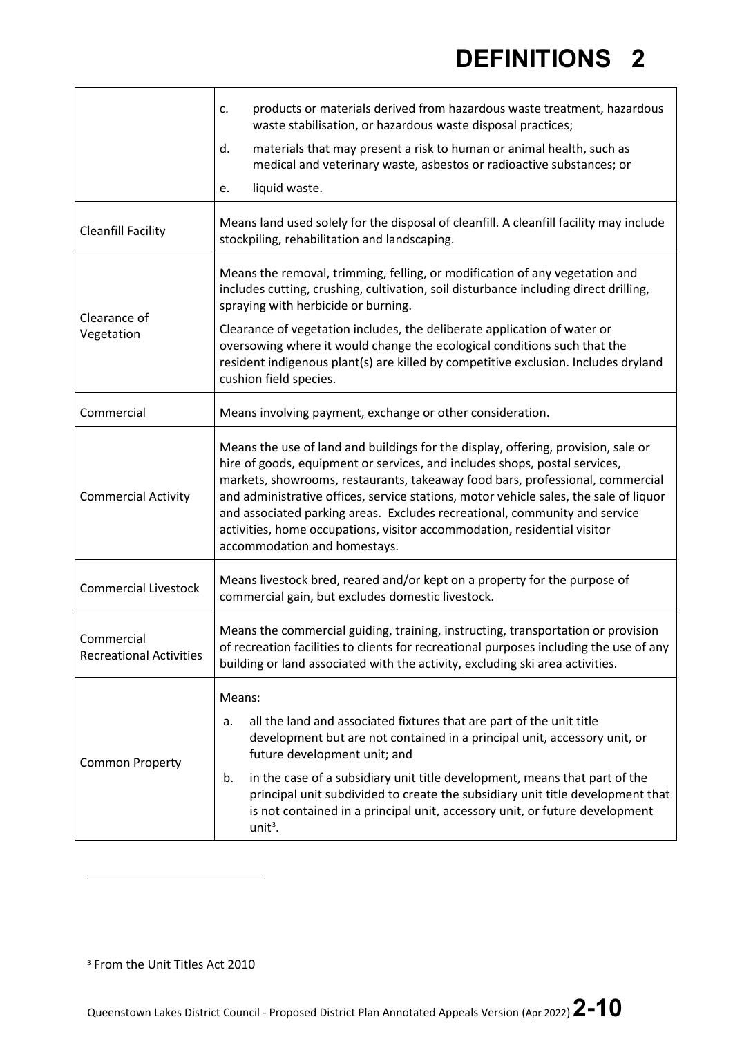|                                              | products or materials derived from hazardous waste treatment, hazardous<br>c.<br>waste stabilisation, or hazardous waste disposal practices;                                                                                                                                                                                                                                                                                                                                                                                        |  |
|----------------------------------------------|-------------------------------------------------------------------------------------------------------------------------------------------------------------------------------------------------------------------------------------------------------------------------------------------------------------------------------------------------------------------------------------------------------------------------------------------------------------------------------------------------------------------------------------|--|
|                                              | materials that may present a risk to human or animal health, such as<br>d.<br>medical and veterinary waste, asbestos or radioactive substances; or                                                                                                                                                                                                                                                                                                                                                                                  |  |
|                                              | liquid waste.<br>e.                                                                                                                                                                                                                                                                                                                                                                                                                                                                                                                 |  |
| <b>Cleanfill Facility</b>                    | Means land used solely for the disposal of cleanfill. A cleanfill facility may include<br>stockpiling, rehabilitation and landscaping.                                                                                                                                                                                                                                                                                                                                                                                              |  |
| Clearance of<br>Vegetation                   | Means the removal, trimming, felling, or modification of any vegetation and<br>includes cutting, crushing, cultivation, soil disturbance including direct drilling,<br>spraying with herbicide or burning.                                                                                                                                                                                                                                                                                                                          |  |
|                                              | Clearance of vegetation includes, the deliberate application of water or<br>oversowing where it would change the ecological conditions such that the<br>resident indigenous plant(s) are killed by competitive exclusion. Includes dryland<br>cushion field species.                                                                                                                                                                                                                                                                |  |
| Commercial                                   | Means involving payment, exchange or other consideration.                                                                                                                                                                                                                                                                                                                                                                                                                                                                           |  |
| <b>Commercial Activity</b>                   | Means the use of land and buildings for the display, offering, provision, sale or<br>hire of goods, equipment or services, and includes shops, postal services,<br>markets, showrooms, restaurants, takeaway food bars, professional, commercial<br>and administrative offices, service stations, motor vehicle sales, the sale of liquor<br>and associated parking areas. Excludes recreational, community and service<br>activities, home occupations, visitor accommodation, residential visitor<br>accommodation and homestays. |  |
| <b>Commercial Livestock</b>                  | Means livestock bred, reared and/or kept on a property for the purpose of<br>commercial gain, but excludes domestic livestock.                                                                                                                                                                                                                                                                                                                                                                                                      |  |
| Commercial<br><b>Recreational Activities</b> | Means the commercial guiding, training, instructing, transportation or provision<br>of recreation facilities to clients for recreational purposes including the use of any<br>building or land associated with the activity, excluding ski area activities.                                                                                                                                                                                                                                                                         |  |
| <b>Common Property</b>                       | Means:<br>all the land and associated fixtures that are part of the unit title<br>a.<br>development but are not contained in a principal unit, accessory unit, or<br>future development unit; and<br>in the case of a subsidiary unit title development, means that part of the<br>b.<br>principal unit subdivided to create the subsidiary unit title development that<br>is not contained in a principal unit, accessory unit, or future development<br>$unit3$ .                                                                 |  |

<span id="page-9-0"></span><sup>&</sup>lt;sup>3</sup> From the Unit Titles Act 2010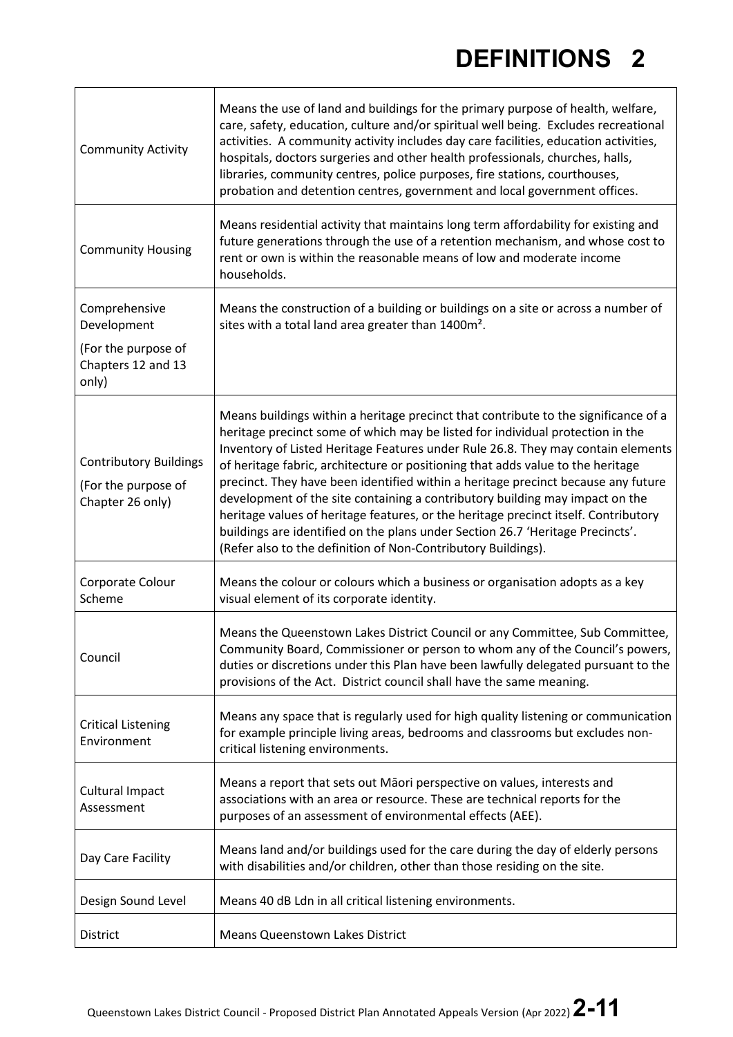| <b>Community Activity</b>                                                          | Means the use of land and buildings for the primary purpose of health, welfare,<br>care, safety, education, culture and/or spiritual well being. Excludes recreational<br>activities. A community activity includes day care facilities, education activities,<br>hospitals, doctors surgeries and other health professionals, churches, halls,<br>libraries, community centres, police purposes, fire stations, courthouses,<br>probation and detention centres, government and local government offices.                                                                                                                                                                                                                                                  |
|------------------------------------------------------------------------------------|-------------------------------------------------------------------------------------------------------------------------------------------------------------------------------------------------------------------------------------------------------------------------------------------------------------------------------------------------------------------------------------------------------------------------------------------------------------------------------------------------------------------------------------------------------------------------------------------------------------------------------------------------------------------------------------------------------------------------------------------------------------|
| <b>Community Housing</b>                                                           | Means residential activity that maintains long term affordability for existing and<br>future generations through the use of a retention mechanism, and whose cost to<br>rent or own is within the reasonable means of low and moderate income<br>households.                                                                                                                                                                                                                                                                                                                                                                                                                                                                                                |
| Comprehensive<br>Development<br>(For the purpose of<br>Chapters 12 and 13<br>only) | Means the construction of a building or buildings on a site or across a number of<br>sites with a total land area greater than 1400m <sup>2</sup> .                                                                                                                                                                                                                                                                                                                                                                                                                                                                                                                                                                                                         |
| <b>Contributory Buildings</b><br>(For the purpose of<br>Chapter 26 only)           | Means buildings within a heritage precinct that contribute to the significance of a<br>heritage precinct some of which may be listed for individual protection in the<br>Inventory of Listed Heritage Features under Rule 26.8. They may contain elements<br>of heritage fabric, architecture or positioning that adds value to the heritage<br>precinct. They have been identified within a heritage precinct because any future<br>development of the site containing a contributory building may impact on the<br>heritage values of heritage features, or the heritage precinct itself. Contributory<br>buildings are identified on the plans under Section 26.7 'Heritage Precincts'.<br>(Refer also to the definition of Non-Contributory Buildings). |
| Corporate Colour<br>Scheme                                                         | Means the colour or colours which a business or organisation adopts as a key<br>visual element of its corporate identity.                                                                                                                                                                                                                                                                                                                                                                                                                                                                                                                                                                                                                                   |
| Council                                                                            | Means the Queenstown Lakes District Council or any Committee, Sub Committee,<br>Community Board, Commissioner or person to whom any of the Council's powers,<br>duties or discretions under this Plan have been lawfully delegated pursuant to the<br>provisions of the Act. District council shall have the same meaning.                                                                                                                                                                                                                                                                                                                                                                                                                                  |
| <b>Critical Listening</b><br>Environment                                           | Means any space that is regularly used for high quality listening or communication<br>for example principle living areas, bedrooms and classrooms but excludes non-<br>critical listening environments.                                                                                                                                                                                                                                                                                                                                                                                                                                                                                                                                                     |
| <b>Cultural Impact</b><br>Assessment                                               | Means a report that sets out Māori perspective on values, interests and<br>associations with an area or resource. These are technical reports for the<br>purposes of an assessment of environmental effects (AEE).                                                                                                                                                                                                                                                                                                                                                                                                                                                                                                                                          |
| Day Care Facility                                                                  | Means land and/or buildings used for the care during the day of elderly persons<br>with disabilities and/or children, other than those residing on the site.                                                                                                                                                                                                                                                                                                                                                                                                                                                                                                                                                                                                |
| Design Sound Level                                                                 | Means 40 dB Ldn in all critical listening environments.                                                                                                                                                                                                                                                                                                                                                                                                                                                                                                                                                                                                                                                                                                     |
| <b>District</b>                                                                    | <b>Means Queenstown Lakes District</b>                                                                                                                                                                                                                                                                                                                                                                                                                                                                                                                                                                                                                                                                                                                      |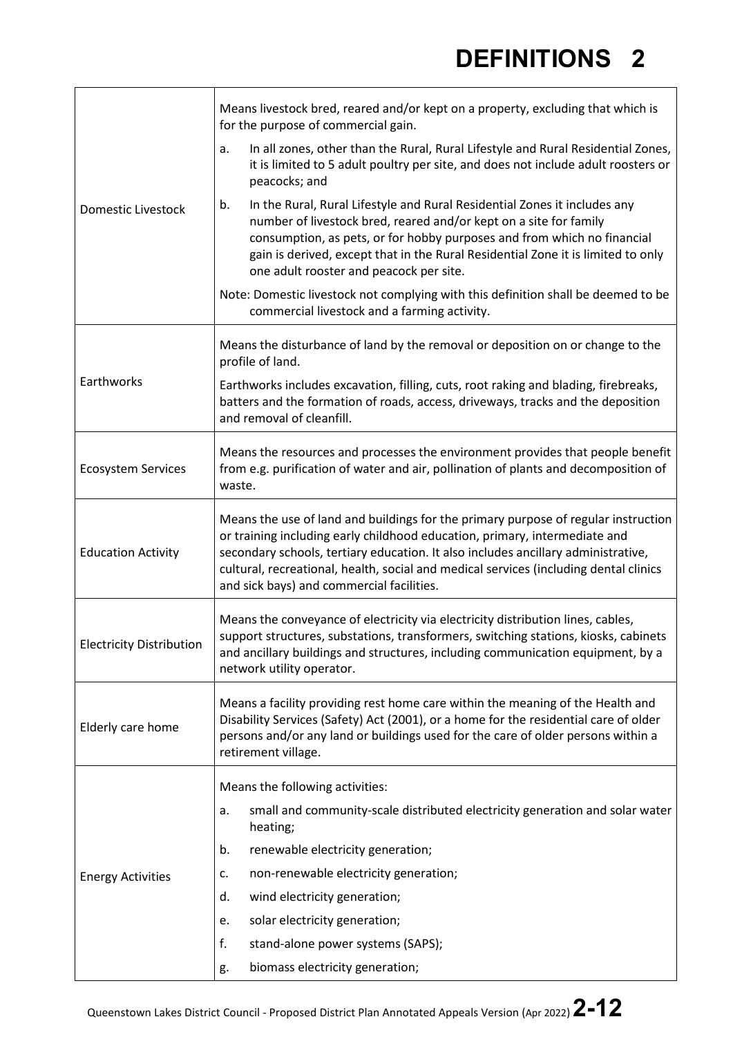|                                 | Means livestock bred, reared and/or kept on a property, excluding that which is<br>for the purpose of commercial gain.                                                                                                                                                                                                                                                                      |  |  |
|---------------------------------|---------------------------------------------------------------------------------------------------------------------------------------------------------------------------------------------------------------------------------------------------------------------------------------------------------------------------------------------------------------------------------------------|--|--|
| Domestic Livestock              | In all zones, other than the Rural, Rural Lifestyle and Rural Residential Zones,<br>a.<br>it is limited to 5 adult poultry per site, and does not include adult roosters or<br>peacocks; and                                                                                                                                                                                                |  |  |
|                                 | In the Rural, Rural Lifestyle and Rural Residential Zones it includes any<br>b.<br>number of livestock bred, reared and/or kept on a site for family<br>consumption, as pets, or for hobby purposes and from which no financial<br>gain is derived, except that in the Rural Residential Zone it is limited to only<br>one adult rooster and peacock per site.                              |  |  |
|                                 | Note: Domestic livestock not complying with this definition shall be deemed to be<br>commercial livestock and a farming activity.                                                                                                                                                                                                                                                           |  |  |
|                                 | Means the disturbance of land by the removal or deposition on or change to the<br>profile of land.                                                                                                                                                                                                                                                                                          |  |  |
| Earthworks                      | Earthworks includes excavation, filling, cuts, root raking and blading, firebreaks,<br>batters and the formation of roads, access, driveways, tracks and the deposition<br>and removal of cleanfill.                                                                                                                                                                                        |  |  |
| <b>Ecosystem Services</b>       | Means the resources and processes the environment provides that people benefit<br>from e.g. purification of water and air, pollination of plants and decomposition of<br>waste.                                                                                                                                                                                                             |  |  |
| <b>Education Activity</b>       | Means the use of land and buildings for the primary purpose of regular instruction<br>or training including early childhood education, primary, intermediate and<br>secondary schools, tertiary education. It also includes ancillary administrative,<br>cultural, recreational, health, social and medical services (including dental clinics<br>and sick bays) and commercial facilities. |  |  |
| <b>Electricity Distribution</b> | Means the conveyance of electricity via electricity distribution lines, cables,<br>support structures, substations, transformers, switching stations, kiosks, cabinets<br>and ancillary buildings and structures, including communication equipment, by a<br>network utility operator.                                                                                                      |  |  |
| Elderly care home               | Means a facility providing rest home care within the meaning of the Health and<br>Disability Services (Safety) Act (2001), or a home for the residential care of older<br>persons and/or any land or buildings used for the care of older persons within a<br>retirement village.                                                                                                           |  |  |
|                                 | Means the following activities:                                                                                                                                                                                                                                                                                                                                                             |  |  |
| <b>Energy Activities</b>        | small and community-scale distributed electricity generation and solar water<br>a.<br>heating;                                                                                                                                                                                                                                                                                              |  |  |
|                                 | renewable electricity generation;<br>b.                                                                                                                                                                                                                                                                                                                                                     |  |  |
|                                 | non-renewable electricity generation;<br>c.                                                                                                                                                                                                                                                                                                                                                 |  |  |
|                                 | wind electricity generation;<br>d.                                                                                                                                                                                                                                                                                                                                                          |  |  |
|                                 | solar electricity generation;<br>e.                                                                                                                                                                                                                                                                                                                                                         |  |  |
|                                 | f.<br>stand-alone power systems (SAPS);                                                                                                                                                                                                                                                                                                                                                     |  |  |
|                                 | biomass electricity generation;<br>g.                                                                                                                                                                                                                                                                                                                                                       |  |  |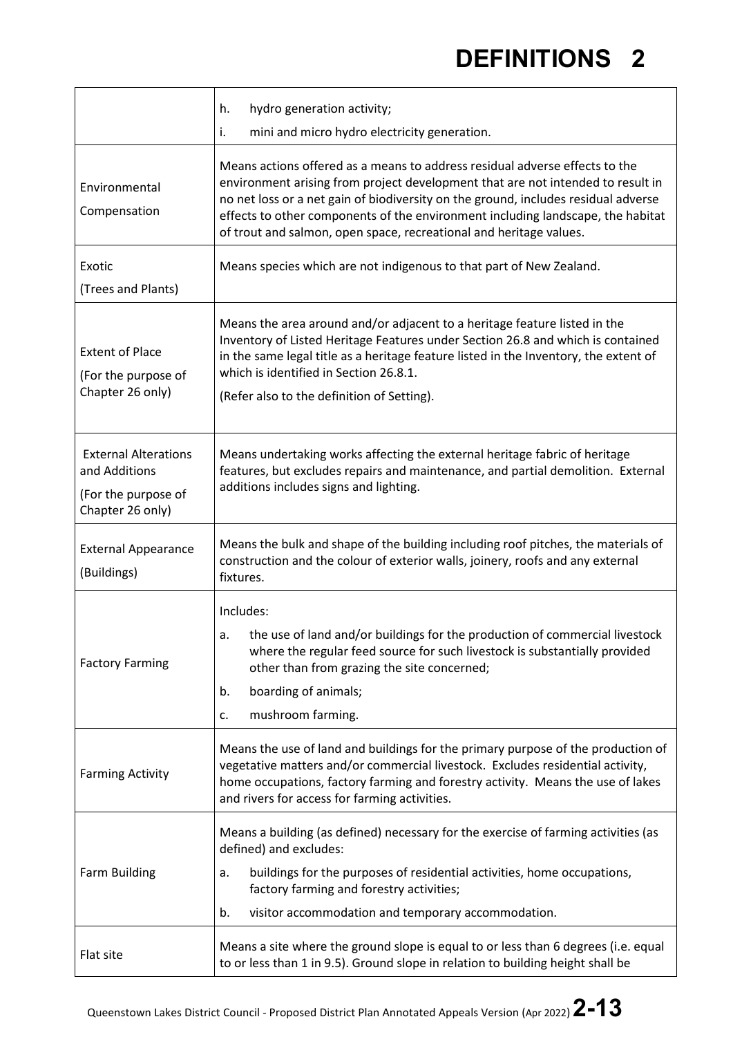|                                                                                         | hydro generation activity;<br>h.                                                                                                                                                                                                                                                                                                                                                                                                                                    |
|-----------------------------------------------------------------------------------------|---------------------------------------------------------------------------------------------------------------------------------------------------------------------------------------------------------------------------------------------------------------------------------------------------------------------------------------------------------------------------------------------------------------------------------------------------------------------|
| Environmental<br>Compensation                                                           | i.<br>mini and micro hydro electricity generation.<br>Means actions offered as a means to address residual adverse effects to the<br>environment arising from project development that are not intended to result in<br>no net loss or a net gain of biodiversity on the ground, includes residual adverse<br>effects to other components of the environment including landscape, the habitat<br>of trout and salmon, open space, recreational and heritage values. |
| Exotic<br>(Trees and Plants)                                                            | Means species which are not indigenous to that part of New Zealand.                                                                                                                                                                                                                                                                                                                                                                                                 |
| <b>Extent of Place</b><br>(For the purpose of<br>Chapter 26 only)                       | Means the area around and/or adjacent to a heritage feature listed in the<br>Inventory of Listed Heritage Features under Section 26.8 and which is contained<br>in the same legal title as a heritage feature listed in the Inventory, the extent of<br>which is identified in Section 26.8.1.<br>(Refer also to the definition of Setting).                                                                                                                        |
| <b>External Alterations</b><br>and Additions<br>(For the purpose of<br>Chapter 26 only) | Means undertaking works affecting the external heritage fabric of heritage<br>features, but excludes repairs and maintenance, and partial demolition. External<br>additions includes signs and lighting.                                                                                                                                                                                                                                                            |
| <b>External Appearance</b><br>(Buildings)                                               | Means the bulk and shape of the building including roof pitches, the materials of<br>construction and the colour of exterior walls, joinery, roofs and any external<br>fixtures.                                                                                                                                                                                                                                                                                    |
| <b>Factory Farming</b>                                                                  | Includes:<br>the use of land and/or buildings for the production of commercial livestock<br>a.<br>where the regular feed source for such livestock is substantially provided<br>other than from grazing the site concerned;<br>boarding of animals;<br>b.<br>mushroom farming.<br>c.                                                                                                                                                                                |
| <b>Farming Activity</b>                                                                 | Means the use of land and buildings for the primary purpose of the production of<br>vegetative matters and/or commercial livestock. Excludes residential activity,<br>home occupations, factory farming and forestry activity. Means the use of lakes<br>and rivers for access for farming activities.                                                                                                                                                              |
| Farm Building                                                                           | Means a building (as defined) necessary for the exercise of farming activities (as<br>defined) and excludes:<br>buildings for the purposes of residential activities, home occupations,<br>a.<br>factory farming and forestry activities;<br>visitor accommodation and temporary accommodation.<br>b.                                                                                                                                                               |
| Flat site                                                                               | Means a site where the ground slope is equal to or less than 6 degrees (i.e. equal<br>to or less than 1 in 9.5). Ground slope in relation to building height shall be                                                                                                                                                                                                                                                                                               |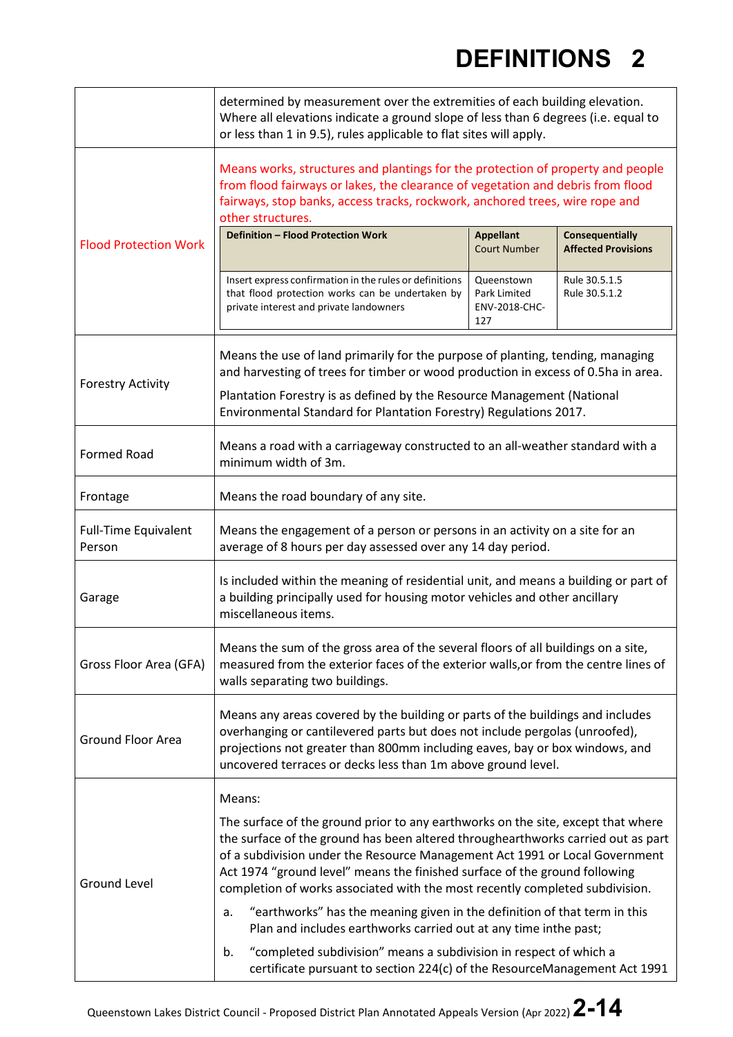|                                       | determined by measurement over the extremities of each building elevation.<br>Where all elevations indicate a ground slope of less than 6 degrees (i.e. equal to<br>or less than 1 in 9.5), rules applicable to flat sites will apply.                                                                                                                                                                                      |                                                    |                                                      |  |
|---------------------------------------|-----------------------------------------------------------------------------------------------------------------------------------------------------------------------------------------------------------------------------------------------------------------------------------------------------------------------------------------------------------------------------------------------------------------------------|----------------------------------------------------|------------------------------------------------------|--|
|                                       | Means works, structures and plantings for the protection of property and people<br>from flood fairways or lakes, the clearance of vegetation and debris from flood<br>fairways, stop banks, access tracks, rockwork, anchored trees, wire rope and<br>other structures.                                                                                                                                                     |                                                    |                                                      |  |
| <b>Flood Protection Work</b>          | Definition - Flood Protection Work                                                                                                                                                                                                                                                                                                                                                                                          | <b>Appellant</b><br><b>Court Number</b>            | <b>Consequentially</b><br><b>Affected Provisions</b> |  |
|                                       | Insert express confirmation in the rules or definitions<br>that flood protection works can be undertaken by<br>private interest and private landowners                                                                                                                                                                                                                                                                      | Queenstown<br>Park Limited<br>ENV-2018-CHC-<br>127 | Rule 30.5.1.5<br>Rule 30.5.1.2                       |  |
|                                       | Means the use of land primarily for the purpose of planting, tending, managing<br>and harvesting of trees for timber or wood production in excess of 0.5ha in area.                                                                                                                                                                                                                                                         |                                                    |                                                      |  |
| <b>Forestry Activity</b>              | Plantation Forestry is as defined by the Resource Management (National<br>Environmental Standard for Plantation Forestry) Regulations 2017.                                                                                                                                                                                                                                                                                 |                                                    |                                                      |  |
| <b>Formed Road</b>                    | Means a road with a carriageway constructed to an all-weather standard with a<br>minimum width of 3m.                                                                                                                                                                                                                                                                                                                       |                                                    |                                                      |  |
| Frontage                              | Means the road boundary of any site.                                                                                                                                                                                                                                                                                                                                                                                        |                                                    |                                                      |  |
| <b>Full-Time Equivalent</b><br>Person | Means the engagement of a person or persons in an activity on a site for an<br>average of 8 hours per day assessed over any 14 day period.                                                                                                                                                                                                                                                                                  |                                                    |                                                      |  |
| Garage                                | Is included within the meaning of residential unit, and means a building or part of<br>a building principally used for housing motor vehicles and other ancillary<br>miscellaneous items.                                                                                                                                                                                                                                   |                                                    |                                                      |  |
| Gross Floor Area (GFA)                | Means the sum of the gross area of the several floors of all buildings on a site,<br>measured from the exterior faces of the exterior walls, or from the centre lines of<br>walls separating two buildings.                                                                                                                                                                                                                 |                                                    |                                                      |  |
| <b>Ground Floor Area</b>              | Means any areas covered by the building or parts of the buildings and includes<br>overhanging or cantilevered parts but does not include pergolas (unroofed),<br>projections not greater than 800mm including eaves, bay or box windows, and<br>uncovered terraces or decks less than 1m above ground level.                                                                                                                |                                                    |                                                      |  |
| <b>Ground Level</b>                   | Means:<br>The surface of the ground prior to any earthworks on the site, except that where<br>the surface of the ground has been altered throughearthworks carried out as part<br>of a subdivision under the Resource Management Act 1991 or Local Government<br>Act 1974 "ground level" means the finished surface of the ground following<br>completion of works associated with the most recently completed subdivision. |                                                    |                                                      |  |
|                                       | "earthworks" has the meaning given in the definition of that term in this<br>a.<br>Plan and includes earthworks carried out at any time inthe past;                                                                                                                                                                                                                                                                         |                                                    |                                                      |  |
|                                       | "completed subdivision" means a subdivision in respect of which a<br>b.<br>certificate pursuant to section 224(c) of the ResourceManagement Act 1991                                                                                                                                                                                                                                                                        |                                                    |                                                      |  |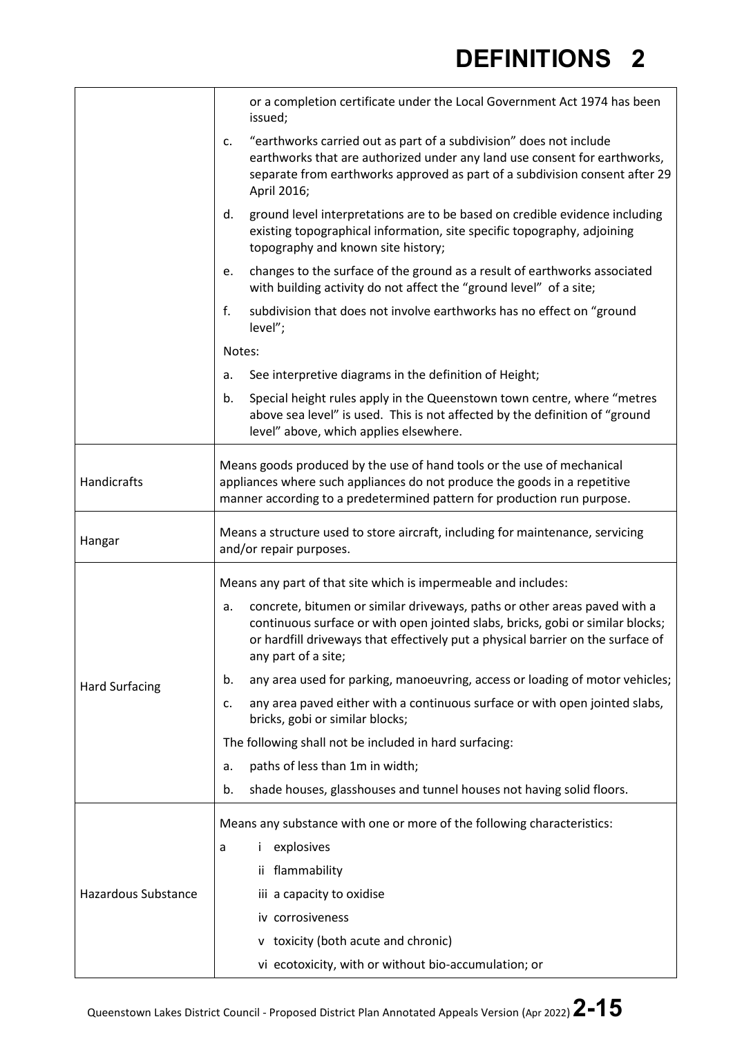|                            | or a completion certificate under the Local Government Act 1974 has been<br>issued;                                                                                                                                                                                         |  |  |  |
|----------------------------|-----------------------------------------------------------------------------------------------------------------------------------------------------------------------------------------------------------------------------------------------------------------------------|--|--|--|
|                            | "earthworks carried out as part of a subdivision" does not include<br>c.<br>earthworks that are authorized under any land use consent for earthworks,<br>separate from earthworks approved as part of a subdivision consent after 29<br>April 2016;                         |  |  |  |
|                            | ground level interpretations are to be based on credible evidence including<br>d.<br>existing topographical information, site specific topography, adjoining<br>topography and known site history;                                                                          |  |  |  |
|                            | changes to the surface of the ground as a result of earthworks associated<br>е.<br>with building activity do not affect the "ground level" of a site;                                                                                                                       |  |  |  |
|                            | f.<br>subdivision that does not involve earthworks has no effect on "ground<br>level";                                                                                                                                                                                      |  |  |  |
|                            | Notes:                                                                                                                                                                                                                                                                      |  |  |  |
|                            | See interpretive diagrams in the definition of Height;<br>a.                                                                                                                                                                                                                |  |  |  |
|                            | Special height rules apply in the Queenstown town centre, where "metres<br>b.<br>above sea level" is used. This is not affected by the definition of "ground<br>level" above, which applies elsewhere.                                                                      |  |  |  |
| Handicrafts                | Means goods produced by the use of hand tools or the use of mechanical<br>appliances where such appliances do not produce the goods in a repetitive<br>manner according to a predetermined pattern for production run purpose.                                              |  |  |  |
| Hangar                     | Means a structure used to store aircraft, including for maintenance, servicing<br>and/or repair purposes.                                                                                                                                                                   |  |  |  |
|                            | Means any part of that site which is impermeable and includes:                                                                                                                                                                                                              |  |  |  |
|                            | concrete, bitumen or similar driveways, paths or other areas paved with a<br>a.<br>continuous surface or with open jointed slabs, bricks, gobi or similar blocks;<br>or hardfill driveways that effectively put a physical barrier on the surface of<br>any part of a site; |  |  |  |
| <b>Hard Surfacing</b>      | any area used for parking, manoeuvring, access or loading of motor vehicles;<br>b.                                                                                                                                                                                          |  |  |  |
|                            | any area paved either with a continuous surface or with open jointed slabs,<br>c.<br>bricks, gobi or similar blocks;                                                                                                                                                        |  |  |  |
|                            | The following shall not be included in hard surfacing:                                                                                                                                                                                                                      |  |  |  |
|                            | paths of less than 1m in width;<br>a.                                                                                                                                                                                                                                       |  |  |  |
|                            | shade houses, glasshouses and tunnel houses not having solid floors.<br>b.                                                                                                                                                                                                  |  |  |  |
|                            | Means any substance with one or more of the following characteristics:                                                                                                                                                                                                      |  |  |  |
| <b>Hazardous Substance</b> | explosives<br>İ.<br>a                                                                                                                                                                                                                                                       |  |  |  |
|                            | flammability<br>İİ.                                                                                                                                                                                                                                                         |  |  |  |
|                            | iii a capacity to oxidise                                                                                                                                                                                                                                                   |  |  |  |
|                            | iv corrosiveness                                                                                                                                                                                                                                                            |  |  |  |
|                            | v toxicity (both acute and chronic)                                                                                                                                                                                                                                         |  |  |  |
|                            | vi ecotoxicity, with or without bio-accumulation; or                                                                                                                                                                                                                        |  |  |  |

 $\mathbf{r}$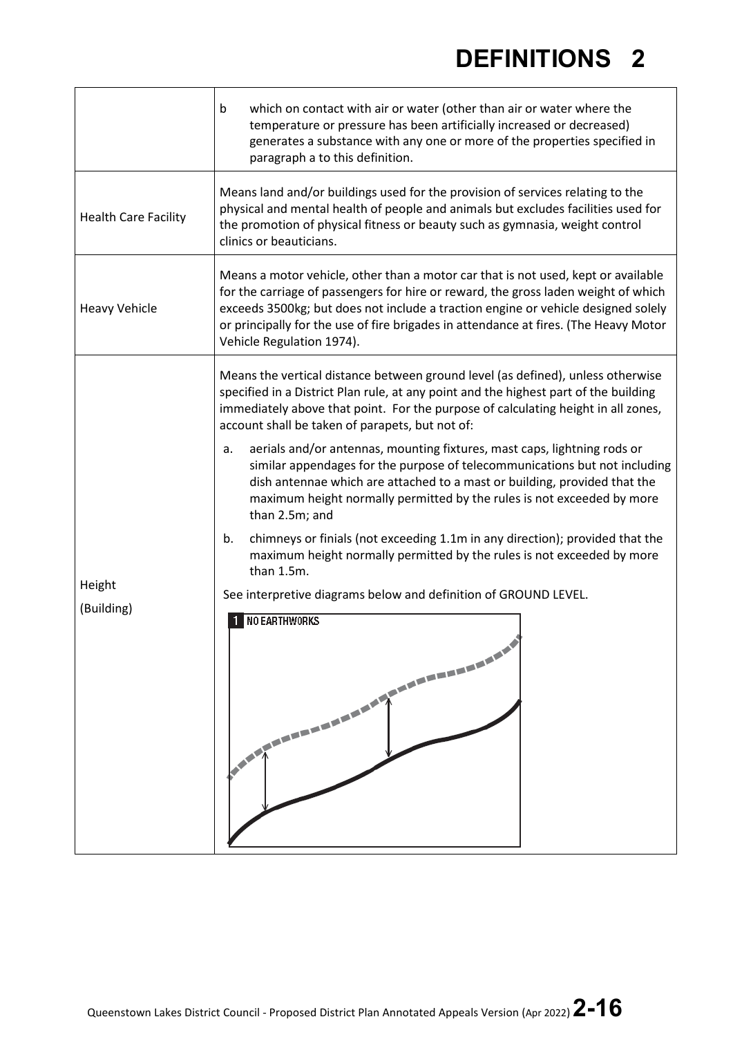|                             | which on contact with air or water (other than air or water where the<br>b<br>temperature or pressure has been artificially increased or decreased)<br>generates a substance with any one or more of the properties specified in<br>paragraph a to this definition.                                                                                                               |  |  |  |  |
|-----------------------------|-----------------------------------------------------------------------------------------------------------------------------------------------------------------------------------------------------------------------------------------------------------------------------------------------------------------------------------------------------------------------------------|--|--|--|--|
| <b>Health Care Facility</b> | Means land and/or buildings used for the provision of services relating to the<br>physical and mental health of people and animals but excludes facilities used for<br>the promotion of physical fitness or beauty such as gymnasia, weight control<br>clinics or beauticians.                                                                                                    |  |  |  |  |
| <b>Heavy Vehicle</b>        | Means a motor vehicle, other than a motor car that is not used, kept or available<br>for the carriage of passengers for hire or reward, the gross laden weight of which<br>exceeds 3500kg; but does not include a traction engine or vehicle designed solely<br>or principally for the use of fire brigades in attendance at fires. (The Heavy Motor<br>Vehicle Regulation 1974). |  |  |  |  |
|                             | Means the vertical distance between ground level (as defined), unless otherwise<br>specified in a District Plan rule, at any point and the highest part of the building<br>immediately above that point. For the purpose of calculating height in all zones,<br>account shall be taken of parapets, but not of:                                                                   |  |  |  |  |
|                             | aerials and/or antennas, mounting fixtures, mast caps, lightning rods or<br>a.<br>similar appendages for the purpose of telecommunications but not including<br>dish antennae which are attached to a mast or building, provided that the<br>maximum height normally permitted by the rules is not exceeded by more<br>than 2.5m; and                                             |  |  |  |  |
|                             | chimneys or finials (not exceeding 1.1m in any direction); provided that the<br>b.<br>maximum height normally permitted by the rules is not exceeded by more<br>than 1.5m.                                                                                                                                                                                                        |  |  |  |  |
| Height                      | See interpretive diagrams below and definition of GROUND LEVEL.                                                                                                                                                                                                                                                                                                                   |  |  |  |  |
| (Building)                  | 1 NO EARTHWORKS<br>NEWS WANDERS TO BE A STREET WANTED.                                                                                                                                                                                                                                                                                                                            |  |  |  |  |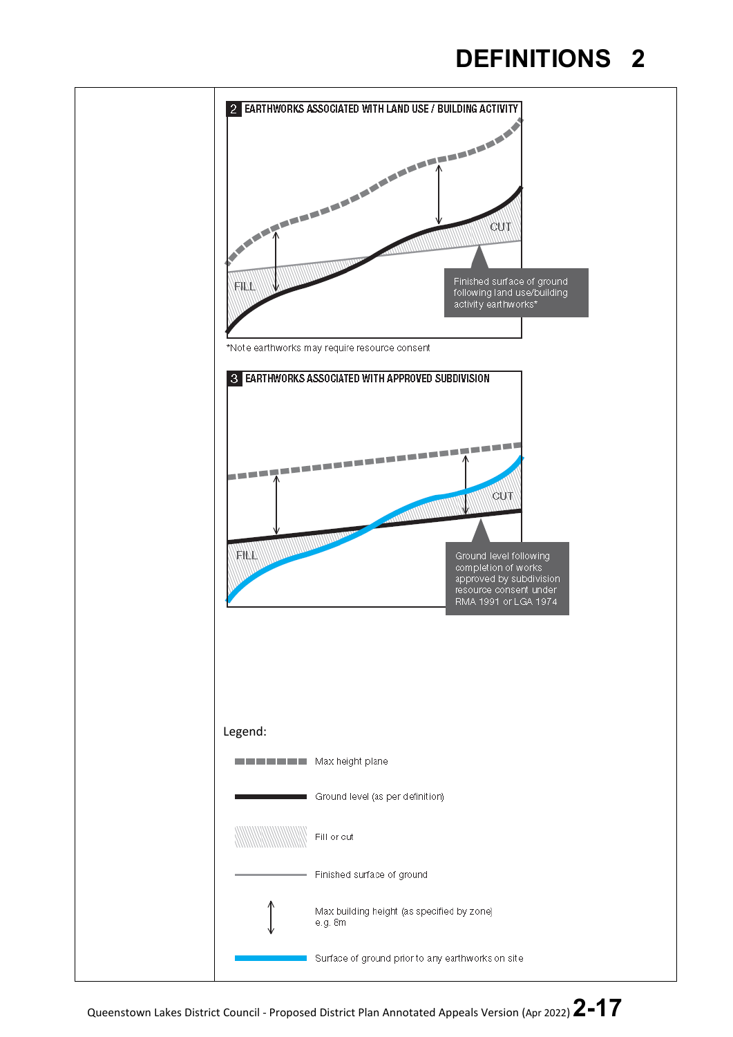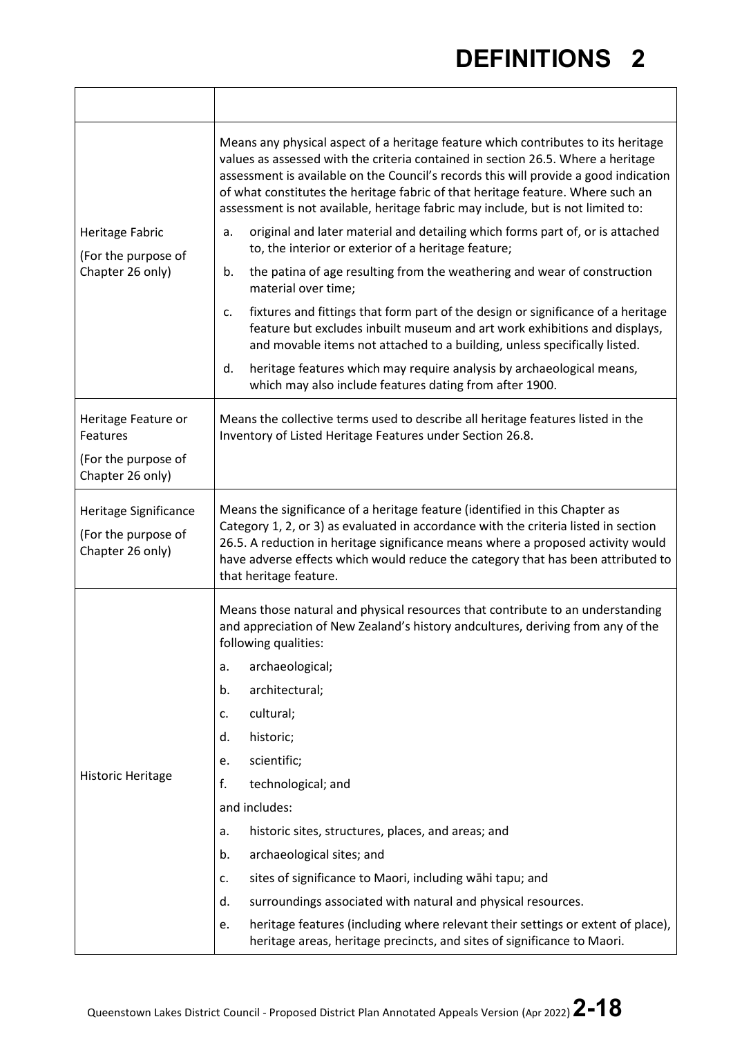|                                                                  | Means any physical aspect of a heritage feature which contributes to its heritage<br>values as assessed with the criteria contained in section 26.5. Where a heritage<br>assessment is available on the Council's records this will provide a good indication<br>of what constitutes the heritage fabric of that heritage feature. Where such an<br>assessment is not available, heritage fabric may include, but is not limited to: |  |
|------------------------------------------------------------------|--------------------------------------------------------------------------------------------------------------------------------------------------------------------------------------------------------------------------------------------------------------------------------------------------------------------------------------------------------------------------------------------------------------------------------------|--|
| Heritage Fabric<br>(For the purpose of                           | original and later material and detailing which forms part of, or is attached<br>a.<br>to, the interior or exterior of a heritage feature;                                                                                                                                                                                                                                                                                           |  |
| Chapter 26 only)                                                 | the patina of age resulting from the weathering and wear of construction<br>b.<br>material over time;                                                                                                                                                                                                                                                                                                                                |  |
|                                                                  | fixtures and fittings that form part of the design or significance of a heritage<br>c.<br>feature but excludes inbuilt museum and art work exhibitions and displays,<br>and movable items not attached to a building, unless specifically listed.                                                                                                                                                                                    |  |
|                                                                  | heritage features which may require analysis by archaeological means,<br>d.<br>which may also include features dating from after 1900.                                                                                                                                                                                                                                                                                               |  |
| Heritage Feature or<br>Features                                  | Means the collective terms used to describe all heritage features listed in the<br>Inventory of Listed Heritage Features under Section 26.8.                                                                                                                                                                                                                                                                                         |  |
| (For the purpose of<br>Chapter 26 only)                          |                                                                                                                                                                                                                                                                                                                                                                                                                                      |  |
| Heritage Significance<br>(For the purpose of<br>Chapter 26 only) | Means the significance of a heritage feature (identified in this Chapter as<br>Category 1, 2, or 3) as evaluated in accordance with the criteria listed in section<br>26.5. A reduction in heritage significance means where a proposed activity would<br>have adverse effects which would reduce the category that has been attributed to<br>that heritage feature.                                                                 |  |
|                                                                  | Means those natural and physical resources that contribute to an understanding<br>and appreciation of New Zealand's history andcultures, deriving from any of the<br>following qualities:                                                                                                                                                                                                                                            |  |
|                                                                  | archaeological;<br>a.                                                                                                                                                                                                                                                                                                                                                                                                                |  |
|                                                                  | architectural;<br>b.                                                                                                                                                                                                                                                                                                                                                                                                                 |  |
|                                                                  | cultural;<br>c.                                                                                                                                                                                                                                                                                                                                                                                                                      |  |
| <b>Historic Heritage</b>                                         | historic;<br>d.                                                                                                                                                                                                                                                                                                                                                                                                                      |  |
|                                                                  | scientific;<br>e.                                                                                                                                                                                                                                                                                                                                                                                                                    |  |
|                                                                  | f.<br>technological; and                                                                                                                                                                                                                                                                                                                                                                                                             |  |
|                                                                  | and includes:                                                                                                                                                                                                                                                                                                                                                                                                                        |  |
|                                                                  | historic sites, structures, places, and areas; and<br>a.                                                                                                                                                                                                                                                                                                                                                                             |  |
|                                                                  | archaeological sites; and<br>b.                                                                                                                                                                                                                                                                                                                                                                                                      |  |
|                                                                  | sites of significance to Maori, including wāhi tapu; and<br>c.                                                                                                                                                                                                                                                                                                                                                                       |  |
|                                                                  | surroundings associated with natural and physical resources.<br>d.                                                                                                                                                                                                                                                                                                                                                                   |  |
|                                                                  | heritage features (including where relevant their settings or extent of place),<br>e.<br>heritage areas, heritage precincts, and sites of significance to Maori.                                                                                                                                                                                                                                                                     |  |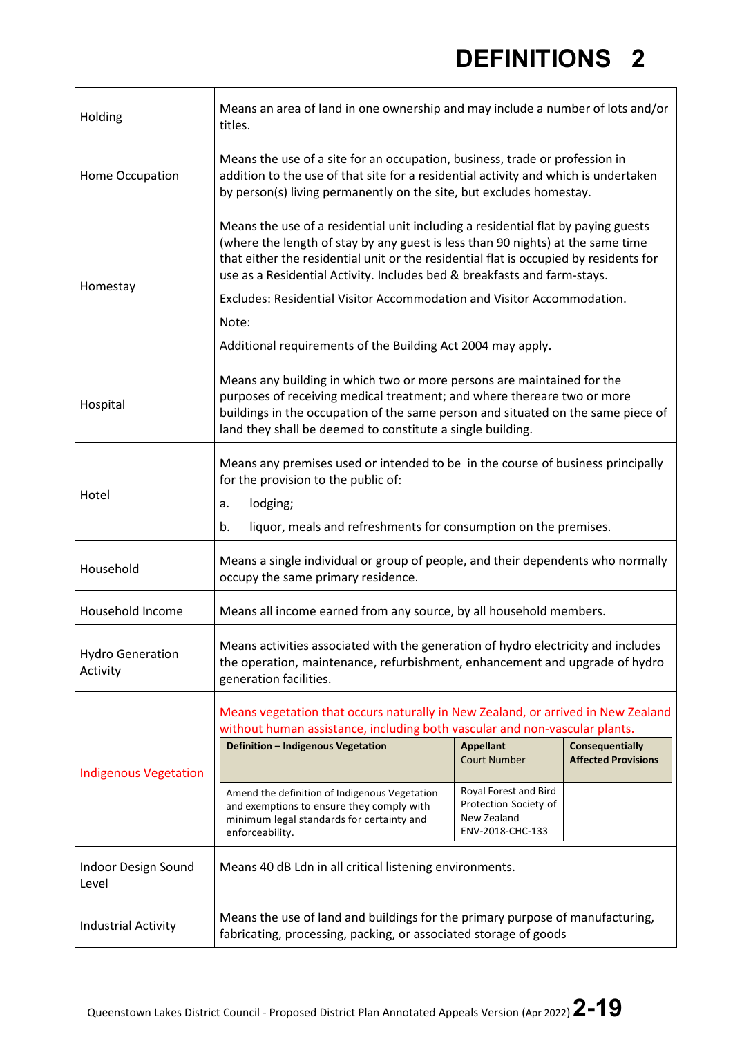| Holding                             | Means an area of land in one ownership and may include a number of lots and/or<br>titles.                                                                                                                                                                                                                                                 |                                                                                   |                                               |  |  |
|-------------------------------------|-------------------------------------------------------------------------------------------------------------------------------------------------------------------------------------------------------------------------------------------------------------------------------------------------------------------------------------------|-----------------------------------------------------------------------------------|-----------------------------------------------|--|--|
| Home Occupation                     | Means the use of a site for an occupation, business, trade or profession in<br>addition to the use of that site for a residential activity and which is undertaken<br>by person(s) living permanently on the site, but excludes homestay.                                                                                                 |                                                                                   |                                               |  |  |
| Homestay                            | Means the use of a residential unit including a residential flat by paying guests<br>(where the length of stay by any guest is less than 90 nights) at the same time<br>that either the residential unit or the residential flat is occupied by residents for<br>use as a Residential Activity. Includes bed & breakfasts and farm-stays. |                                                                                   |                                               |  |  |
|                                     | Excludes: Residential Visitor Accommodation and Visitor Accommodation.                                                                                                                                                                                                                                                                    |                                                                                   |                                               |  |  |
|                                     | Note:                                                                                                                                                                                                                                                                                                                                     |                                                                                   |                                               |  |  |
|                                     | Additional requirements of the Building Act 2004 may apply.                                                                                                                                                                                                                                                                               |                                                                                   |                                               |  |  |
| Hospital                            | Means any building in which two or more persons are maintained for the<br>purposes of receiving medical treatment; and where thereare two or more<br>buildings in the occupation of the same person and situated on the same piece of<br>land they shall be deemed to constitute a single building.                                       |                                                                                   |                                               |  |  |
| Hotel                               | Means any premises used or intended to be in the course of business principally<br>for the provision to the public of:                                                                                                                                                                                                                    |                                                                                   |                                               |  |  |
|                                     | lodging;<br>a.                                                                                                                                                                                                                                                                                                                            |                                                                                   |                                               |  |  |
|                                     | liquor, meals and refreshments for consumption on the premises.<br>b.                                                                                                                                                                                                                                                                     |                                                                                   |                                               |  |  |
| Household                           | Means a single individual or group of people, and their dependents who normally<br>occupy the same primary residence.                                                                                                                                                                                                                     |                                                                                   |                                               |  |  |
| Household Income                    | Means all income earned from any source, by all household members.                                                                                                                                                                                                                                                                        |                                                                                   |                                               |  |  |
| <b>Hydro Generation</b><br>Activity | Means activities associated with the generation of hydro electricity and includes<br>the operation, maintenance, refurbishment, enhancement and upgrade of hydro<br>generation facilities.                                                                                                                                                |                                                                                   |                                               |  |  |
|                                     | Means vegetation that occurs naturally in New Zealand, or arrived in New Zealand<br>without human assistance, including both vascular and non-vascular plants.                                                                                                                                                                            |                                                                                   |                                               |  |  |
| <b>Indigenous Vegetation</b>        | Definition - Indigenous Vegetation                                                                                                                                                                                                                                                                                                        | <b>Appellant</b><br><b>Court Number</b>                                           | Consequentially<br><b>Affected Provisions</b> |  |  |
|                                     | Amend the definition of Indigenous Vegetation<br>and exemptions to ensure they comply with<br>minimum legal standards for certainty and<br>enforceability.                                                                                                                                                                                | Royal Forest and Bird<br>Protection Society of<br>New Zealand<br>ENV-2018-CHC-133 |                                               |  |  |
| Indoor Design Sound<br>Level        | Means 40 dB Ldn in all critical listening environments.                                                                                                                                                                                                                                                                                   |                                                                                   |                                               |  |  |
| <b>Industrial Activity</b>          | Means the use of land and buildings for the primary purpose of manufacturing,<br>fabricating, processing, packing, or associated storage of goods                                                                                                                                                                                         |                                                                                   |                                               |  |  |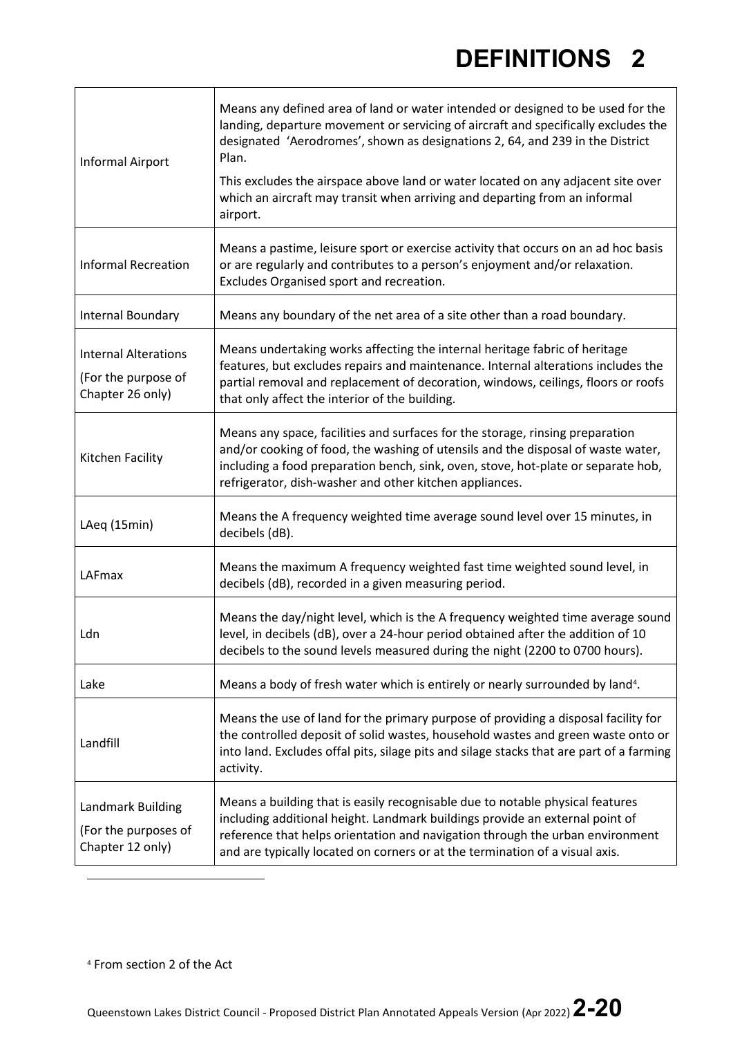<span id="page-19-0"></span>

| Informal Airport                                                       | Means any defined area of land or water intended or designed to be used for the<br>landing, departure movement or servicing of aircraft and specifically excludes the<br>designated 'Aerodromes', shown as designations 2, 64, and 239 in the District<br>Plan.<br>This excludes the airspace above land or water located on any adjacent site over<br>which an aircraft may transit when arriving and departing from an informal<br>airport. |  |
|------------------------------------------------------------------------|-----------------------------------------------------------------------------------------------------------------------------------------------------------------------------------------------------------------------------------------------------------------------------------------------------------------------------------------------------------------------------------------------------------------------------------------------|--|
| <b>Informal Recreation</b>                                             | Means a pastime, leisure sport or exercise activity that occurs on an ad hoc basis<br>or are regularly and contributes to a person's enjoyment and/or relaxation.<br>Excludes Organised sport and recreation.                                                                                                                                                                                                                                 |  |
| Internal Boundary                                                      | Means any boundary of the net area of a site other than a road boundary.                                                                                                                                                                                                                                                                                                                                                                      |  |
| <b>Internal Alterations</b><br>(For the purpose of<br>Chapter 26 only) | Means undertaking works affecting the internal heritage fabric of heritage<br>features, but excludes repairs and maintenance. Internal alterations includes the<br>partial removal and replacement of decoration, windows, ceilings, floors or roofs<br>that only affect the interior of the building.                                                                                                                                        |  |
| Kitchen Facility                                                       | Means any space, facilities and surfaces for the storage, rinsing preparation<br>and/or cooking of food, the washing of utensils and the disposal of waste water,<br>including a food preparation bench, sink, oven, stove, hot-plate or separate hob,<br>refrigerator, dish-washer and other kitchen appliances.                                                                                                                             |  |
| LAeq (15min)                                                           | Means the A frequency weighted time average sound level over 15 minutes, in<br>decibels (dB).                                                                                                                                                                                                                                                                                                                                                 |  |
| LAFmax                                                                 | Means the maximum A frequency weighted fast time weighted sound level, in<br>decibels (dB), recorded in a given measuring period.                                                                                                                                                                                                                                                                                                             |  |
| Ldn                                                                    | Means the day/night level, which is the A frequency weighted time average sound<br>level, in decibels (dB), over a 24-hour period obtained after the addition of 10<br>decibels to the sound levels measured during the night (2200 to 0700 hours).                                                                                                                                                                                           |  |
| Lake                                                                   | Means a body of fresh water which is entirely or nearly surrounded by land <sup>4</sup> .                                                                                                                                                                                                                                                                                                                                                     |  |
| Landfill                                                               | Means the use of land for the primary purpose of providing a disposal facility for<br>the controlled deposit of solid wastes, household wastes and green waste onto or<br>into land. Excludes offal pits, silage pits and silage stacks that are part of a farming<br>activity.                                                                                                                                                               |  |
| Landmark Building<br>(For the purposes of<br>Chapter 12 only)          | Means a building that is easily recognisable due to notable physical features<br>including additional height. Landmark buildings provide an external point of<br>reference that helps orientation and navigation through the urban environment<br>and are typically located on corners or at the termination of a visual axis.                                                                                                                |  |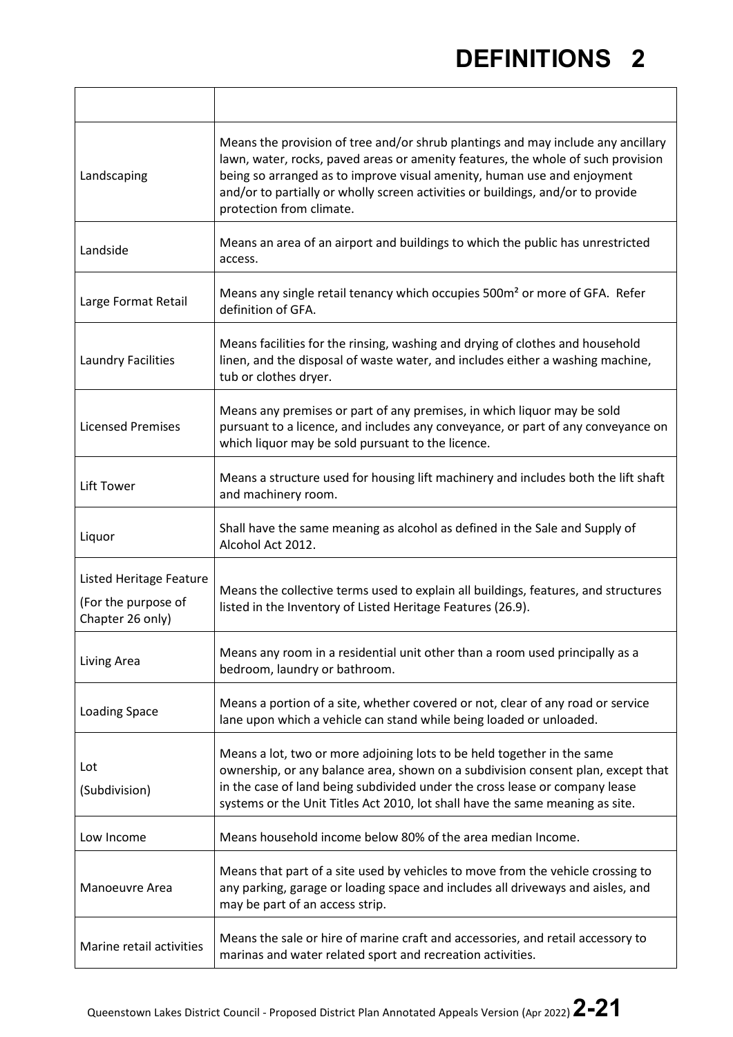$\overline{\phantom{0}}$ 

| Landscaping                                                               | Means the provision of tree and/or shrub plantings and may include any ancillary<br>lawn, water, rocks, paved areas or amenity features, the whole of such provision<br>being so arranged as to improve visual amenity, human use and enjoyment<br>and/or to partially or wholly screen activities or buildings, and/or to provide<br>protection from climate. |
|---------------------------------------------------------------------------|----------------------------------------------------------------------------------------------------------------------------------------------------------------------------------------------------------------------------------------------------------------------------------------------------------------------------------------------------------------|
| Landside                                                                  | Means an area of an airport and buildings to which the public has unrestricted<br>access.                                                                                                                                                                                                                                                                      |
| Large Format Retail                                                       | Means any single retail tenancy which occupies 500m <sup>2</sup> or more of GFA. Refer<br>definition of GFA.                                                                                                                                                                                                                                                   |
| <b>Laundry Facilities</b>                                                 | Means facilities for the rinsing, washing and drying of clothes and household<br>linen, and the disposal of waste water, and includes either a washing machine,<br>tub or clothes dryer.                                                                                                                                                                       |
| <b>Licensed Premises</b>                                                  | Means any premises or part of any premises, in which liquor may be sold<br>pursuant to a licence, and includes any conveyance, or part of any conveyance on<br>which liquor may be sold pursuant to the licence.                                                                                                                                               |
| Lift Tower                                                                | Means a structure used for housing lift machinery and includes both the lift shaft<br>and machinery room.                                                                                                                                                                                                                                                      |
| Liquor                                                                    | Shall have the same meaning as alcohol as defined in the Sale and Supply of<br>Alcohol Act 2012.                                                                                                                                                                                                                                                               |
| <b>Listed Heritage Feature</b><br>(For the purpose of<br>Chapter 26 only) | Means the collective terms used to explain all buildings, features, and structures<br>listed in the Inventory of Listed Heritage Features (26.9).                                                                                                                                                                                                              |
| Living Area                                                               | Means any room in a residential unit other than a room used principally as a<br>bedroom, laundry or bathroom.                                                                                                                                                                                                                                                  |
| <b>Loading Space</b>                                                      | Means a portion of a site, whether covered or not, clear of any road or service<br>lane upon which a vehicle can stand while being loaded or unloaded.                                                                                                                                                                                                         |
| Lot<br>(Subdivision)                                                      | Means a lot, two or more adjoining lots to be held together in the same<br>ownership, or any balance area, shown on a subdivision consent plan, except that<br>in the case of land being subdivided under the cross lease or company lease<br>systems or the Unit Titles Act 2010, lot shall have the same meaning as site.                                    |
| Low Income                                                                | Means household income below 80% of the area median Income.                                                                                                                                                                                                                                                                                                    |
| Manoeuvre Area                                                            | Means that part of a site used by vehicles to move from the vehicle crossing to<br>any parking, garage or loading space and includes all driveways and aisles, and<br>may be part of an access strip.                                                                                                                                                          |
| Marine retail activities                                                  | Means the sale or hire of marine craft and accessories, and retail accessory to<br>marinas and water related sport and recreation activities.                                                                                                                                                                                                                  |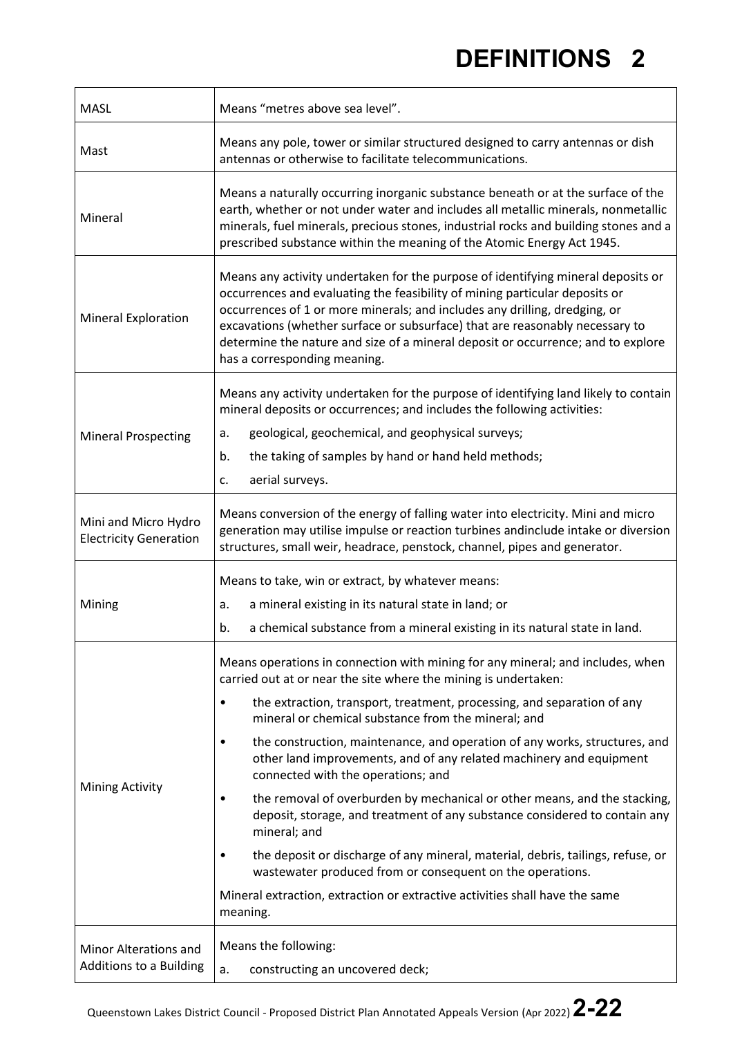| <b>MASL</b>                                           | Means "metres above sea level".                                                                                                                                                                                                                                                                                                                                                                                                                   |  |  |
|-------------------------------------------------------|---------------------------------------------------------------------------------------------------------------------------------------------------------------------------------------------------------------------------------------------------------------------------------------------------------------------------------------------------------------------------------------------------------------------------------------------------|--|--|
| Mast                                                  | Means any pole, tower or similar structured designed to carry antennas or dish<br>antennas or otherwise to facilitate telecommunications.                                                                                                                                                                                                                                                                                                         |  |  |
| Mineral                                               | Means a naturally occurring inorganic substance beneath or at the surface of the<br>earth, whether or not under water and includes all metallic minerals, nonmetallic<br>minerals, fuel minerals, precious stones, industrial rocks and building stones and a<br>prescribed substance within the meaning of the Atomic Energy Act 1945.                                                                                                           |  |  |
| <b>Mineral Exploration</b>                            | Means any activity undertaken for the purpose of identifying mineral deposits or<br>occurrences and evaluating the feasibility of mining particular deposits or<br>occurrences of 1 or more minerals; and includes any drilling, dredging, or<br>excavations (whether surface or subsurface) that are reasonably necessary to<br>determine the nature and size of a mineral deposit or occurrence; and to explore<br>has a corresponding meaning. |  |  |
|                                                       | Means any activity undertaken for the purpose of identifying land likely to contain<br>mineral deposits or occurrences; and includes the following activities:                                                                                                                                                                                                                                                                                    |  |  |
| <b>Mineral Prospecting</b>                            | geological, geochemical, and geophysical surveys;<br>a.                                                                                                                                                                                                                                                                                                                                                                                           |  |  |
|                                                       | b.<br>the taking of samples by hand or hand held methods;                                                                                                                                                                                                                                                                                                                                                                                         |  |  |
|                                                       | aerial surveys.<br>c.                                                                                                                                                                                                                                                                                                                                                                                                                             |  |  |
| Mini and Micro Hydro<br><b>Electricity Generation</b> | Means conversion of the energy of falling water into electricity. Mini and micro<br>generation may utilise impulse or reaction turbines andinclude intake or diversion<br>structures, small weir, headrace, penstock, channel, pipes and generator.                                                                                                                                                                                               |  |  |
|                                                       | Means to take, win or extract, by whatever means:                                                                                                                                                                                                                                                                                                                                                                                                 |  |  |
| Mining                                                | a mineral existing in its natural state in land; or<br>a.                                                                                                                                                                                                                                                                                                                                                                                         |  |  |
|                                                       | a chemical substance from a mineral existing in its natural state in land.<br>b.                                                                                                                                                                                                                                                                                                                                                                  |  |  |
|                                                       | Means operations in connection with mining for any mineral; and includes, when<br>carried out at or near the site where the mining is undertaken:                                                                                                                                                                                                                                                                                                 |  |  |
| <b>Mining Activity</b>                                | the extraction, transport, treatment, processing, and separation of any<br>$\bullet$<br>mineral or chemical substance from the mineral; and                                                                                                                                                                                                                                                                                                       |  |  |
|                                                       | the construction, maintenance, and operation of any works, structures, and<br>$\bullet$<br>other land improvements, and of any related machinery and equipment<br>connected with the operations; and                                                                                                                                                                                                                                              |  |  |
|                                                       | the removal of overburden by mechanical or other means, and the stacking,<br>٠<br>deposit, storage, and treatment of any substance considered to contain any<br>mineral; and                                                                                                                                                                                                                                                                      |  |  |
|                                                       | the deposit or discharge of any mineral, material, debris, tailings, refuse, or<br>$\bullet$<br>wastewater produced from or consequent on the operations.                                                                                                                                                                                                                                                                                         |  |  |
|                                                       | Mineral extraction, extraction or extractive activities shall have the same<br>meaning.                                                                                                                                                                                                                                                                                                                                                           |  |  |
| Minor Alterations and                                 | Means the following:                                                                                                                                                                                                                                                                                                                                                                                                                              |  |  |
| Additions to a Building                               | a.<br>constructing an uncovered deck;                                                                                                                                                                                                                                                                                                                                                                                                             |  |  |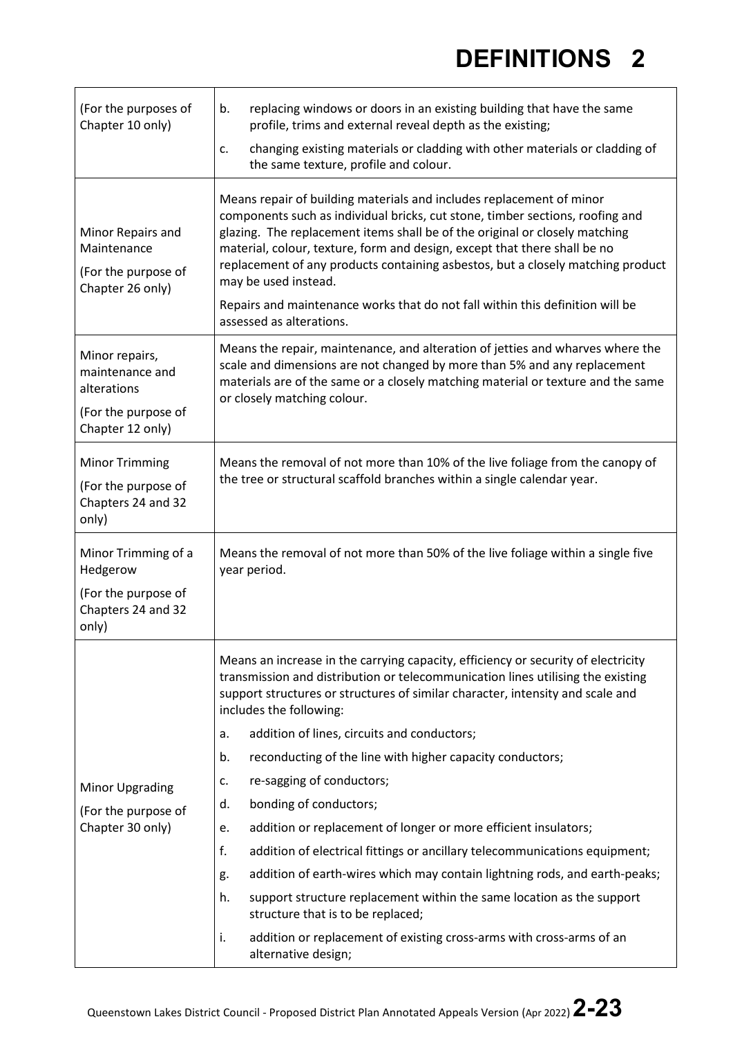| (For the purposes of<br>Chapter 10 only)                                                    | replacing windows or doors in an existing building that have the same<br>b.<br>profile, trims and external reveal depth as the existing;                                                                                                                                                                                                                                                                                                                                                                                                  |  |  |  |
|---------------------------------------------------------------------------------------------|-------------------------------------------------------------------------------------------------------------------------------------------------------------------------------------------------------------------------------------------------------------------------------------------------------------------------------------------------------------------------------------------------------------------------------------------------------------------------------------------------------------------------------------------|--|--|--|
|                                                                                             | changing existing materials or cladding with other materials or cladding of<br>c.<br>the same texture, profile and colour.                                                                                                                                                                                                                                                                                                                                                                                                                |  |  |  |
| Minor Repairs and<br>Maintenance<br>(For the purpose of<br>Chapter 26 only)                 | Means repair of building materials and includes replacement of minor<br>components such as individual bricks, cut stone, timber sections, roofing and<br>glazing. The replacement items shall be of the original or closely matching<br>material, colour, texture, form and design, except that there shall be no<br>replacement of any products containing asbestos, but a closely matching product<br>may be used instead.<br>Repairs and maintenance works that do not fall within this definition will be<br>assessed as alterations. |  |  |  |
| Minor repairs,<br>maintenance and<br>alterations<br>(For the purpose of<br>Chapter 12 only) | Means the repair, maintenance, and alteration of jetties and wharves where the<br>scale and dimensions are not changed by more than 5% and any replacement<br>materials are of the same or a closely matching material or texture and the same<br>or closely matching colour.                                                                                                                                                                                                                                                             |  |  |  |
| <b>Minor Trimming</b><br>(For the purpose of<br>Chapters 24 and 32<br>only)                 | Means the removal of not more than 10% of the live foliage from the canopy of<br>the tree or structural scaffold branches within a single calendar year.                                                                                                                                                                                                                                                                                                                                                                                  |  |  |  |
| Minor Trimming of a<br>Hedgerow                                                             | Means the removal of not more than 50% of the live foliage within a single five<br>year period.                                                                                                                                                                                                                                                                                                                                                                                                                                           |  |  |  |
| (For the purpose of<br>Chapters 24 and 32<br>only)                                          |                                                                                                                                                                                                                                                                                                                                                                                                                                                                                                                                           |  |  |  |
|                                                                                             | Means an increase in the carrying capacity, efficiency or security of electricity<br>transmission and distribution or telecommunication lines utilising the existing<br>support structures or structures of similar character, intensity and scale and<br>includes the following:                                                                                                                                                                                                                                                         |  |  |  |
|                                                                                             | addition of lines, circuits and conductors;<br>a.                                                                                                                                                                                                                                                                                                                                                                                                                                                                                         |  |  |  |
|                                                                                             | reconducting of the line with higher capacity conductors;<br>b.                                                                                                                                                                                                                                                                                                                                                                                                                                                                           |  |  |  |
| <b>Minor Upgrading</b><br>(For the purpose of<br>Chapter 30 only)                           | re-sagging of conductors;<br>c.                                                                                                                                                                                                                                                                                                                                                                                                                                                                                                           |  |  |  |
|                                                                                             | bonding of conductors;<br>d.                                                                                                                                                                                                                                                                                                                                                                                                                                                                                                              |  |  |  |
|                                                                                             | addition or replacement of longer or more efficient insulators;<br>e.                                                                                                                                                                                                                                                                                                                                                                                                                                                                     |  |  |  |
|                                                                                             | f.<br>addition of electrical fittings or ancillary telecommunications equipment;                                                                                                                                                                                                                                                                                                                                                                                                                                                          |  |  |  |
|                                                                                             | addition of earth-wires which may contain lightning rods, and earth-peaks;<br>g.                                                                                                                                                                                                                                                                                                                                                                                                                                                          |  |  |  |
|                                                                                             | h.<br>support structure replacement within the same location as the support<br>structure that is to be replaced;                                                                                                                                                                                                                                                                                                                                                                                                                          |  |  |  |
|                                                                                             | addition or replacement of existing cross-arms with cross-arms of an<br>i.<br>alternative design;                                                                                                                                                                                                                                                                                                                                                                                                                                         |  |  |  |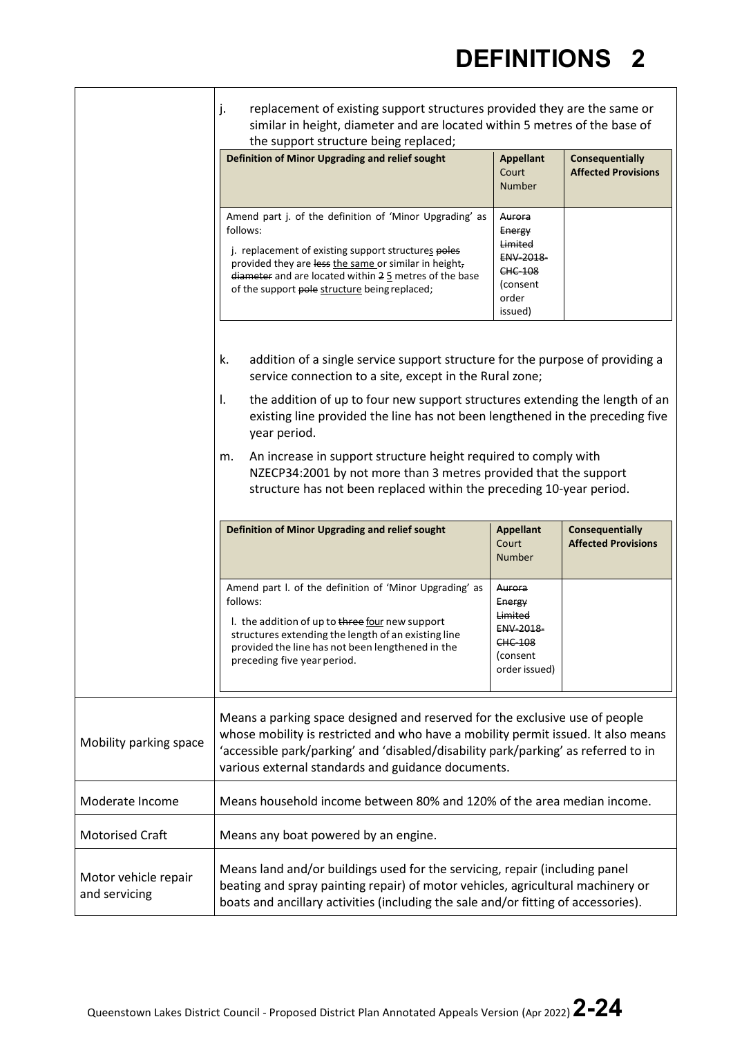|                        | j.<br>replacement of existing support structures provided they are the same or<br>similar in height, diameter and are located within 5 metres of the base of                                                                                                                                                                                                                                                                                                                                                                                               |                                                                                                  |                                                      |  |
|------------------------|------------------------------------------------------------------------------------------------------------------------------------------------------------------------------------------------------------------------------------------------------------------------------------------------------------------------------------------------------------------------------------------------------------------------------------------------------------------------------------------------------------------------------------------------------------|--------------------------------------------------------------------------------------------------|------------------------------------------------------|--|
|                        | the support structure being replaced;<br>Definition of Minor Upgrading and relief sought                                                                                                                                                                                                                                                                                                                                                                                                                                                                   | <b>Appellant</b><br>Court<br><b>Number</b>                                                       | Consequentially<br><b>Affected Provisions</b>        |  |
|                        | Amend part j. of the definition of 'Minor Upgrading' as<br>follows:<br>j. replacement of existing support structures poles<br>provided they are less the same or similar in height,<br>diameter and are located within 25 metres of the base<br>of the support pole structure being replaced;                                                                                                                                                                                                                                                              | Aurora<br>Energy<br>Limited<br><b>ENV 2018</b><br><b>CHC 108</b><br>(consent<br>order<br>issued) |                                                      |  |
|                        | addition of a single service support structure for the purpose of providing a<br>k.<br>service connection to a site, except in the Rural zone;<br>the addition of up to four new support structures extending the length of an<br>Ι.<br>existing line provided the line has not been lengthened in the preceding five<br>year period.<br>An increase in support structure height required to comply with<br>m.<br>NZECP34:2001 by not more than 3 metres provided that the support<br>structure has not been replaced within the preceding 10-year period. |                                                                                                  |                                                      |  |
|                        |                                                                                                                                                                                                                                                                                                                                                                                                                                                                                                                                                            |                                                                                                  |                                                      |  |
|                        |                                                                                                                                                                                                                                                                                                                                                                                                                                                                                                                                                            |                                                                                                  |                                                      |  |
|                        | Definition of Minor Upgrading and relief sought                                                                                                                                                                                                                                                                                                                                                                                                                                                                                                            | <b>Appellant</b><br>Court<br><b>Number</b>                                                       | <b>Consequentially</b><br><b>Affected Provisions</b> |  |
|                        | Amend part I. of the definition of 'Minor Upgrading' as<br>follows:<br>I. the addition of up to three four new support<br>structures extending the length of an existing line<br>provided the line has not been lengthened in the<br>preceding five year period.                                                                                                                                                                                                                                                                                           | Aurora<br>Energy<br>Limited<br><b>ENV 2018</b><br>CHC-108<br>(consent<br>order issued)           |                                                      |  |
| Mobility parking space | Means a parking space designed and reserved for the exclusive use of people<br>whose mobility is restricted and who have a mobility permit issued. It also means<br>'accessible park/parking' and 'disabled/disability park/parking' as referred to in<br>various external standards and guidance documents.                                                                                                                                                                                                                                               |                                                                                                  |                                                      |  |
| Moderate Income        | Means household income between 80% and 120% of the area median income.                                                                                                                                                                                                                                                                                                                                                                                                                                                                                     |                                                                                                  |                                                      |  |
|                        |                                                                                                                                                                                                                                                                                                                                                                                                                                                                                                                                                            | Means any boat powered by an engine.                                                             |                                                      |  |
| <b>Motorised Craft</b> |                                                                                                                                                                                                                                                                                                                                                                                                                                                                                                                                                            |                                                                                                  |                                                      |  |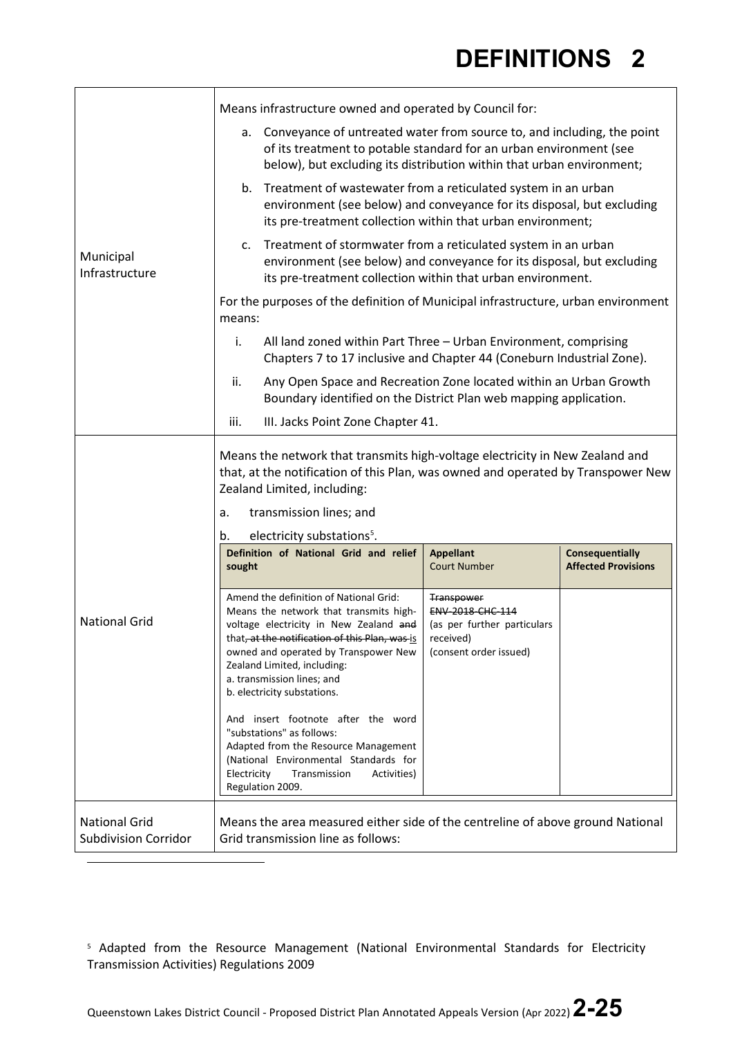| Municipal<br>Infrastructure                         |                                                                                                                                                                                                                                                                                  |                                                                                                                                                                                                                                                                                                                                                                                                                             |                                                                                                                    |                                                      |
|-----------------------------------------------------|----------------------------------------------------------------------------------------------------------------------------------------------------------------------------------------------------------------------------------------------------------------------------------|-----------------------------------------------------------------------------------------------------------------------------------------------------------------------------------------------------------------------------------------------------------------------------------------------------------------------------------------------------------------------------------------------------------------------------|--------------------------------------------------------------------------------------------------------------------|------------------------------------------------------|
|                                                     | Means infrastructure owned and operated by Council for:                                                                                                                                                                                                                          |                                                                                                                                                                                                                                                                                                                                                                                                                             |                                                                                                                    |                                                      |
|                                                     | Conveyance of untreated water from source to, and including, the point<br>а.<br>of its treatment to potable standard for an urban environment (see<br>below), but excluding its distribution within that urban environment;                                                      |                                                                                                                                                                                                                                                                                                                                                                                                                             |                                                                                                                    |                                                      |
|                                                     | b. Treatment of wastewater from a reticulated system in an urban<br>environment (see below) and conveyance for its disposal, but excluding<br>its pre-treatment collection within that urban environment;                                                                        |                                                                                                                                                                                                                                                                                                                                                                                                                             |                                                                                                                    |                                                      |
|                                                     | c. Treatment of stormwater from a reticulated system in an urban<br>environment (see below) and conveyance for its disposal, but excluding<br>its pre-treatment collection within that urban environment.                                                                        |                                                                                                                                                                                                                                                                                                                                                                                                                             |                                                                                                                    |                                                      |
|                                                     | For the purposes of the definition of Municipal infrastructure, urban environment<br>means:                                                                                                                                                                                      |                                                                                                                                                                                                                                                                                                                                                                                                                             |                                                                                                                    |                                                      |
|                                                     | i.<br>All land zoned within Part Three - Urban Environment, comprising<br>Chapters 7 to 17 inclusive and Chapter 44 (Coneburn Industrial Zone).                                                                                                                                  |                                                                                                                                                                                                                                                                                                                                                                                                                             |                                                                                                                    |                                                      |
|                                                     | Any Open Space and Recreation Zone located within an Urban Growth<br>ii.<br>Boundary identified on the District Plan web mapping application.                                                                                                                                    |                                                                                                                                                                                                                                                                                                                                                                                                                             |                                                                                                                    |                                                      |
|                                                     | iii.<br>III. Jacks Point Zone Chapter 41.                                                                                                                                                                                                                                        |                                                                                                                                                                                                                                                                                                                                                                                                                             |                                                                                                                    |                                                      |
| <b>National Grid</b>                                | Means the network that transmits high-voltage electricity in New Zealand and<br>that, at the notification of this Plan, was owned and operated by Transpower New<br>Zealand Limited, including:<br>transmission lines; and<br>a.<br>electricity substations <sup>5</sup> .<br>b. |                                                                                                                                                                                                                                                                                                                                                                                                                             |                                                                                                                    |                                                      |
|                                                     | sought                                                                                                                                                                                                                                                                           | Definition of National Grid and relief                                                                                                                                                                                                                                                                                                                                                                                      | <b>Appellant</b><br><b>Court Number</b>                                                                            | <b>Consequentially</b><br><b>Affected Provisions</b> |
|                                                     |                                                                                                                                                                                                                                                                                  | Amend the definition of National Grid:<br>Means the network that transmits high-<br>voltage electricity in New Zealand and<br>that, at the notification of this Plan, was is<br>owned and operated by Transpower New<br>Zealand Limited, including:<br>a. transmission lines; and<br>b. electricity substations.<br>And insert footnote after the word<br>"substations" as follows:<br>Adapted from the Resource Management | <b>Transpower</b><br><b>ENV 2018 CHC 114</b><br>(as per further particulars<br>received)<br>(consent order issued) |                                                      |
|                                                     | Electricity                                                                                                                                                                                                                                                                      | (National Environmental Standards for<br>Transmission<br>Activities)<br>Regulation 2009.                                                                                                                                                                                                                                                                                                                                    |                                                                                                                    |                                                      |
| <b>National Grid</b><br><b>Subdivision Corridor</b> | Means the area measured either side of the centreline of above ground National<br>Grid transmission line as follows:                                                                                                                                                             |                                                                                                                                                                                                                                                                                                                                                                                                                             |                                                                                                                    |                                                      |

<span id="page-24-0"></span><sup>5</sup> Adapted from the Resource Management (National Environmental Standards for Electricity Transmission Activities) Regulations 2009

Queenstown Lakes District Council - Proposed District Plan Annotated Appeals Version (Apr 2022) **2-25**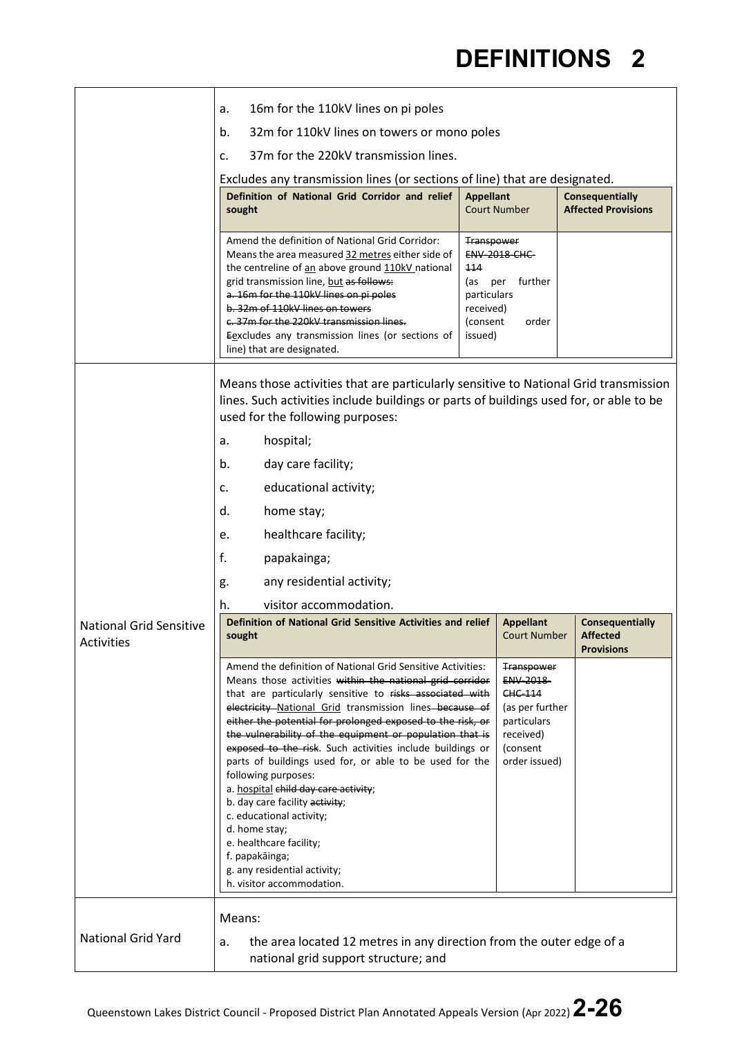|                                              | 16m for the 110kV lines on pi poles<br>a.                                                                                                                                                                                                                                                                                                                                                                                                                                                                                                                                                                                                                                                                                                                |                                                                                                                                   |                                                         |
|----------------------------------------------|----------------------------------------------------------------------------------------------------------------------------------------------------------------------------------------------------------------------------------------------------------------------------------------------------------------------------------------------------------------------------------------------------------------------------------------------------------------------------------------------------------------------------------------------------------------------------------------------------------------------------------------------------------------------------------------------------------------------------------------------------------|-----------------------------------------------------------------------------------------------------------------------------------|---------------------------------------------------------|
|                                              | b.<br>32m for 110kV lines on towers or mono poles                                                                                                                                                                                                                                                                                                                                                                                                                                                                                                                                                                                                                                                                                                        |                                                                                                                                   |                                                         |
|                                              | 37m for the 220kV transmission lines.<br>c.                                                                                                                                                                                                                                                                                                                                                                                                                                                                                                                                                                                                                                                                                                              |                                                                                                                                   |                                                         |
|                                              | Excludes any transmission lines (or sections of line) that are designated.                                                                                                                                                                                                                                                                                                                                                                                                                                                                                                                                                                                                                                                                               |                                                                                                                                   |                                                         |
|                                              | Definition of National Grid Corridor and relief<br>sought                                                                                                                                                                                                                                                                                                                                                                                                                                                                                                                                                                                                                                                                                                | <b>Appellant</b><br><b>Court Number</b>                                                                                           | Consequentially<br><b>Affected Provisions</b>           |
|                                              |                                                                                                                                                                                                                                                                                                                                                                                                                                                                                                                                                                                                                                                                                                                                                          |                                                                                                                                   |                                                         |
|                                              | Amend the definition of National Grid Corridor:<br>Means the area measured 32 metres either side of<br>the centreline of an above ground 110kV national<br>grid transmission line, but as follows:<br>a. 16m for the 110kV lines on pi poles<br>b. 32m of 110kV lines on towers<br>c. 37m for the 220kV transmission lines.<br>Eexcludes any transmission lines (or sections of<br>line) that are designated.                                                                                                                                                                                                                                                                                                                                            | <b>Transpower</b><br><b>ENV 2018 CHC</b><br>444<br>(as<br>per further<br>particulars<br>received)<br>(consent<br>order<br>issued) |                                                         |
|                                              | Means those activities that are particularly sensitive to National Grid transmission<br>lines. Such activities include buildings or parts of buildings used for, or able to be<br>used for the following purposes:                                                                                                                                                                                                                                                                                                                                                                                                                                                                                                                                       |                                                                                                                                   |                                                         |
|                                              | hospital;<br>a.                                                                                                                                                                                                                                                                                                                                                                                                                                                                                                                                                                                                                                                                                                                                          |                                                                                                                                   |                                                         |
|                                              | day care facility;<br>b.                                                                                                                                                                                                                                                                                                                                                                                                                                                                                                                                                                                                                                                                                                                                 |                                                                                                                                   |                                                         |
|                                              | educational activity;<br>c.                                                                                                                                                                                                                                                                                                                                                                                                                                                                                                                                                                                                                                                                                                                              |                                                                                                                                   |                                                         |
|                                              | d.<br>home stay;                                                                                                                                                                                                                                                                                                                                                                                                                                                                                                                                                                                                                                                                                                                                         |                                                                                                                                   |                                                         |
|                                              | healthcare facility;<br>e.                                                                                                                                                                                                                                                                                                                                                                                                                                                                                                                                                                                                                                                                                                                               |                                                                                                                                   |                                                         |
|                                              | f.<br>papakainga;                                                                                                                                                                                                                                                                                                                                                                                                                                                                                                                                                                                                                                                                                                                                        |                                                                                                                                   |                                                         |
|                                              | any residential activity;<br>g.                                                                                                                                                                                                                                                                                                                                                                                                                                                                                                                                                                                                                                                                                                                          |                                                                                                                                   |                                                         |
|                                              | visitor accommodation.<br>h.                                                                                                                                                                                                                                                                                                                                                                                                                                                                                                                                                                                                                                                                                                                             |                                                                                                                                   |                                                         |
| <b>National Grid Sensitive</b><br>Activities | Definition of National Grid Sensitive Activities and relief<br>sought                                                                                                                                                                                                                                                                                                                                                                                                                                                                                                                                                                                                                                                                                    | <b>Appellant</b><br><b>Court Number</b>                                                                                           | Consequentially<br><b>Affected</b><br><b>Provisions</b> |
|                                              | Amend the definition of National Grid Sensitive Activities:<br>Means those activities within the national grid corridor<br>that are particularly sensitive to risks associated with<br>electricity National Grid transmission lines because of<br>either the potential for prolonged exposed to the risk, or<br>the vulnerability of the equipment or population that is<br>exposed to the risk. Such activities include buildings or<br>parts of buildings used for, or able to be used for the<br>following purposes:<br>a. hospital child day care activity;<br>b. day care facility activity;<br>c. educational activity;<br>d. home stay;<br>e. healthcare facility;<br>f. papakāinga;<br>g. any residential activity;<br>h. visitor accommodation. | <b>Transpower</b><br>ENV 2018<br><b>CHC 114</b><br>(as per further<br>particulars<br>received)<br>(consent<br>order issued)       |                                                         |
| <b>National Grid Yard</b>                    | Means:<br>the area located 12 metres in any direction from the outer edge of a<br>a.<br>national grid support structure; and                                                                                                                                                                                                                                                                                                                                                                                                                                                                                                                                                                                                                             |                                                                                                                                   |                                                         |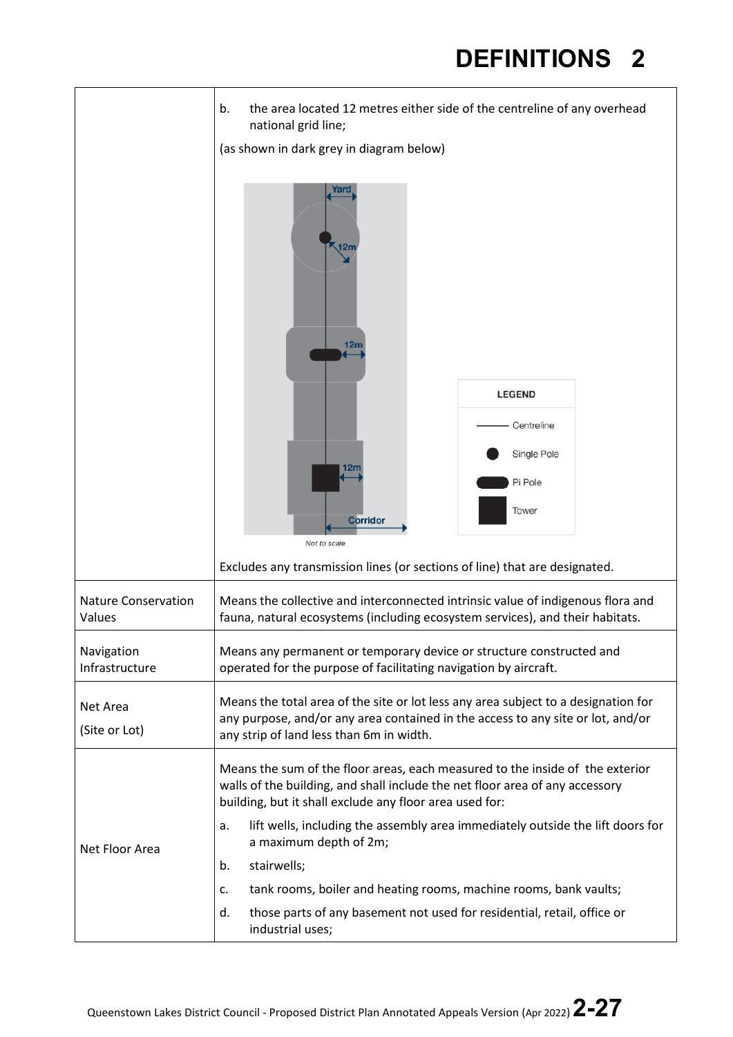|                                      | the area located 12 metres either side of the centreline of any overhead<br>b.<br>national grid line;                                                                                                                    |               |  |
|--------------------------------------|--------------------------------------------------------------------------------------------------------------------------------------------------------------------------------------------------------------------------|---------------|--|
|                                      | (as shown in dark grey in diagram below)                                                                                                                                                                                 |               |  |
|                                      | rano<br>12m                                                                                                                                                                                                              |               |  |
|                                      |                                                                                                                                                                                                                          | <b>LEGEND</b> |  |
|                                      |                                                                                                                                                                                                                          | Centreline    |  |
|                                      |                                                                                                                                                                                                                          | Single Pole   |  |
|                                      |                                                                                                                                                                                                                          | Pi Pole       |  |
|                                      | <b>Corridor</b>                                                                                                                                                                                                          | Tower         |  |
|                                      | Not to scale<br>Excludes any transmission lines (or sections of line) that are designated.                                                                                                                               |               |  |
| <b>Nature Conservation</b><br>Values | Means the collective and interconnected intrinsic value of indigenous flora and<br>fauna, natural ecosystems (including ecosystem services), and their habitats.                                                         |               |  |
| Navigation<br>Infrastructure         | Means any permanent or temporary device or structure constructed and<br>operated for the purpose of facilitating navigation by aircraft.                                                                                 |               |  |
| Net Area                             | Means the total area of the site or lot less any area subject to a designation for                                                                                                                                       |               |  |
| (Site or Lot)                        | any purpose, and/or any area contained in the access to any site or lot, and/or<br>any strip of land less than 6m in width.                                                                                              |               |  |
| Net Floor Area                       | Means the sum of the floor areas, each measured to the inside of the exterior<br>walls of the building, and shall include the net floor area of any accessory<br>building, but it shall exclude any floor area used for: |               |  |
|                                      | lift wells, including the assembly area immediately outside the lift doors for<br>a.<br>a maximum depth of 2m;                                                                                                           |               |  |
|                                      | stairwells;<br>b.                                                                                                                                                                                                        |               |  |
|                                      | tank rooms, boiler and heating rooms, machine rooms, bank vaults;<br>c.                                                                                                                                                  |               |  |
|                                      | those parts of any basement not used for residential, retail, office or<br>d.<br>industrial uses;                                                                                                                        |               |  |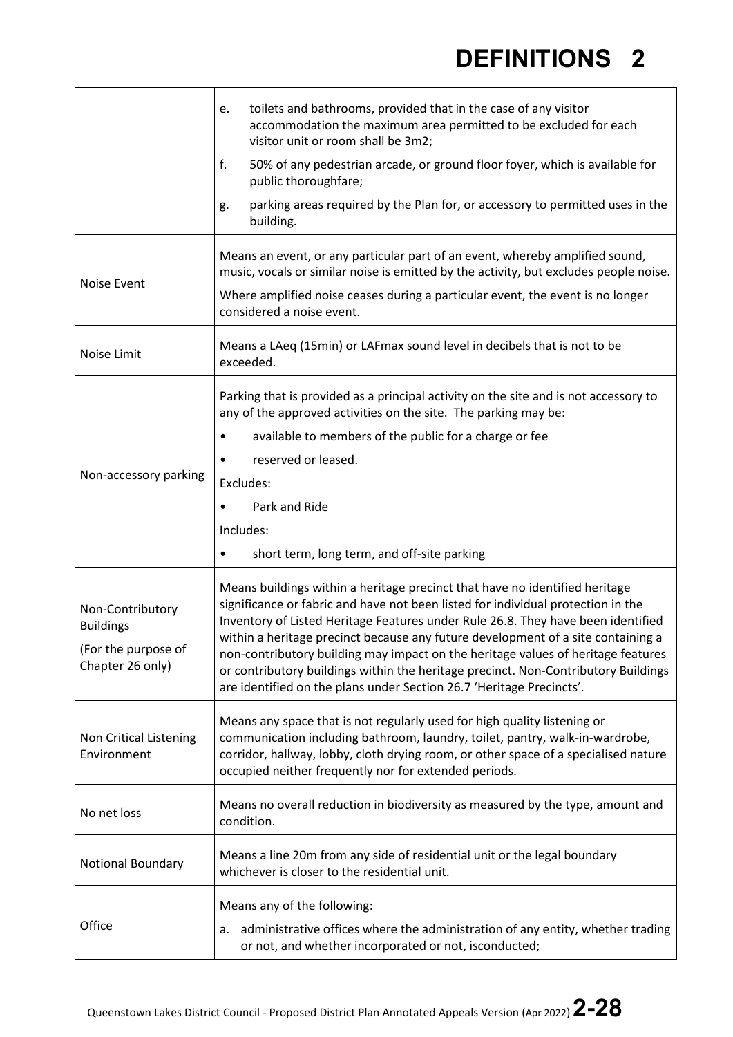| toilets and bathrooms, provided that in the case of any visitor                                                                                                                                                                                                                                                                                                                                                                                                                                                                                                                           |
|-------------------------------------------------------------------------------------------------------------------------------------------------------------------------------------------------------------------------------------------------------------------------------------------------------------------------------------------------------------------------------------------------------------------------------------------------------------------------------------------------------------------------------------------------------------------------------------------|
| accommodation the maximum area permitted to be excluded for each<br>visitor unit or room shall be 3m2;                                                                                                                                                                                                                                                                                                                                                                                                                                                                                    |
| 50% of any pedestrian arcade, or ground floor foyer, which is available for<br>public thoroughfare;                                                                                                                                                                                                                                                                                                                                                                                                                                                                                       |
| parking areas required by the Plan for, or accessory to permitted uses in the                                                                                                                                                                                                                                                                                                                                                                                                                                                                                                             |
| Means an event, or any particular part of an event, whereby amplified sound,<br>music, vocals or similar noise is emitted by the activity, but excludes people noise.                                                                                                                                                                                                                                                                                                                                                                                                                     |
| Where amplified noise ceases during a particular event, the event is no longer<br>considered a noise event.                                                                                                                                                                                                                                                                                                                                                                                                                                                                               |
| Means a LAeq (15min) or LAFmax sound level in decibels that is not to be                                                                                                                                                                                                                                                                                                                                                                                                                                                                                                                  |
| Parking that is provided as a principal activity on the site and is not accessory to<br>any of the approved activities on the site. The parking may be:                                                                                                                                                                                                                                                                                                                                                                                                                                   |
| available to members of the public for a charge or fee                                                                                                                                                                                                                                                                                                                                                                                                                                                                                                                                    |
| reserved or leased.                                                                                                                                                                                                                                                                                                                                                                                                                                                                                                                                                                       |
|                                                                                                                                                                                                                                                                                                                                                                                                                                                                                                                                                                                           |
| Park and Ride                                                                                                                                                                                                                                                                                                                                                                                                                                                                                                                                                                             |
|                                                                                                                                                                                                                                                                                                                                                                                                                                                                                                                                                                                           |
| short term, long term, and off-site parking                                                                                                                                                                                                                                                                                                                                                                                                                                                                                                                                               |
| Means buildings within a heritage precinct that have no identified heritage<br>significance or fabric and have not been listed for individual protection in the<br>Inventory of Listed Heritage Features under Rule 26.8. They have been identified<br>within a heritage precinct because any future development of a site containing a<br>non-contributory building may impact on the heritage values of heritage features<br>or contributory buildings within the heritage precinct. Non-Contributory Buildings<br>are identified on the plans under Section 26.7 'Heritage Precincts'. |
| Means any space that is not regularly used for high quality listening or<br>communication including bathroom, laundry, toilet, pantry, walk-in-wardrobe,<br>corridor, hallway, lobby, cloth drying room, or other space of a specialised nature<br>occupied neither frequently nor for extended periods.                                                                                                                                                                                                                                                                                  |
| Means no overall reduction in biodiversity as measured by the type, amount and                                                                                                                                                                                                                                                                                                                                                                                                                                                                                                            |
| Means a line 20m from any side of residential unit or the legal boundary<br>whichever is closer to the residential unit.                                                                                                                                                                                                                                                                                                                                                                                                                                                                  |
| Means any of the following:                                                                                                                                                                                                                                                                                                                                                                                                                                                                                                                                                               |
| administrative offices where the administration of any entity, whether trading<br>or not, and whether incorporated or not, isconducted;                                                                                                                                                                                                                                                                                                                                                                                                                                                   |
|                                                                                                                                                                                                                                                                                                                                                                                                                                                                                                                                                                                           |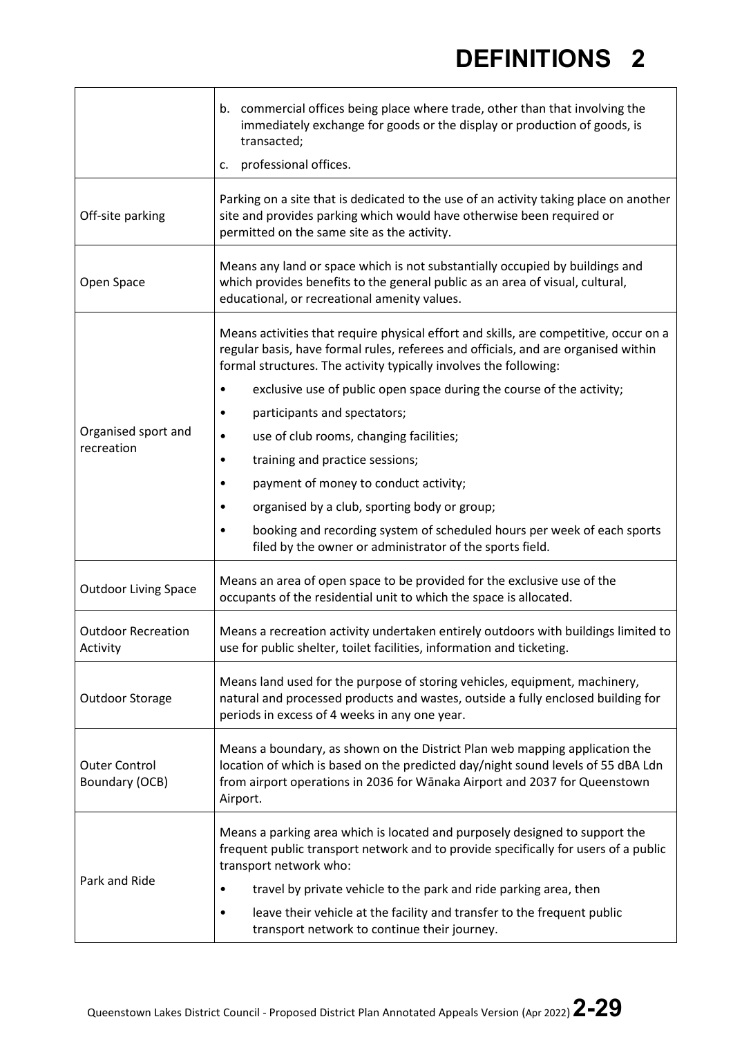|                                        | b. commercial offices being place where trade, other than that involving the<br>immediately exchange for goods or the display or production of goods, is<br>transacted;<br>professional offices.<br>c.                                                                                                                                 |
|----------------------------------------|----------------------------------------------------------------------------------------------------------------------------------------------------------------------------------------------------------------------------------------------------------------------------------------------------------------------------------------|
| Off-site parking                       | Parking on a site that is dedicated to the use of an activity taking place on another<br>site and provides parking which would have otherwise been required or<br>permitted on the same site as the activity.                                                                                                                          |
| Open Space                             | Means any land or space which is not substantially occupied by buildings and<br>which provides benefits to the general public as an area of visual, cultural,<br>educational, or recreational amenity values.                                                                                                                          |
|                                        | Means activities that require physical effort and skills, are competitive, occur on a<br>regular basis, have formal rules, referees and officials, and are organised within<br>formal structures. The activity typically involves the following:<br>exclusive use of public open space during the course of the activity;<br>$\bullet$ |
|                                        | participants and spectators;<br>٠                                                                                                                                                                                                                                                                                                      |
| Organised sport and                    | use of club rooms, changing facilities;<br>$\bullet$                                                                                                                                                                                                                                                                                   |
| recreation                             | training and practice sessions;<br>٠                                                                                                                                                                                                                                                                                                   |
|                                        | payment of money to conduct activity;<br>٠                                                                                                                                                                                                                                                                                             |
|                                        | organised by a club, sporting body or group;<br>٠                                                                                                                                                                                                                                                                                      |
|                                        | booking and recording system of scheduled hours per week of each sports<br>$\bullet$<br>filed by the owner or administrator of the sports field.                                                                                                                                                                                       |
| <b>Outdoor Living Space</b>            | Means an area of open space to be provided for the exclusive use of the<br>occupants of the residential unit to which the space is allocated.                                                                                                                                                                                          |
| <b>Outdoor Recreation</b><br>Activity  | Means a recreation activity undertaken entirely outdoors with buildings limited to<br>use for public shelter, toilet facilities, information and ticketing.                                                                                                                                                                            |
| Outdoor Storage                        | Means land used for the purpose of storing vehicles, equipment, machinery,<br>natural and processed products and wastes, outside a fully enclosed building for<br>periods in excess of 4 weeks in any one year.                                                                                                                        |
| <b>Outer Control</b><br>Boundary (OCB) | Means a boundary, as shown on the District Plan web mapping application the<br>location of which is based on the predicted day/night sound levels of 55 dBA Ldn<br>from airport operations in 2036 for Wānaka Airport and 2037 for Queenstown<br>Airport.                                                                              |
|                                        | Means a parking area which is located and purposely designed to support the<br>frequent public transport network and to provide specifically for users of a public<br>transport network who:                                                                                                                                           |
| Park and Ride                          | travel by private vehicle to the park and ride parking area, then<br>$\bullet$                                                                                                                                                                                                                                                         |
|                                        | leave their vehicle at the facility and transfer to the frequent public<br>٠<br>transport network to continue their journey.                                                                                                                                                                                                           |

 $\mathbf{r}$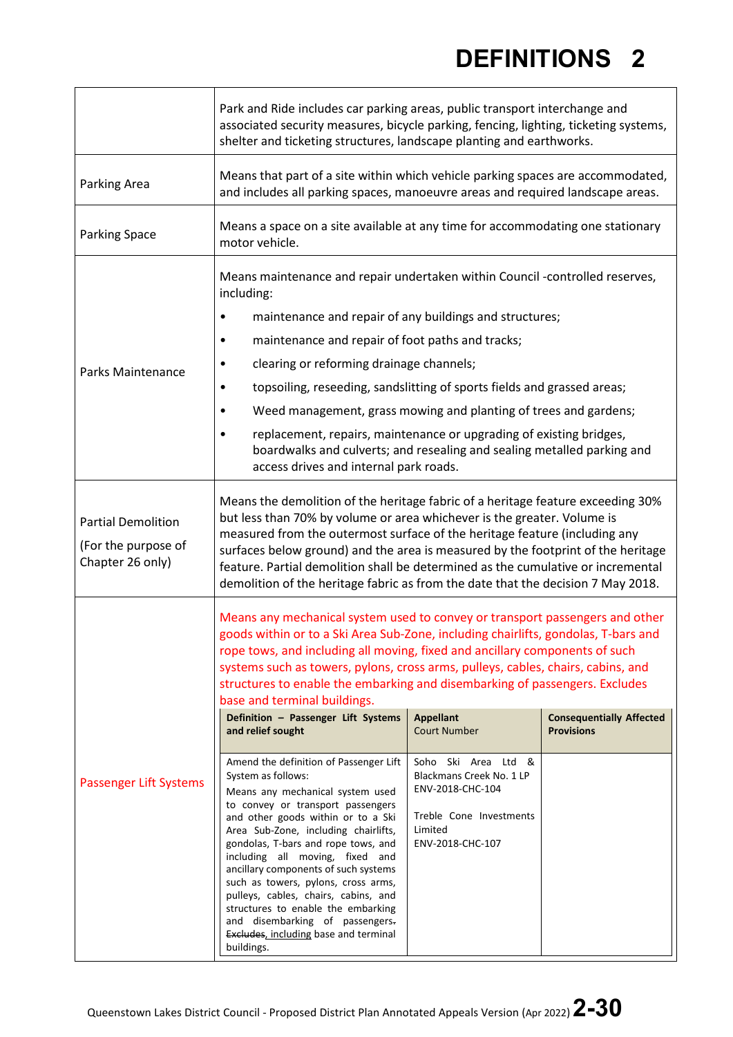|                                                                      | Park and Ride includes car parking areas, public transport interchange and<br>associated security measures, bicycle parking, fencing, lighting, ticketing systems,<br>shelter and ticketing structures, landscape planting and earthworks.                                                                                                                                                                                                                                                                                                                                                                                                                                                                                                                                                                                                                                                                                                                                                                                                                               |                                                                                                                                                                          |                                                      |
|----------------------------------------------------------------------|--------------------------------------------------------------------------------------------------------------------------------------------------------------------------------------------------------------------------------------------------------------------------------------------------------------------------------------------------------------------------------------------------------------------------------------------------------------------------------------------------------------------------------------------------------------------------------------------------------------------------------------------------------------------------------------------------------------------------------------------------------------------------------------------------------------------------------------------------------------------------------------------------------------------------------------------------------------------------------------------------------------------------------------------------------------------------|--------------------------------------------------------------------------------------------------------------------------------------------------------------------------|------------------------------------------------------|
| Parking Area                                                         | Means that part of a site within which vehicle parking spaces are accommodated,<br>and includes all parking spaces, manoeuvre areas and required landscape areas.                                                                                                                                                                                                                                                                                                                                                                                                                                                                                                                                                                                                                                                                                                                                                                                                                                                                                                        |                                                                                                                                                                          |                                                      |
| <b>Parking Space</b>                                                 | Means a space on a site available at any time for accommodating one stationary<br>motor vehicle.                                                                                                                                                                                                                                                                                                                                                                                                                                                                                                                                                                                                                                                                                                                                                                                                                                                                                                                                                                         |                                                                                                                                                                          |                                                      |
| Parks Maintenance                                                    | Means maintenance and repair undertaken within Council -controlled reserves,<br>including:<br>maintenance and repair of any buildings and structures;<br>٠<br>maintenance and repair of foot paths and tracks;<br>٠<br>clearing or reforming drainage channels;<br>٠<br>topsoiling, reseeding, sandslitting of sports fields and grassed areas;<br>٠<br>Weed management, grass mowing and planting of trees and gardens;<br>$\bullet$<br>replacement, repairs, maintenance or upgrading of existing bridges,<br>boardwalks and culverts; and resealing and sealing metalled parking and<br>access drives and internal park roads.                                                                                                                                                                                                                                                                                                                                                                                                                                        |                                                                                                                                                                          |                                                      |
| <b>Partial Demolition</b><br>(For the purpose of<br>Chapter 26 only) | Means the demolition of the heritage fabric of a heritage feature exceeding 30%<br>but less than 70% by volume or area whichever is the greater. Volume is<br>measured from the outermost surface of the heritage feature (including any<br>surfaces below ground) and the area is measured by the footprint of the heritage<br>feature. Partial demolition shall be determined as the cumulative or incremental<br>demolition of the heritage fabric as from the date that the decision 7 May 2018.                                                                                                                                                                                                                                                                                                                                                                                                                                                                                                                                                                     |                                                                                                                                                                          |                                                      |
| Passenger Lift Systems                                               | Means any mechanical system used to convey or transport passengers and other<br>goods within or to a Ski Area Sub-Zone, including chairlifts, gondolas, T-bars and<br>rope tows, and including all moving, fixed and ancillary components of such<br>systems such as towers, pylons, cross arms, pulleys, cables, chairs, cabins, and<br>structures to enable the embarking and disembarking of passengers. Excludes<br>base and terminal buildings.<br>Definition - Passenger Lift Systems<br>and relief sought<br>Amend the definition of Passenger Lift<br>System as follows:<br>Means any mechanical system used<br>to convey or transport passengers<br>and other goods within or to a Ski<br>Area Sub-Zone, including chairlifts,<br>gondolas, T-bars and rope tows, and<br>including all moving, fixed and<br>ancillary components of such systems<br>such as towers, pylons, cross arms,<br>pulleys, cables, chairs, cabins, and<br>structures to enable the embarking<br>and disembarking of passengers.<br>Excludes, including base and terminal<br>buildings. | <b>Appellant</b><br><b>Court Number</b><br>Soho Ski Area Ltd &<br>Blackmans Creek No. 1 LP<br>ENV-2018-CHC-104<br>Treble Cone Investments<br>Limited<br>ENV-2018-CHC-107 | <b>Consequentially Affected</b><br><b>Provisions</b> |

 $\mathbf{r}$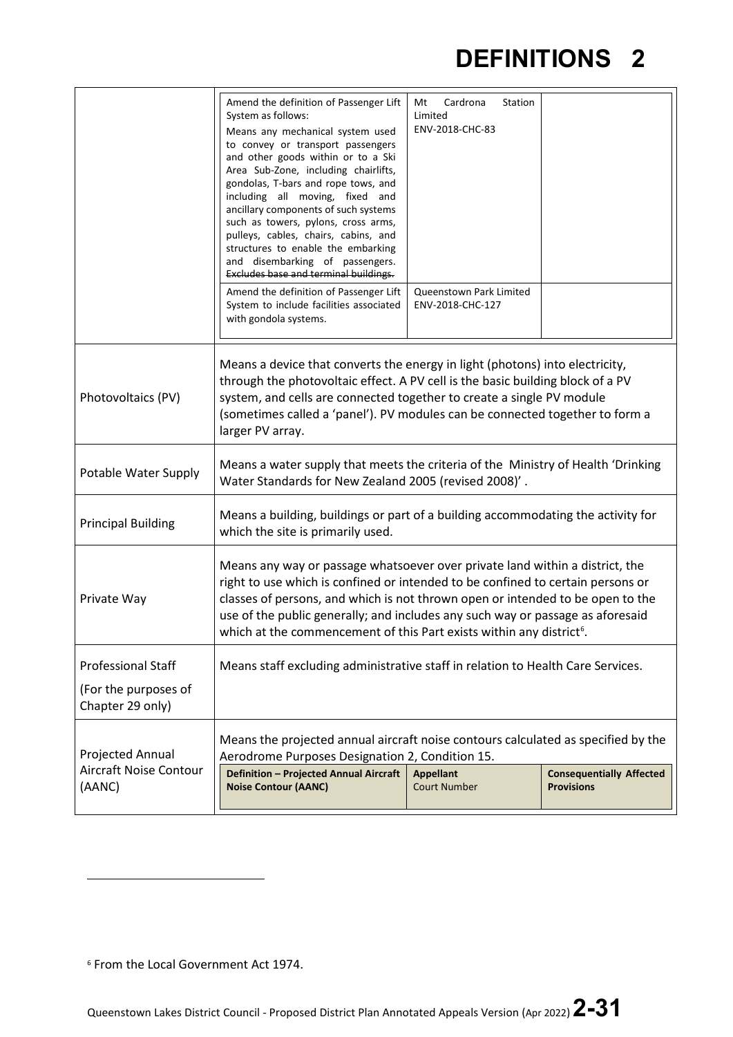|                                          | Amend the definition of Passenger Lift<br>System as follows:<br>Means any mechanical system used<br>to convey or transport passengers<br>and other goods within or to a Ski<br>Area Sub-Zone, including chairlifts,<br>gondolas, T-bars and rope tows, and<br>including all moving, fixed and<br>ancillary components of such systems<br>such as towers, pylons, cross arms,<br>pulleys, cables, chairs, cabins, and<br>structures to enable the embarking<br>and disembarking of passengers.<br><b>Excludes base and terminal buildings.</b><br>Amend the definition of Passenger Lift | Cardrona<br>Mt<br>Station<br>Limited<br>ENV-2018-CHC-83<br>Queenstown Park Limited |                                                      |
|------------------------------------------|-----------------------------------------------------------------------------------------------------------------------------------------------------------------------------------------------------------------------------------------------------------------------------------------------------------------------------------------------------------------------------------------------------------------------------------------------------------------------------------------------------------------------------------------------------------------------------------------|------------------------------------------------------------------------------------|------------------------------------------------------|
|                                          | System to include facilities associated<br>with gondola systems.                                                                                                                                                                                                                                                                                                                                                                                                                                                                                                                        | ENV-2018-CHC-127                                                                   |                                                      |
| Photovoltaics (PV)                       | Means a device that converts the energy in light (photons) into electricity,<br>through the photovoltaic effect. A PV cell is the basic building block of a PV<br>system, and cells are connected together to create a single PV module<br>(sometimes called a 'panel'). PV modules can be connected together to form a<br>larger PV array.                                                                                                                                                                                                                                             |                                                                                    |                                                      |
| Potable Water Supply                     | Means a water supply that meets the criteria of the Ministry of Health 'Drinking<br>Water Standards for New Zealand 2005 (revised 2008)'.                                                                                                                                                                                                                                                                                                                                                                                                                                               |                                                                                    |                                                      |
| <b>Principal Building</b>                | Means a building, buildings or part of a building accommodating the activity for<br>which the site is primarily used.                                                                                                                                                                                                                                                                                                                                                                                                                                                                   |                                                                                    |                                                      |
| Private Way                              | Means any way or passage whatsoever over private land within a district, the<br>right to use which is confined or intended to be confined to certain persons or<br>classes of persons, and which is not thrown open or intended to be open to the<br>use of the public generally; and includes any such way or passage as aforesaid<br>which at the commencement of this Part exists within any district <sup>6</sup> .                                                                                                                                                                 |                                                                                    |                                                      |
| <b>Professional Staff</b>                | Means staff excluding administrative staff in relation to Health Care Services.                                                                                                                                                                                                                                                                                                                                                                                                                                                                                                         |                                                                                    |                                                      |
| (For the purposes of<br>Chapter 29 only) |                                                                                                                                                                                                                                                                                                                                                                                                                                                                                                                                                                                         |                                                                                    |                                                      |
| Projected Annual                         | Means the projected annual aircraft noise contours calculated as specified by the<br>Aerodrome Purposes Designation 2, Condition 15.                                                                                                                                                                                                                                                                                                                                                                                                                                                    |                                                                                    |                                                      |
| Aircraft Noise Contour<br>(AANC)         | Definition - Projected Annual Aircraft<br><b>Noise Contour (AANC)</b>                                                                                                                                                                                                                                                                                                                                                                                                                                                                                                                   | <b>Appellant</b><br><b>Court Number</b>                                            | <b>Consequentially Affected</b><br><b>Provisions</b> |

<span id="page-30-0"></span><sup>6</sup> From the Local Government Act 1974.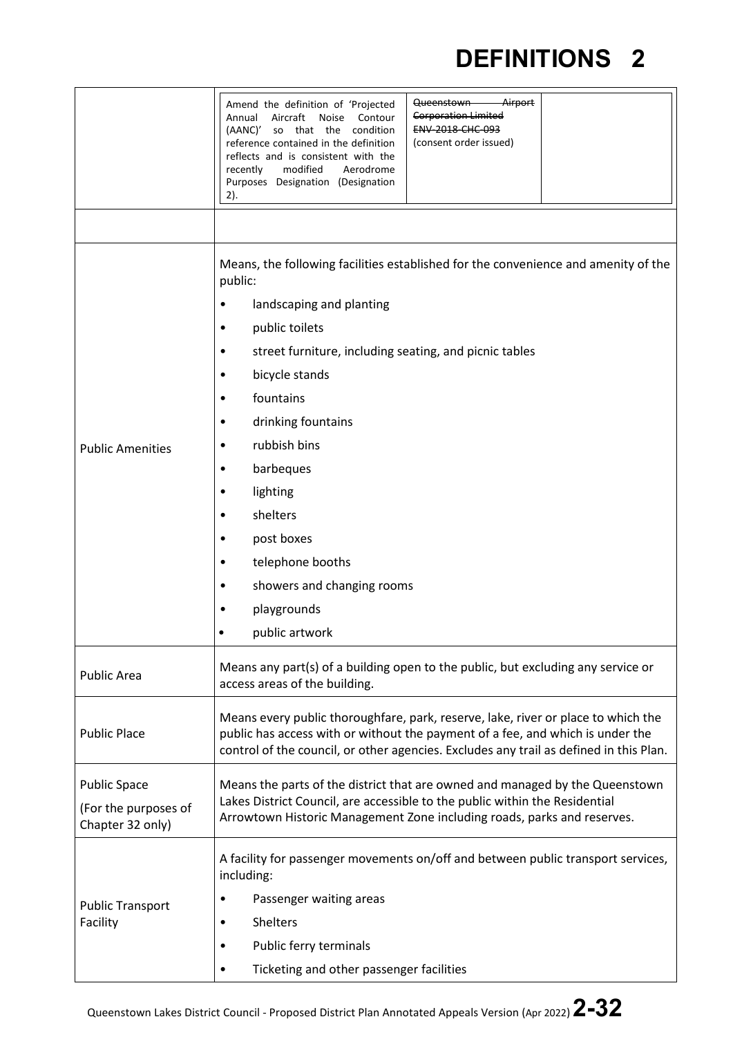|                         | Airport<br>Queenstown<br>Amend the definition of 'Projected<br><b>Corporation Limited</b><br>Aircraft<br><b>Noise</b><br>Annual<br>Contour<br><b>ENV 2018 CHC 093</b><br>(AANC)'<br>so that the condition<br>(consent order issued)<br>reference contained in the definition<br>reflects and is consistent with the<br>modified<br>recently<br>Aerodrome<br>Purposes Designation (Designation<br>2). |  |  |  |
|-------------------------|------------------------------------------------------------------------------------------------------------------------------------------------------------------------------------------------------------------------------------------------------------------------------------------------------------------------------------------------------------------------------------------------------|--|--|--|
|                         | Means, the following facilities established for the convenience and amenity of the                                                                                                                                                                                                                                                                                                                   |  |  |  |
|                         | public:                                                                                                                                                                                                                                                                                                                                                                                              |  |  |  |
|                         | landscaping and planting<br>$\bullet$                                                                                                                                                                                                                                                                                                                                                                |  |  |  |
|                         | public toilets<br>٠                                                                                                                                                                                                                                                                                                                                                                                  |  |  |  |
|                         | street furniture, including seating, and picnic tables<br>$\bullet$                                                                                                                                                                                                                                                                                                                                  |  |  |  |
|                         | bicycle stands<br>٠                                                                                                                                                                                                                                                                                                                                                                                  |  |  |  |
|                         | fountains<br>٠                                                                                                                                                                                                                                                                                                                                                                                       |  |  |  |
|                         | drinking fountains<br>٠                                                                                                                                                                                                                                                                                                                                                                              |  |  |  |
| <b>Public Amenities</b> | rubbish bins<br>٠                                                                                                                                                                                                                                                                                                                                                                                    |  |  |  |
|                         | barbeques<br>٠                                                                                                                                                                                                                                                                                                                                                                                       |  |  |  |
|                         | lighting<br>٠                                                                                                                                                                                                                                                                                                                                                                                        |  |  |  |
|                         | shelters<br>٠                                                                                                                                                                                                                                                                                                                                                                                        |  |  |  |
|                         | post boxes<br>٠                                                                                                                                                                                                                                                                                                                                                                                      |  |  |  |
|                         | telephone booths<br>٠                                                                                                                                                                                                                                                                                                                                                                                |  |  |  |
|                         | showers and changing rooms<br>$\bullet$                                                                                                                                                                                                                                                                                                                                                              |  |  |  |
|                         | playgrounds                                                                                                                                                                                                                                                                                                                                                                                          |  |  |  |
|                         | public artwork                                                                                                                                                                                                                                                                                                                                                                                       |  |  |  |
| <b>Public Area</b>      | Means any part(s) of a building open to the public, but excluding any service or<br>access areas of the building.                                                                                                                                                                                                                                                                                    |  |  |  |
| <b>Public Place</b>     | Means every public thoroughfare, park, reserve, lake, river or place to which the<br>public has access with or without the payment of a fee, and which is under the<br>control of the council, or other agencies. Excludes any trail as defined in this Plan.                                                                                                                                        |  |  |  |
| <b>Public Space</b>     | Means the parts of the district that are owned and managed by the Queenstown                                                                                                                                                                                                                                                                                                                         |  |  |  |
| (For the purposes of    | Lakes District Council, are accessible to the public within the Residential                                                                                                                                                                                                                                                                                                                          |  |  |  |
| Chapter 32 only)        | Arrowtown Historic Management Zone including roads, parks and reserves.                                                                                                                                                                                                                                                                                                                              |  |  |  |
| <b>Public Transport</b> | A facility for passenger movements on/off and between public transport services,<br>including:                                                                                                                                                                                                                                                                                                       |  |  |  |
|                         | Passenger waiting areas<br>$\bullet$                                                                                                                                                                                                                                                                                                                                                                 |  |  |  |
| Facility                | <b>Shelters</b><br>٠                                                                                                                                                                                                                                                                                                                                                                                 |  |  |  |
|                         | Public ferry terminals<br>$\bullet$                                                                                                                                                                                                                                                                                                                                                                  |  |  |  |
|                         | Ticketing and other passenger facilities<br>$\bullet$                                                                                                                                                                                                                                                                                                                                                |  |  |  |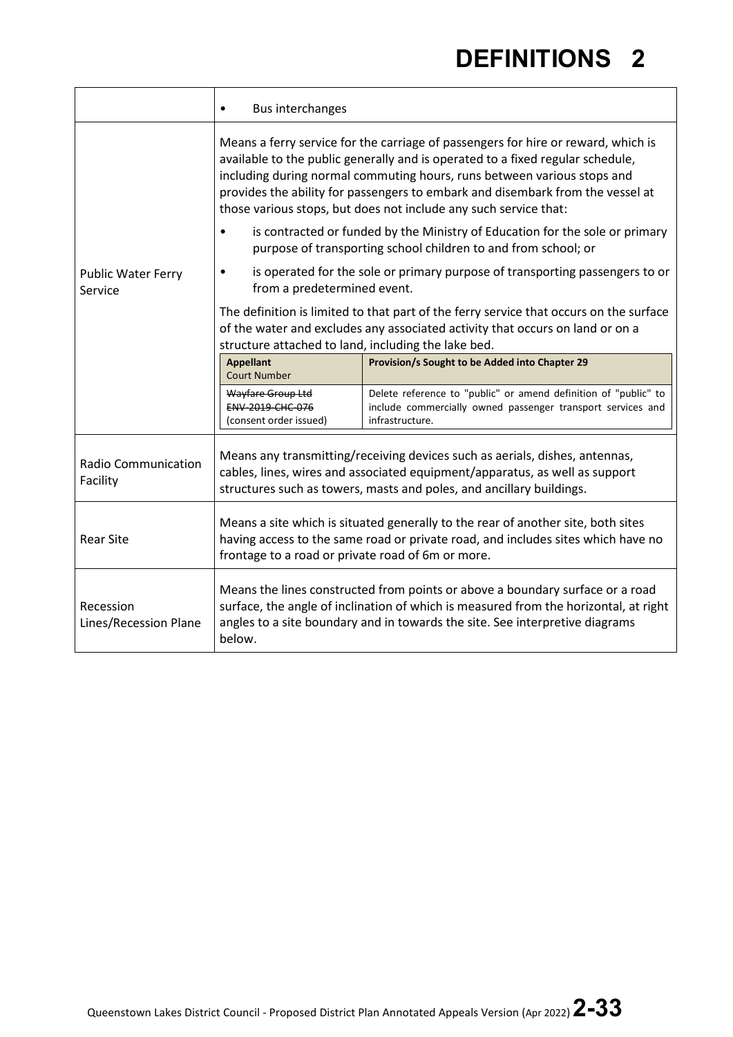|                                        | <b>Bus interchanges</b><br>$\bullet$                                                                                                                                                                                                                                                                                                                                                                 |                                                                                                                                                                         |  |
|----------------------------------------|------------------------------------------------------------------------------------------------------------------------------------------------------------------------------------------------------------------------------------------------------------------------------------------------------------------------------------------------------------------------------------------------------|-------------------------------------------------------------------------------------------------------------------------------------------------------------------------|--|
|                                        | Means a ferry service for the carriage of passengers for hire or reward, which is<br>available to the public generally and is operated to a fixed regular schedule,<br>including during normal commuting hours, runs between various stops and<br>provides the ability for passengers to embark and disembark from the vessel at<br>those various stops, but does not include any such service that: |                                                                                                                                                                         |  |
|                                        | $\bullet$                                                                                                                                                                                                                                                                                                                                                                                            | is contracted or funded by the Ministry of Education for the sole or primary<br>purpose of transporting school children to and from school; or                          |  |
| <b>Public Water Ferry</b><br>Service   | from a predetermined event.                                                                                                                                                                                                                                                                                                                                                                          | is operated for the sole or primary purpose of transporting passengers to or                                                                                            |  |
|                                        | structure attached to land, including the lake bed.                                                                                                                                                                                                                                                                                                                                                  | The definition is limited to that part of the ferry service that occurs on the surface<br>of the water and excludes any associated activity that occurs on land or on a |  |
|                                        | <b>Appellant</b><br><b>Court Number</b>                                                                                                                                                                                                                                                                                                                                                              | Provision/s Sought to be Added into Chapter 29                                                                                                                          |  |
|                                        | Wayfare Group Ltd<br>ENV 2019 CHC 076<br>(consent order issued)                                                                                                                                                                                                                                                                                                                                      | Delete reference to "public" or amend definition of "public" to<br>include commercially owned passenger transport services and<br>infrastructure.                       |  |
| <b>Radio Communication</b><br>Facility | Means any transmitting/receiving devices such as aerials, dishes, antennas,<br>cables, lines, wires and associated equipment/apparatus, as well as support<br>structures such as towers, masts and poles, and ancillary buildings.                                                                                                                                                                   |                                                                                                                                                                         |  |
| <b>Rear Site</b>                       | Means a site which is situated generally to the rear of another site, both sites<br>having access to the same road or private road, and includes sites which have no<br>frontage to a road or private road of 6m or more.                                                                                                                                                                            |                                                                                                                                                                         |  |
| Recession<br>Lines/Recession Plane     | Means the lines constructed from points or above a boundary surface or a road<br>surface, the angle of inclination of which is measured from the horizontal, at right<br>angles to a site boundary and in towards the site. See interpretive diagrams<br>below.                                                                                                                                      |                                                                                                                                                                         |  |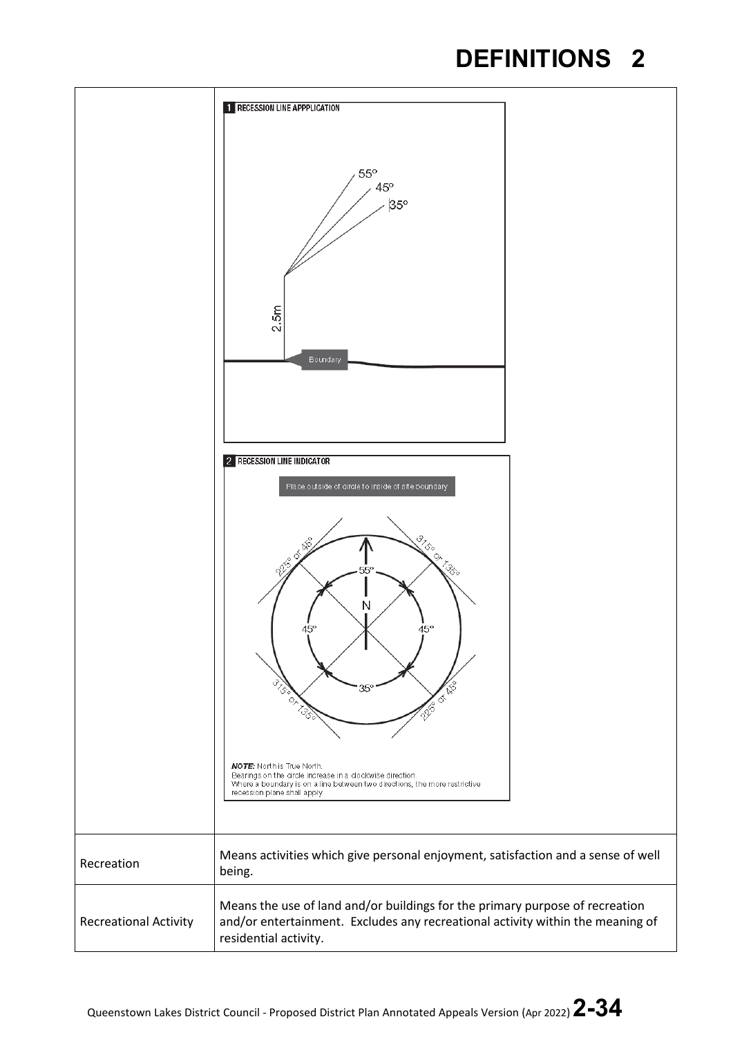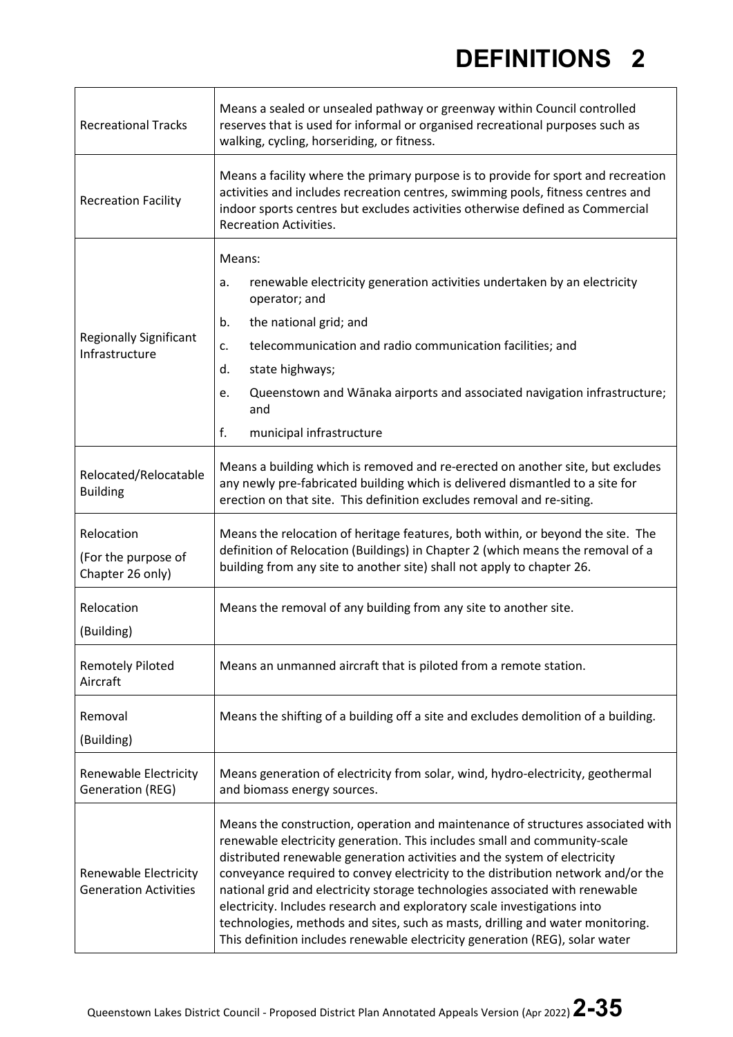| <b>Recreational Tracks</b>                            | Means a sealed or unsealed pathway or greenway within Council controlled<br>reserves that is used for informal or organised recreational purposes such as<br>walking, cycling, horseriding, or fitness.                                                                                                                                                                                                                                                                                                                                                                                                                                                     |  |
|-------------------------------------------------------|-------------------------------------------------------------------------------------------------------------------------------------------------------------------------------------------------------------------------------------------------------------------------------------------------------------------------------------------------------------------------------------------------------------------------------------------------------------------------------------------------------------------------------------------------------------------------------------------------------------------------------------------------------------|--|
| <b>Recreation Facility</b>                            | Means a facility where the primary purpose is to provide for sport and recreation<br>activities and includes recreation centres, swimming pools, fitness centres and<br>indoor sports centres but excludes activities otherwise defined as Commercial<br><b>Recreation Activities.</b>                                                                                                                                                                                                                                                                                                                                                                      |  |
| <b>Regionally Significant</b><br>Infrastructure       | Means:<br>renewable electricity generation activities undertaken by an electricity<br>a.<br>operator; and<br>the national grid; and<br>b.<br>telecommunication and radio communication facilities; and<br>c.<br>state highways;<br>d.<br>Queenstown and Wānaka airports and associated navigation infrastructure;<br>e.<br>and<br>f.<br>municipal infrastructure                                                                                                                                                                                                                                                                                            |  |
| Relocated/Relocatable<br><b>Building</b>              | Means a building which is removed and re-erected on another site, but excludes<br>any newly pre-fabricated building which is delivered dismantled to a site for<br>erection on that site. This definition excludes removal and re-siting.                                                                                                                                                                                                                                                                                                                                                                                                                   |  |
| Relocation<br>(For the purpose of<br>Chapter 26 only) | Means the relocation of heritage features, both within, or beyond the site. The<br>definition of Relocation (Buildings) in Chapter 2 (which means the removal of a<br>building from any site to another site) shall not apply to chapter 26.                                                                                                                                                                                                                                                                                                                                                                                                                |  |
| Relocation<br>(Building)                              | Means the removal of any building from any site to another site.                                                                                                                                                                                                                                                                                                                                                                                                                                                                                                                                                                                            |  |
| <b>Remotely Piloted</b><br>Aircraft                   | Means an unmanned aircraft that is piloted from a remote station.                                                                                                                                                                                                                                                                                                                                                                                                                                                                                                                                                                                           |  |
| Removal<br>(Building)                                 | Means the shifting of a building off a site and excludes demolition of a building.                                                                                                                                                                                                                                                                                                                                                                                                                                                                                                                                                                          |  |
| Renewable Electricity<br><b>Generation (REG)</b>      | Means generation of electricity from solar, wind, hydro-electricity, geothermal<br>and biomass energy sources.                                                                                                                                                                                                                                                                                                                                                                                                                                                                                                                                              |  |
| Renewable Electricity<br><b>Generation Activities</b> | Means the construction, operation and maintenance of structures associated with<br>renewable electricity generation. This includes small and community-scale<br>distributed renewable generation activities and the system of electricity<br>conveyance required to convey electricity to the distribution network and/or the<br>national grid and electricity storage technologies associated with renewable<br>electricity. Includes research and exploratory scale investigations into<br>technologies, methods and sites, such as masts, drilling and water monitoring.<br>This definition includes renewable electricity generation (REG), solar water |  |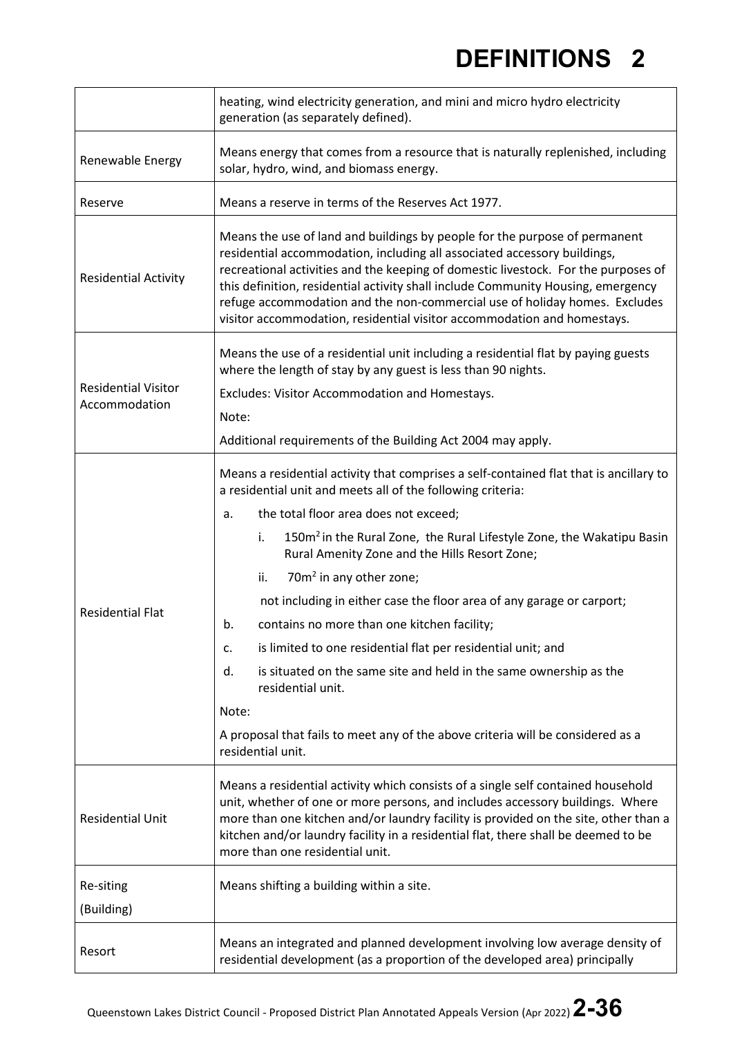|                                             | heating, wind electricity generation, and mini and micro hydro electricity<br>generation (as separately defined).                                                                                                                                                                                                                                                                                                                                                                         |  |  |
|---------------------------------------------|-------------------------------------------------------------------------------------------------------------------------------------------------------------------------------------------------------------------------------------------------------------------------------------------------------------------------------------------------------------------------------------------------------------------------------------------------------------------------------------------|--|--|
| Renewable Energy                            | Means energy that comes from a resource that is naturally replenished, including<br>solar, hydro, wind, and biomass energy.                                                                                                                                                                                                                                                                                                                                                               |  |  |
| Reserve                                     | Means a reserve in terms of the Reserves Act 1977.                                                                                                                                                                                                                                                                                                                                                                                                                                        |  |  |
| <b>Residential Activity</b>                 | Means the use of land and buildings by people for the purpose of permanent<br>residential accommodation, including all associated accessory buildings,<br>recreational activities and the keeping of domestic livestock. For the purposes of<br>this definition, residential activity shall include Community Housing, emergency<br>refuge accommodation and the non-commercial use of holiday homes. Excludes<br>visitor accommodation, residential visitor accommodation and homestays. |  |  |
|                                             | Means the use of a residential unit including a residential flat by paying guests<br>where the length of stay by any guest is less than 90 nights.                                                                                                                                                                                                                                                                                                                                        |  |  |
| <b>Residential Visitor</b><br>Accommodation | Excludes: Visitor Accommodation and Homestays.                                                                                                                                                                                                                                                                                                                                                                                                                                            |  |  |
|                                             | Note:                                                                                                                                                                                                                                                                                                                                                                                                                                                                                     |  |  |
|                                             | Additional requirements of the Building Act 2004 may apply.                                                                                                                                                                                                                                                                                                                                                                                                                               |  |  |
|                                             | Means a residential activity that comprises a self-contained flat that is ancillary to<br>a residential unit and meets all of the following criteria:                                                                                                                                                                                                                                                                                                                                     |  |  |
|                                             | the total floor area does not exceed;<br>a.                                                                                                                                                                                                                                                                                                                                                                                                                                               |  |  |
|                                             | 150m <sup>2</sup> in the Rural Zone, the Rural Lifestyle Zone, the Wakatipu Basin<br>i.<br>Rural Amenity Zone and the Hills Resort Zone;                                                                                                                                                                                                                                                                                                                                                  |  |  |
|                                             | 70m <sup>2</sup> in any other zone;<br>ii.                                                                                                                                                                                                                                                                                                                                                                                                                                                |  |  |
| <b>Residential Flat</b>                     | not including in either case the floor area of any garage or carport;                                                                                                                                                                                                                                                                                                                                                                                                                     |  |  |
|                                             | contains no more than one kitchen facility;<br>b.                                                                                                                                                                                                                                                                                                                                                                                                                                         |  |  |
|                                             | is limited to one residential flat per residential unit; and<br>c.                                                                                                                                                                                                                                                                                                                                                                                                                        |  |  |
|                                             | is situated on the same site and held in the same ownership as the<br>d.<br>residential unit.                                                                                                                                                                                                                                                                                                                                                                                             |  |  |
|                                             | Note:                                                                                                                                                                                                                                                                                                                                                                                                                                                                                     |  |  |
|                                             | A proposal that fails to meet any of the above criteria will be considered as a<br>residential unit.                                                                                                                                                                                                                                                                                                                                                                                      |  |  |
| <b>Residential Unit</b>                     | Means a residential activity which consists of a single self contained household<br>unit, whether of one or more persons, and includes accessory buildings. Where<br>more than one kitchen and/or laundry facility is provided on the site, other than a<br>kitchen and/or laundry facility in a residential flat, there shall be deemed to be<br>more than one residential unit.                                                                                                         |  |  |
| Re-siting                                   | Means shifting a building within a site.                                                                                                                                                                                                                                                                                                                                                                                                                                                  |  |  |
| (Building)                                  |                                                                                                                                                                                                                                                                                                                                                                                                                                                                                           |  |  |
| Resort                                      | Means an integrated and planned development involving low average density of<br>residential development (as a proportion of the developed area) principally                                                                                                                                                                                                                                                                                                                               |  |  |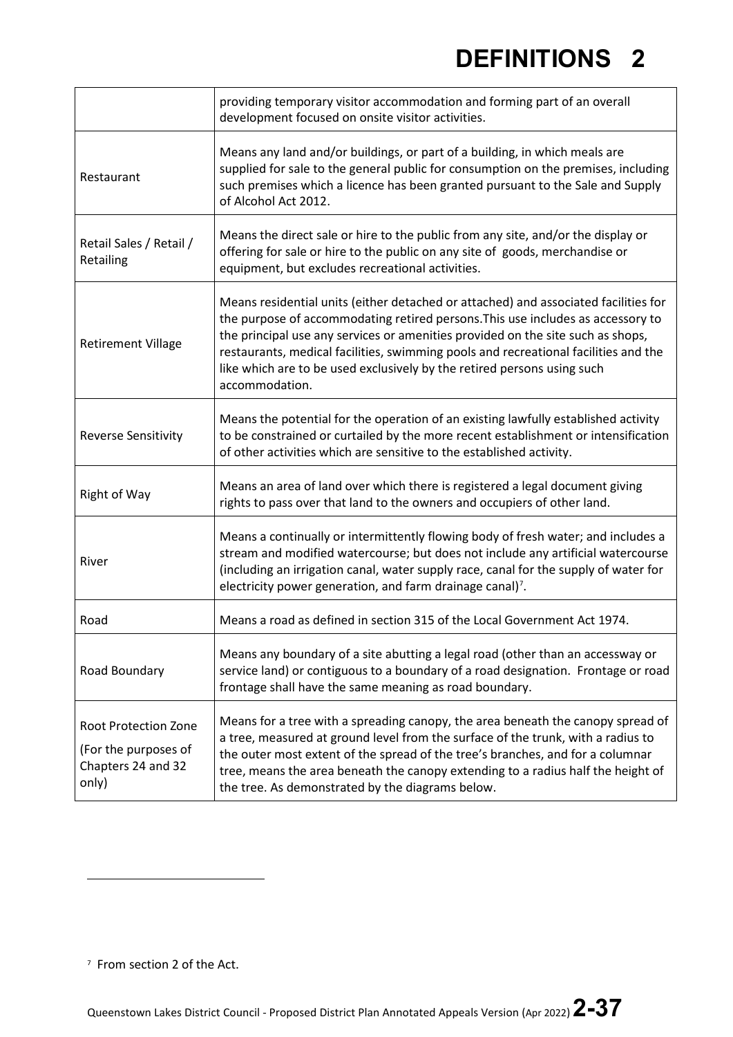|                                                                                    | providing temporary visitor accommodation and forming part of an overall<br>development focused on onsite visitor activities.                                                                                                                                                                                                                                                                                                                 |
|------------------------------------------------------------------------------------|-----------------------------------------------------------------------------------------------------------------------------------------------------------------------------------------------------------------------------------------------------------------------------------------------------------------------------------------------------------------------------------------------------------------------------------------------|
| Restaurant                                                                         | Means any land and/or buildings, or part of a building, in which meals are<br>supplied for sale to the general public for consumption on the premises, including<br>such premises which a licence has been granted pursuant to the Sale and Supply<br>of Alcohol Act 2012.                                                                                                                                                                    |
| Retail Sales / Retail /<br>Retailing                                               | Means the direct sale or hire to the public from any site, and/or the display or<br>offering for sale or hire to the public on any site of goods, merchandise or<br>equipment, but excludes recreational activities.                                                                                                                                                                                                                          |
| <b>Retirement Village</b>                                                          | Means residential units (either detached or attached) and associated facilities for<br>the purpose of accommodating retired persons. This use includes as accessory to<br>the principal use any services or amenities provided on the site such as shops,<br>restaurants, medical facilities, swimming pools and recreational facilities and the<br>like which are to be used exclusively by the retired persons using such<br>accommodation. |
| <b>Reverse Sensitivity</b>                                                         | Means the potential for the operation of an existing lawfully established activity<br>to be constrained or curtailed by the more recent establishment or intensification<br>of other activities which are sensitive to the established activity.                                                                                                                                                                                              |
| Right of Way                                                                       | Means an area of land over which there is registered a legal document giving<br>rights to pass over that land to the owners and occupiers of other land.                                                                                                                                                                                                                                                                                      |
| River                                                                              | Means a continually or intermittently flowing body of fresh water; and includes a<br>stream and modified watercourse; but does not include any artificial watercourse<br>(including an irrigation canal, water supply race, canal for the supply of water for<br>electricity power generation, and farm drainage canal) <sup>7</sup> .                                                                                                        |
| Road                                                                               | Means a road as defined in section 315 of the Local Government Act 1974.                                                                                                                                                                                                                                                                                                                                                                      |
| Road Boundary                                                                      | Means any boundary of a site abutting a legal road (other than an accessway or<br>service land) or contiguous to a boundary of a road designation. Frontage or road<br>frontage shall have the same meaning as road boundary.                                                                                                                                                                                                                 |
| <b>Root Protection Zone</b><br>(For the purposes of<br>Chapters 24 and 32<br>only) | Means for a tree with a spreading canopy, the area beneath the canopy spread of<br>a tree, measured at ground level from the surface of the trunk, with a radius to<br>the outer most extent of the spread of the tree's branches, and for a columnar<br>tree, means the area beneath the canopy extending to a radius half the height of<br>the tree. As demonstrated by the diagrams below.                                                 |

<span id="page-36-0"></span><sup>7</sup> From section 2 of the Act.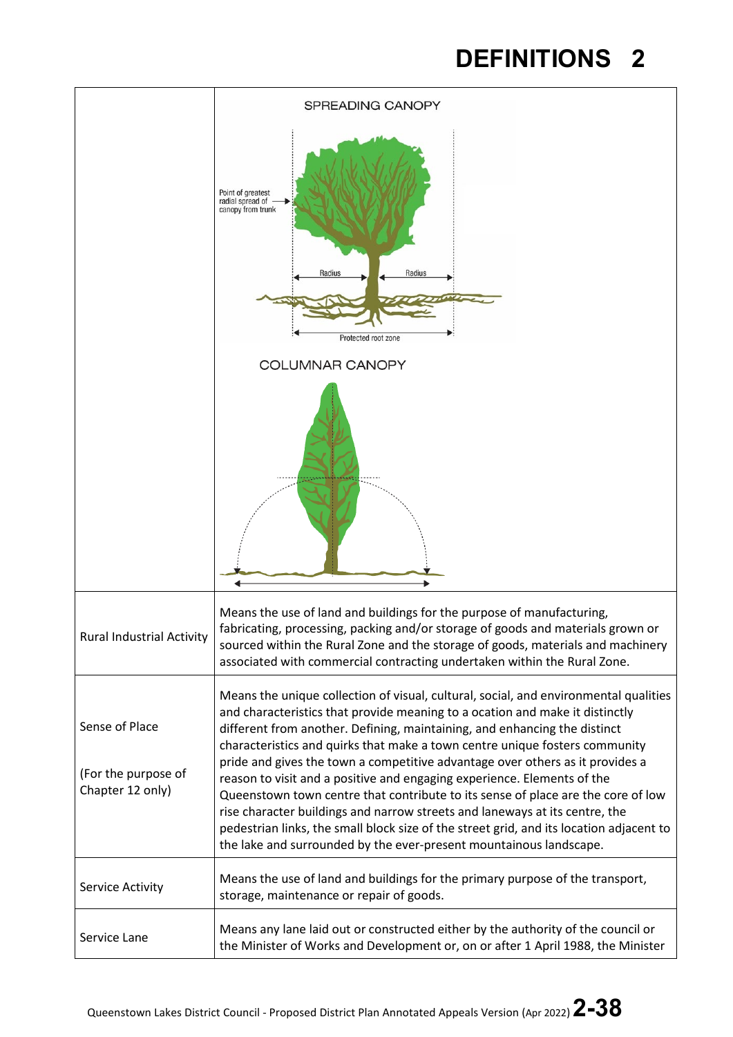|                                                           | SPREADING CANOPY                                                                                                                                                                                                                                                                                                                                                                                                                                                                                                                                                                                                                                                                                                                                                                                                                 |
|-----------------------------------------------------------|----------------------------------------------------------------------------------------------------------------------------------------------------------------------------------------------------------------------------------------------------------------------------------------------------------------------------------------------------------------------------------------------------------------------------------------------------------------------------------------------------------------------------------------------------------------------------------------------------------------------------------------------------------------------------------------------------------------------------------------------------------------------------------------------------------------------------------|
|                                                           | Point of greatest<br>radial spread of<br>canopy from trunk<br>Radius<br>Radius<br>Protected root zone                                                                                                                                                                                                                                                                                                                                                                                                                                                                                                                                                                                                                                                                                                                            |
|                                                           | <b>COLUMNAR CANOPY</b>                                                                                                                                                                                                                                                                                                                                                                                                                                                                                                                                                                                                                                                                                                                                                                                                           |
|                                                           |                                                                                                                                                                                                                                                                                                                                                                                                                                                                                                                                                                                                                                                                                                                                                                                                                                  |
| <b>Rural Industrial Activity</b>                          | Means the use of land and buildings for the purpose of manufacturing,<br>fabricating, processing, packing and/or storage of goods and materials grown or<br>sourced within the Rural Zone and the storage of goods, materials and machinery<br>associated with commercial contracting undertaken within the Rural Zone.                                                                                                                                                                                                                                                                                                                                                                                                                                                                                                          |
| Sense of Place<br>(For the purpose of<br>Chapter 12 only) | Means the unique collection of visual, cultural, social, and environmental qualities<br>and characteristics that provide meaning to a ocation and make it distinctly<br>different from another. Defining, maintaining, and enhancing the distinct<br>characteristics and quirks that make a town centre unique fosters community<br>pride and gives the town a competitive advantage over others as it provides a<br>reason to visit and a positive and engaging experience. Elements of the<br>Queenstown town centre that contribute to its sense of place are the core of low<br>rise character buildings and narrow streets and laneways at its centre, the<br>pedestrian links, the small block size of the street grid, and its location adjacent to<br>the lake and surrounded by the ever-present mountainous landscape. |
| Service Activity                                          | Means the use of land and buildings for the primary purpose of the transport,<br>storage, maintenance or repair of goods.                                                                                                                                                                                                                                                                                                                                                                                                                                                                                                                                                                                                                                                                                                        |
| Service Lane                                              | Means any lane laid out or constructed either by the authority of the council or<br>the Minister of Works and Development or, on or after 1 April 1988, the Minister                                                                                                                                                                                                                                                                                                                                                                                                                                                                                                                                                                                                                                                             |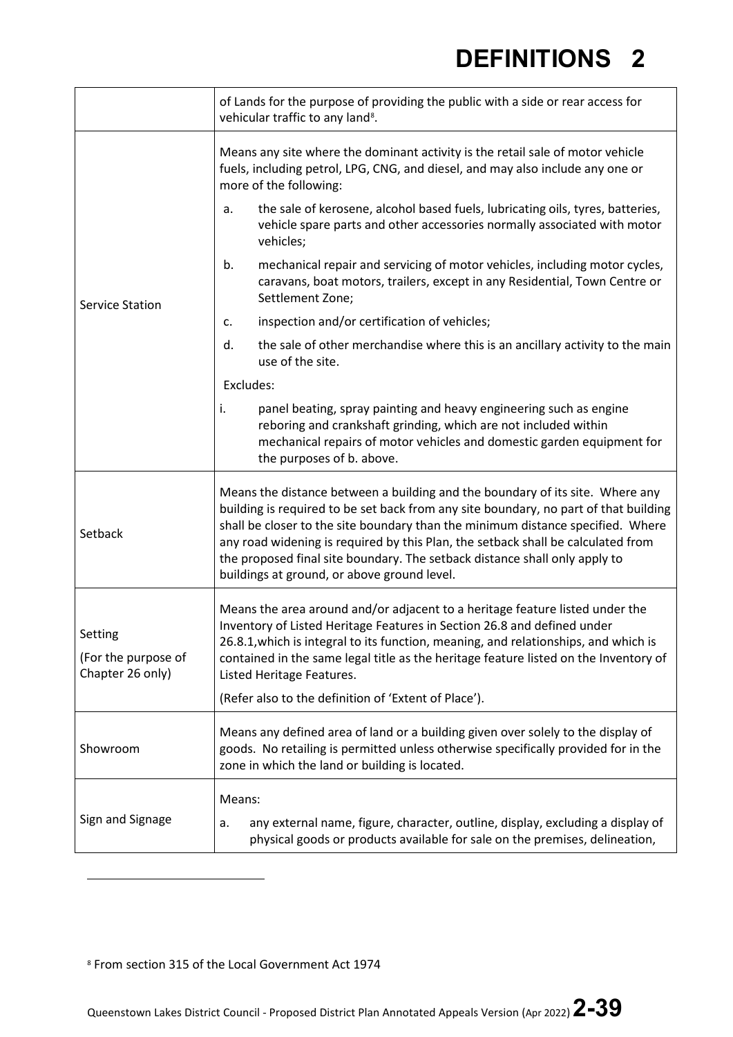|                                                    | of Lands for the purpose of providing the public with a side or rear access for<br>vehicular traffic to any land <sup>8</sup> .                                                                                                                                                                                                                                                                                                                                           |  |  |  |
|----------------------------------------------------|---------------------------------------------------------------------------------------------------------------------------------------------------------------------------------------------------------------------------------------------------------------------------------------------------------------------------------------------------------------------------------------------------------------------------------------------------------------------------|--|--|--|
|                                                    | Means any site where the dominant activity is the retail sale of motor vehicle<br>fuels, including petrol, LPG, CNG, and diesel, and may also include any one or<br>more of the following:                                                                                                                                                                                                                                                                                |  |  |  |
|                                                    | the sale of kerosene, alcohol based fuels, lubricating oils, tyres, batteries,<br>a.<br>vehicle spare parts and other accessories normally associated with motor<br>vehicles;                                                                                                                                                                                                                                                                                             |  |  |  |
| <b>Service Station</b>                             | mechanical repair and servicing of motor vehicles, including motor cycles,<br>b.<br>caravans, boat motors, trailers, except in any Residential, Town Centre or<br>Settlement Zone;                                                                                                                                                                                                                                                                                        |  |  |  |
|                                                    | inspection and/or certification of vehicles;<br>c.                                                                                                                                                                                                                                                                                                                                                                                                                        |  |  |  |
|                                                    | d.<br>the sale of other merchandise where this is an ancillary activity to the main<br>use of the site.                                                                                                                                                                                                                                                                                                                                                                   |  |  |  |
|                                                    | Excludes:                                                                                                                                                                                                                                                                                                                                                                                                                                                                 |  |  |  |
|                                                    | i.<br>panel beating, spray painting and heavy engineering such as engine<br>reboring and crankshaft grinding, which are not included within<br>mechanical repairs of motor vehicles and domestic garden equipment for<br>the purposes of b. above.                                                                                                                                                                                                                        |  |  |  |
| Setback                                            | Means the distance between a building and the boundary of its site. Where any<br>building is required to be set back from any site boundary, no part of that building<br>shall be closer to the site boundary than the minimum distance specified. Where<br>any road widening is required by this Plan, the setback shall be calculated from<br>the proposed final site boundary. The setback distance shall only apply to<br>buildings at ground, or above ground level. |  |  |  |
| Setting<br>(For the purpose of<br>Chapter 26 only) | Means the area around and/or adjacent to a heritage feature listed under the<br>Inventory of Listed Heritage Features in Section 26.8 and defined under<br>26.8.1, which is integral to its function, meaning, and relationships, and which is<br>contained in the same legal title as the heritage feature listed on the Inventory of<br>Listed Heritage Features.                                                                                                       |  |  |  |
|                                                    | (Refer also to the definition of 'Extent of Place').                                                                                                                                                                                                                                                                                                                                                                                                                      |  |  |  |
| Showroom                                           | Means any defined area of land or a building given over solely to the display of<br>goods. No retailing is permitted unless otherwise specifically provided for in the<br>zone in which the land or building is located.                                                                                                                                                                                                                                                  |  |  |  |
| Sign and Signage                                   | Means:<br>any external name, figure, character, outline, display, excluding a display of<br>a.<br>physical goods or products available for sale on the premises, delineation,                                                                                                                                                                                                                                                                                             |  |  |  |

<span id="page-38-0"></span><sup>8</sup> From section 315 of the Local Government Act 1974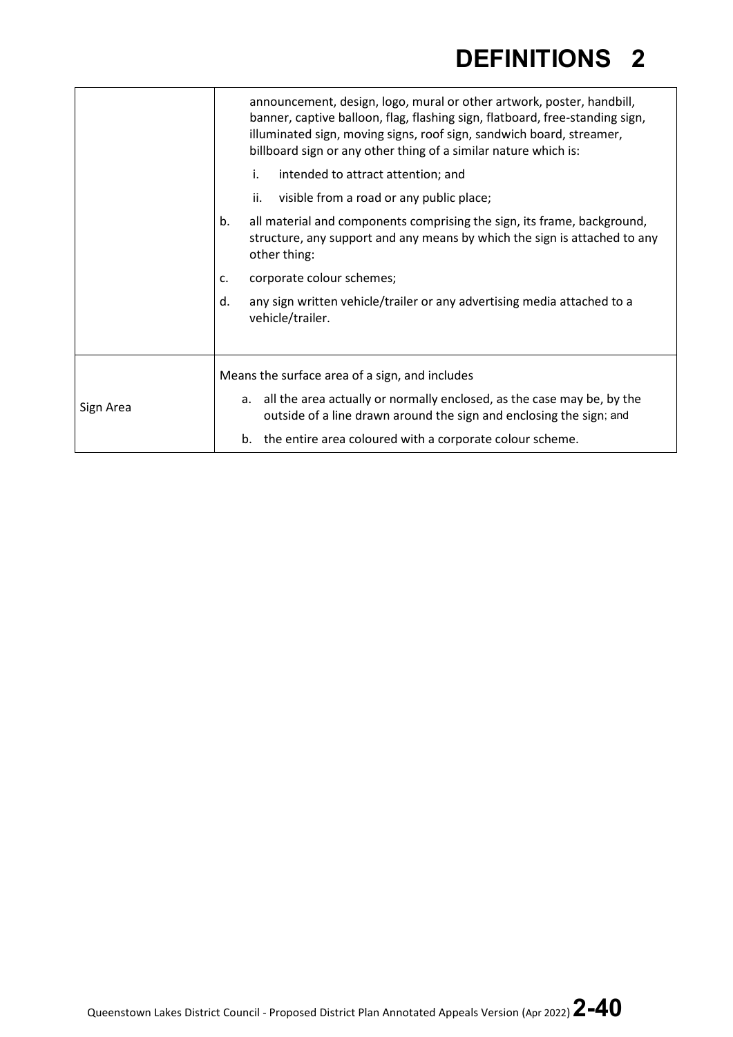|           |    | announcement, design, logo, mural or other artwork, poster, handbill,<br>banner, captive balloon, flag, flashing sign, flatboard, free-standing sign,<br>illuminated sign, moving signs, roof sign, sandwich board, streamer,<br>billboard sign or any other thing of a similar nature which is: |
|-----------|----|--------------------------------------------------------------------------------------------------------------------------------------------------------------------------------------------------------------------------------------------------------------------------------------------------|
|           | i. | intended to attract attention; and                                                                                                                                                                                                                                                               |
|           |    | ii.<br>visible from a road or any public place;                                                                                                                                                                                                                                                  |
|           | b. | all material and components comprising the sign, its frame, background,<br>structure, any support and any means by which the sign is attached to any<br>other thing:                                                                                                                             |
|           | c. | corporate colour schemes;                                                                                                                                                                                                                                                                        |
|           | d. | any sign written vehicle/trailer or any advertising media attached to a<br>vehicle/trailer.                                                                                                                                                                                                      |
|           |    |                                                                                                                                                                                                                                                                                                  |
|           |    | Means the surface area of a sign, and includes                                                                                                                                                                                                                                                   |
| Sign Area |    | a. all the area actually or normally enclosed, as the case may be, by the<br>outside of a line drawn around the sign and enclosing the sign; and                                                                                                                                                 |
|           |    | b. the entire area coloured with a corporate colour scheme.                                                                                                                                                                                                                                      |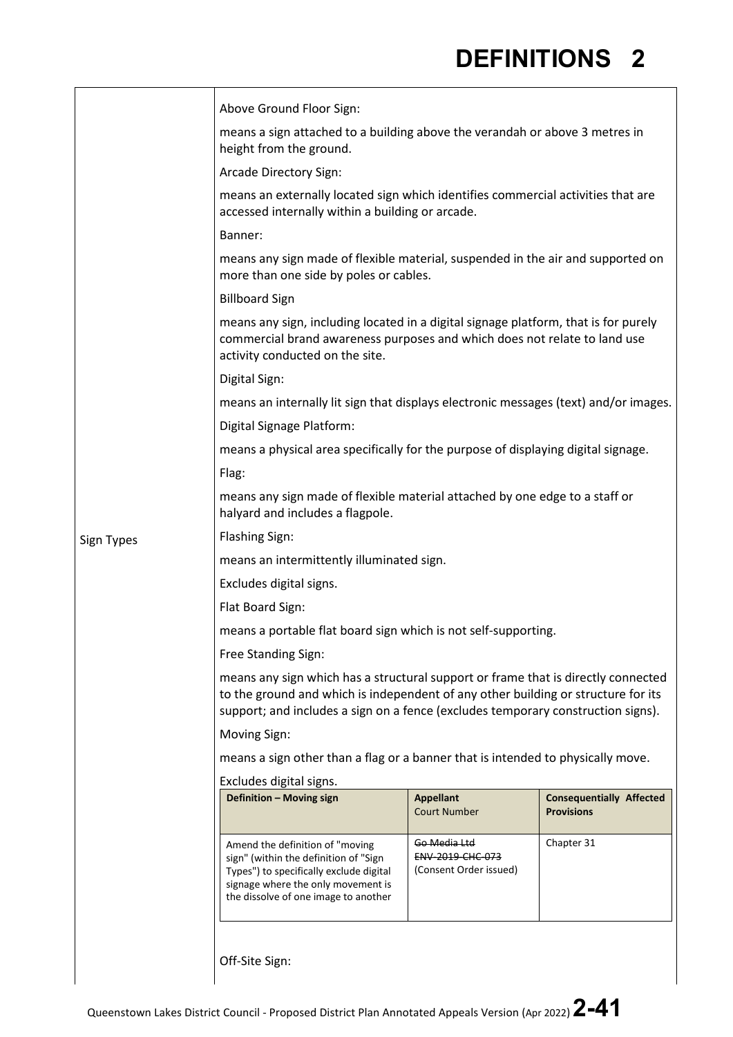$\overline{\phantom{a}}$ 

|            | Above Ground Floor Sign:                                                                                                                                                                                                                                   |                                                                       |                                                      |  |  |
|------------|------------------------------------------------------------------------------------------------------------------------------------------------------------------------------------------------------------------------------------------------------------|-----------------------------------------------------------------------|------------------------------------------------------|--|--|
|            | means a sign attached to a building above the verandah or above 3 metres in<br>height from the ground.                                                                                                                                                     |                                                                       |                                                      |  |  |
|            | Arcade Directory Sign:                                                                                                                                                                                                                                     |                                                                       |                                                      |  |  |
|            | means an externally located sign which identifies commercial activities that are<br>accessed internally within a building or arcade.                                                                                                                       |                                                                       |                                                      |  |  |
|            | Banner:                                                                                                                                                                                                                                                    |                                                                       |                                                      |  |  |
|            | means any sign made of flexible material, suspended in the air and supported on<br>more than one side by poles or cables.                                                                                                                                  |                                                                       |                                                      |  |  |
|            | <b>Billboard Sign</b>                                                                                                                                                                                                                                      |                                                                       |                                                      |  |  |
|            | means any sign, including located in a digital signage platform, that is for purely<br>commercial brand awareness purposes and which does not relate to land use<br>activity conducted on the site.                                                        |                                                                       |                                                      |  |  |
|            | Digital Sign:                                                                                                                                                                                                                                              |                                                                       |                                                      |  |  |
|            | means an internally lit sign that displays electronic messages (text) and/or images.                                                                                                                                                                       |                                                                       |                                                      |  |  |
|            | Digital Signage Platform:                                                                                                                                                                                                                                  |                                                                       |                                                      |  |  |
|            | means a physical area specifically for the purpose of displaying digital signage.                                                                                                                                                                          |                                                                       |                                                      |  |  |
|            | Flag:                                                                                                                                                                                                                                                      |                                                                       |                                                      |  |  |
|            | means any sign made of flexible material attached by one edge to a staff or<br>halyard and includes a flagpole.                                                                                                                                            |                                                                       |                                                      |  |  |
| Sign Types | <b>Flashing Sign:</b>                                                                                                                                                                                                                                      |                                                                       |                                                      |  |  |
|            | means an intermittently illuminated sign.                                                                                                                                                                                                                  |                                                                       |                                                      |  |  |
|            | Excludes digital signs.                                                                                                                                                                                                                                    |                                                                       |                                                      |  |  |
|            | Flat Board Sign:                                                                                                                                                                                                                                           |                                                                       |                                                      |  |  |
|            | means a portable flat board sign which is not self-supporting.                                                                                                                                                                                             |                                                                       |                                                      |  |  |
|            | Free Standing Sign:                                                                                                                                                                                                                                        |                                                                       |                                                      |  |  |
|            | means any sign which has a structural support or frame that is directly connected<br>to the ground and which is independent of any other building or structure for its<br>support; and includes a sign on a fence (excludes temporary construction signs). |                                                                       |                                                      |  |  |
|            | Moving Sign:                                                                                                                                                                                                                                               |                                                                       |                                                      |  |  |
|            | means a sign other than a flag or a banner that is intended to physically move.                                                                                                                                                                            |                                                                       |                                                      |  |  |
|            | Excludes digital signs.                                                                                                                                                                                                                                    |                                                                       |                                                      |  |  |
|            | Definition - Moving sign                                                                                                                                                                                                                                   | <b>Appellant</b><br><b>Court Number</b>                               | <b>Consequentially Affected</b><br><b>Provisions</b> |  |  |
|            | Amend the definition of "moving<br>sign" (within the definition of "Sign<br>Types") to specifically exclude digital<br>signage where the only movement is<br>the dissolve of one image to another                                                          | <del>Go Media Ltd</del><br>ENV-2019-CHC-073<br>(Consent Order issued) | Chapter 31                                           |  |  |
|            | Off-Site Sign:                                                                                                                                                                                                                                             |                                                                       |                                                      |  |  |

 $\vert$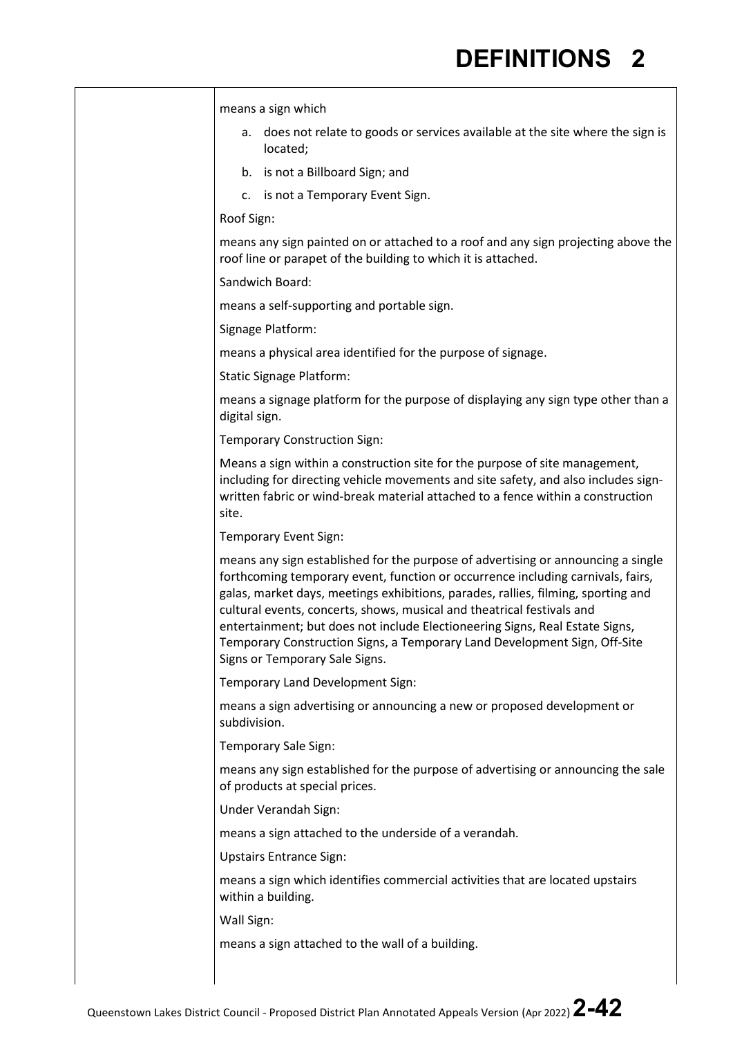means a sign which a. does not relate to goods or services available at the site where the sign is located; b. is not a Billboard Sign; and c. is not a Temporary Event Sign. Roof Sign: means any sign painted on or attached to a roof and any sign projecting above the roof line or parapet of the building to which it is attached. Sandwich Board: means a self-supporting and portable sign. Signage Platform: means a physical area identified for the purpose of signage. Static Signage Platform: means a signage platform for the purpose of displaying any sign type other than a digital sign. Temporary Construction Sign: Means a sign within a construction site for the purpose of site management, including for directing vehicle movements and site safety, and also includes signwritten fabric or wind-break material attached to a fence within a construction site. Temporary Event Sign: means any sign established for the purpose of advertising or announcing a single forthcoming temporary event, function or occurrence including carnivals, fairs, galas, market days, meetings exhibitions, parades, rallies, filming, sporting and cultural events, concerts, shows, musical and theatrical festivals and entertainment; but does not include Electioneering Signs, Real Estate Signs, Temporary Construction Signs, a Temporary Land Development Sign, Off-Site Signs or Temporary Sale Signs. Temporary Land Development Sign: means a sign advertising or announcing a new or proposed development or subdivision. Temporary Sale Sign: means any sign established for the purpose of advertising or announcing the sale of products at special prices. Under Verandah Sign: means a sign attached to the underside of a verandah. Upstairs Entrance Sign: means a sign which identifies commercial activities that are located upstairs within a building. Wall Sign: means a sign attached to the wall of a building.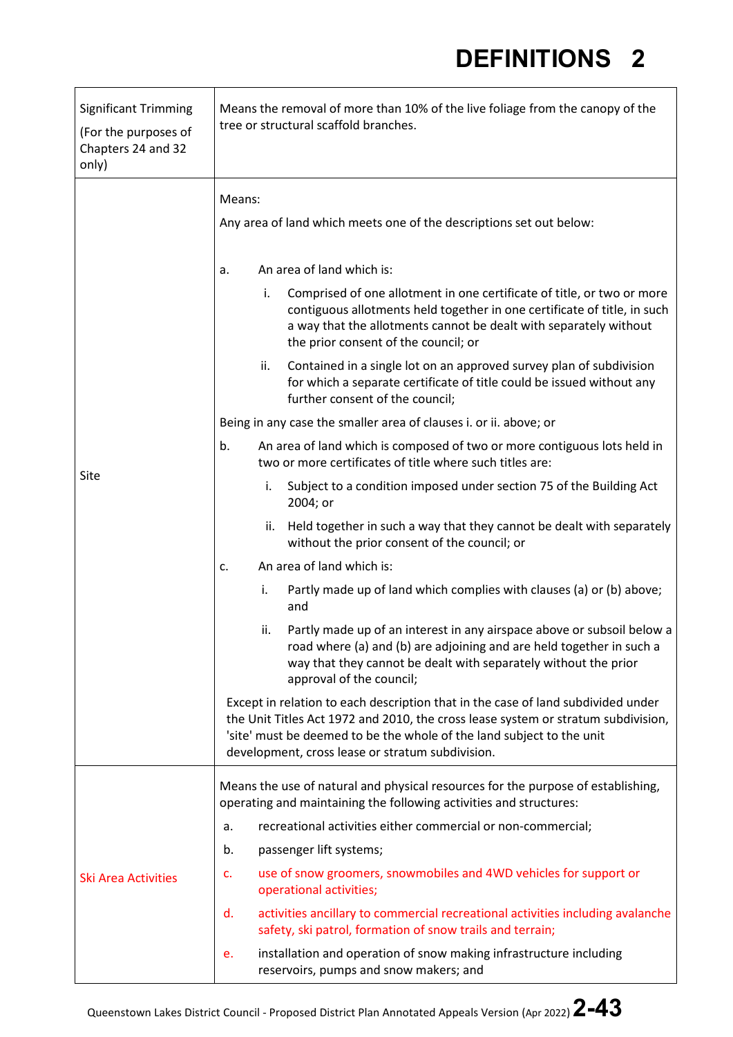| <b>Significant Trimming</b><br>(For the purposes of<br>Chapters 24 and 32<br>only) | Means the removal of more than 10% of the live foliage from the canopy of the<br>tree or structural scaffold branches.                                                                                                                                                                             |  |  |  |
|------------------------------------------------------------------------------------|----------------------------------------------------------------------------------------------------------------------------------------------------------------------------------------------------------------------------------------------------------------------------------------------------|--|--|--|
|                                                                                    | Means:                                                                                                                                                                                                                                                                                             |  |  |  |
|                                                                                    | Any area of land which meets one of the descriptions set out below:                                                                                                                                                                                                                                |  |  |  |
|                                                                                    | An area of land which is:<br>a.                                                                                                                                                                                                                                                                    |  |  |  |
|                                                                                    | Comprised of one allotment in one certificate of title, or two or more<br>i.<br>contiguous allotments held together in one certificate of title, in such<br>a way that the allotments cannot be dealt with separately without<br>the prior consent of the council; or                              |  |  |  |
|                                                                                    | ii.<br>Contained in a single lot on an approved survey plan of subdivision<br>for which a separate certificate of title could be issued without any<br>further consent of the council;                                                                                                             |  |  |  |
|                                                                                    | Being in any case the smaller area of clauses i. or ii. above; or                                                                                                                                                                                                                                  |  |  |  |
|                                                                                    | b.<br>An area of land which is composed of two or more contiguous lots held in<br>two or more certificates of title where such titles are:                                                                                                                                                         |  |  |  |
| Site                                                                               | Subject to a condition imposed under section 75 of the Building Act<br>i.<br>2004; or                                                                                                                                                                                                              |  |  |  |
|                                                                                    | Held together in such a way that they cannot be dealt with separately<br>ii.<br>without the prior consent of the council; or                                                                                                                                                                       |  |  |  |
|                                                                                    | An area of land which is:<br>c.                                                                                                                                                                                                                                                                    |  |  |  |
|                                                                                    | Partly made up of land which complies with clauses (a) or (b) above;<br>i.<br>and                                                                                                                                                                                                                  |  |  |  |
|                                                                                    | Partly made up of an interest in any airspace above or subsoil below a<br>ii.<br>road where (a) and (b) are adjoining and are held together in such a<br>way that they cannot be dealt with separately without the prior<br>approval of the council;                                               |  |  |  |
|                                                                                    | Except in relation to each description that in the case of land subdivided under<br>the Unit Titles Act 1972 and 2010, the cross lease system or stratum subdivision,<br>'site' must be deemed to be the whole of the land subject to the unit<br>development, cross lease or stratum subdivision. |  |  |  |
|                                                                                    | Means the use of natural and physical resources for the purpose of establishing,<br>operating and maintaining the following activities and structures:                                                                                                                                             |  |  |  |
| <b>Ski Area Activities</b>                                                         | recreational activities either commercial or non-commercial;<br>a.                                                                                                                                                                                                                                 |  |  |  |
|                                                                                    | passenger lift systems;<br>b.                                                                                                                                                                                                                                                                      |  |  |  |
|                                                                                    | use of snow groomers, snowmobiles and 4WD vehicles for support or<br>c.<br>operational activities;                                                                                                                                                                                                 |  |  |  |
|                                                                                    | activities ancillary to commercial recreational activities including avalanche<br>d.<br>safety, ski patrol, formation of snow trails and terrain;                                                                                                                                                  |  |  |  |
|                                                                                    | installation and operation of snow making infrastructure including<br>e.<br>reservoirs, pumps and snow makers; and                                                                                                                                                                                 |  |  |  |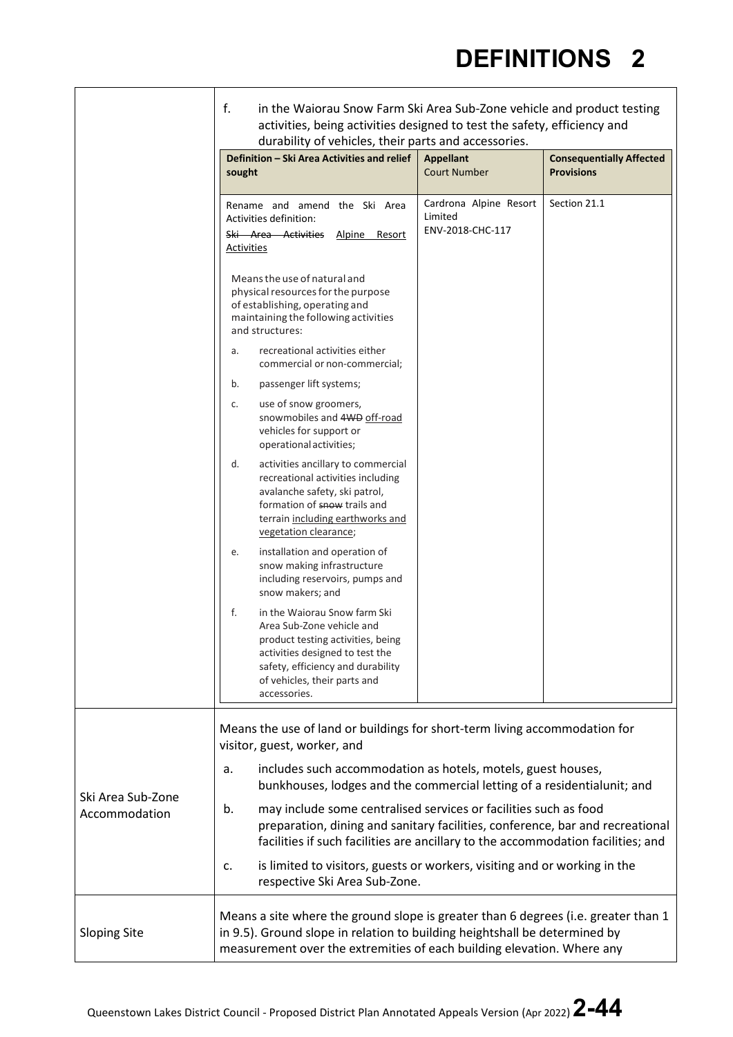|                                    | f.<br>in the Waiorau Snow Farm Ski Area Sub-Zone vehicle and product testing<br>activities, being activities designed to test the safety, efficiency and<br>durability of vehicles, their parts and accessories. |                                                                                                                                                                                                                                       |                                                                                                                                                      |                                                                                    |  |
|------------------------------------|------------------------------------------------------------------------------------------------------------------------------------------------------------------------------------------------------------------|---------------------------------------------------------------------------------------------------------------------------------------------------------------------------------------------------------------------------------------|------------------------------------------------------------------------------------------------------------------------------------------------------|------------------------------------------------------------------------------------|--|
|                                    | sought                                                                                                                                                                                                           | Definition - Ski Area Activities and relief                                                                                                                                                                                           | <b>Appellant</b><br><b>Court Number</b>                                                                                                              | <b>Consequentially Affected</b><br><b>Provisions</b>                               |  |
|                                    | Activities definition:<br>Ski Area Activities<br><b>Activities</b>                                                                                                                                               | Rename and amend the Ski Area<br>Alpine Resort                                                                                                                                                                                        | Cardrona Alpine Resort<br>Limited<br>ENV-2018-CHC-117                                                                                                | Section 21.1                                                                       |  |
|                                    | Means the use of natural and<br>of establishing, operating and<br>and structures:                                                                                                                                | physical resources for the purpose<br>maintaining the following activities                                                                                                                                                            |                                                                                                                                                      |                                                                                    |  |
|                                    | a.                                                                                                                                                                                                               | recreational activities either<br>commercial or non-commercial;                                                                                                                                                                       |                                                                                                                                                      |                                                                                    |  |
|                                    | b.<br>c.                                                                                                                                                                                                         | passenger lift systems;<br>use of snow groomers,<br>snowmobiles and 4WD off-road<br>vehicles for support or<br>operational activities;                                                                                                |                                                                                                                                                      |                                                                                    |  |
|                                    | d.                                                                                                                                                                                                               | activities ancillary to commercial<br>recreational activities including<br>avalanche safety, ski patrol,<br>formation of snow trails and<br>terrain including earthworks and<br>vegetation clearance;                                 |                                                                                                                                                      |                                                                                    |  |
|                                    | е.<br>snow makers; and                                                                                                                                                                                           | installation and operation of<br>snow making infrastructure<br>including reservoirs, pumps and                                                                                                                                        |                                                                                                                                                      |                                                                                    |  |
|                                    | f.<br>accessories.                                                                                                                                                                                               | in the Waiorau Snow farm Ski<br>Area Sub-Zone vehicle and<br>product testing activities, being<br>activities designed to test the<br>safety, efficiency and durability<br>of vehicles, their parts and                                |                                                                                                                                                      |                                                                                    |  |
|                                    | visitor, guest, worker, and                                                                                                                                                                                      |                                                                                                                                                                                                                                       | Means the use of land or buildings for short-term living accommodation for                                                                           |                                                                                    |  |
| Ski Area Sub-Zone<br>Accommodation | includes such accommodation as hotels, motels, guest houses,<br>a.<br>bunkhouses, lodges and the commercial letting of a residentialunit; and                                                                    |                                                                                                                                                                                                                                       |                                                                                                                                                      |                                                                                    |  |
|                                    | b.                                                                                                                                                                                                               | may include some centralised services or facilities such as food<br>preparation, dining and sanitary facilities, conference, bar and recreational<br>facilities if such facilities are ancillary to the accommodation facilities; and |                                                                                                                                                      |                                                                                    |  |
|                                    | c.                                                                                                                                                                                                               | respective Ski Area Sub-Zone.                                                                                                                                                                                                         | is limited to visitors, guests or workers, visiting and or working in the                                                                            |                                                                                    |  |
| <b>Sloping Site</b>                |                                                                                                                                                                                                                  |                                                                                                                                                                                                                                       | in 9.5). Ground slope in relation to building heightshall be determined by<br>measurement over the extremities of each building elevation. Where any | Means a site where the ground slope is greater than 6 degrees (i.e. greater than 1 |  |

 $\mathbf{r}$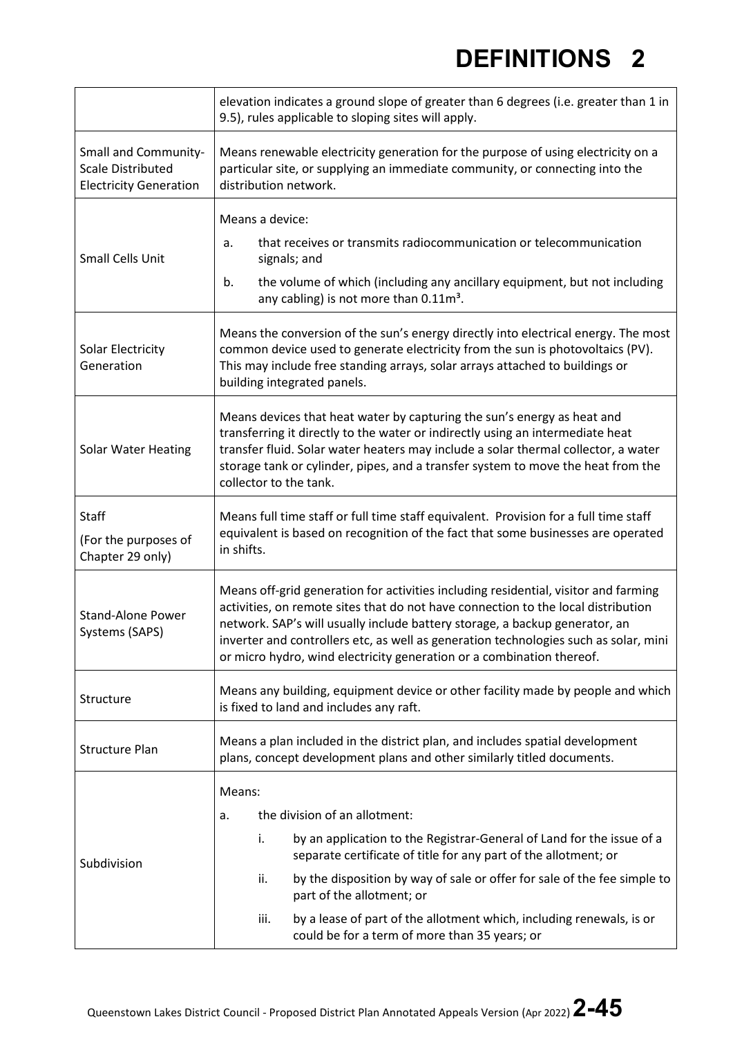|                                                                                          | elevation indicates a ground slope of greater than 6 degrees (i.e. greater than 1 in<br>9.5), rules applicable to sloping sites will apply.                                                                                                                                                                                                                                                                                                      |  |  |  |
|------------------------------------------------------------------------------------------|--------------------------------------------------------------------------------------------------------------------------------------------------------------------------------------------------------------------------------------------------------------------------------------------------------------------------------------------------------------------------------------------------------------------------------------------------|--|--|--|
| <b>Small and Community-</b><br><b>Scale Distributed</b><br><b>Electricity Generation</b> | Means renewable electricity generation for the purpose of using electricity on a<br>particular site, or supplying an immediate community, or connecting into the<br>distribution network.                                                                                                                                                                                                                                                        |  |  |  |
| <b>Small Cells Unit</b>                                                                  | Means a device:<br>that receives or transmits radiocommunication or telecommunication<br>a.<br>signals; and<br>the volume of which (including any ancillary equipment, but not including<br>b.<br>any cabling) is not more than $0.11m^3$ .                                                                                                                                                                                                      |  |  |  |
| Solar Electricity<br>Generation                                                          | Means the conversion of the sun's energy directly into electrical energy. The most<br>common device used to generate electricity from the sun is photovoltaics (PV).<br>This may include free standing arrays, solar arrays attached to buildings or<br>building integrated panels.                                                                                                                                                              |  |  |  |
| <b>Solar Water Heating</b>                                                               | Means devices that heat water by capturing the sun's energy as heat and<br>transferring it directly to the water or indirectly using an intermediate heat<br>transfer fluid. Solar water heaters may include a solar thermal collector, a water<br>storage tank or cylinder, pipes, and a transfer system to move the heat from the<br>collector to the tank.                                                                                    |  |  |  |
| <b>Staff</b><br>(For the purposes of<br>Chapter 29 only)                                 | Means full time staff or full time staff equivalent. Provision for a full time staff<br>equivalent is based on recognition of the fact that some businesses are operated<br>in shifts.                                                                                                                                                                                                                                                           |  |  |  |
| <b>Stand-Alone Power</b><br>Systems (SAPS)                                               | Means off-grid generation for activities including residential, visitor and farming<br>activities, on remote sites that do not have connection to the local distribution<br>network. SAP's will usually include battery storage, a backup generator, an<br>inverter and controllers etc, as well as generation technologies such as solar, mini<br>or micro hydro, wind electricity generation or a combination thereof.                         |  |  |  |
| Structure                                                                                | Means any building, equipment device or other facility made by people and which<br>is fixed to land and includes any raft.                                                                                                                                                                                                                                                                                                                       |  |  |  |
| <b>Structure Plan</b>                                                                    | Means a plan included in the district plan, and includes spatial development<br>plans, concept development plans and other similarly titled documents.                                                                                                                                                                                                                                                                                           |  |  |  |
| Subdivision                                                                              | Means:<br>the division of an allotment:<br>a.<br>by an application to the Registrar-General of Land for the issue of a<br>i.<br>separate certificate of title for any part of the allotment; or<br>by the disposition by way of sale or offer for sale of the fee simple to<br>ii.<br>part of the allotment; or<br>by a lease of part of the allotment which, including renewals, is or<br>iii.<br>could be for a term of more than 35 years; or |  |  |  |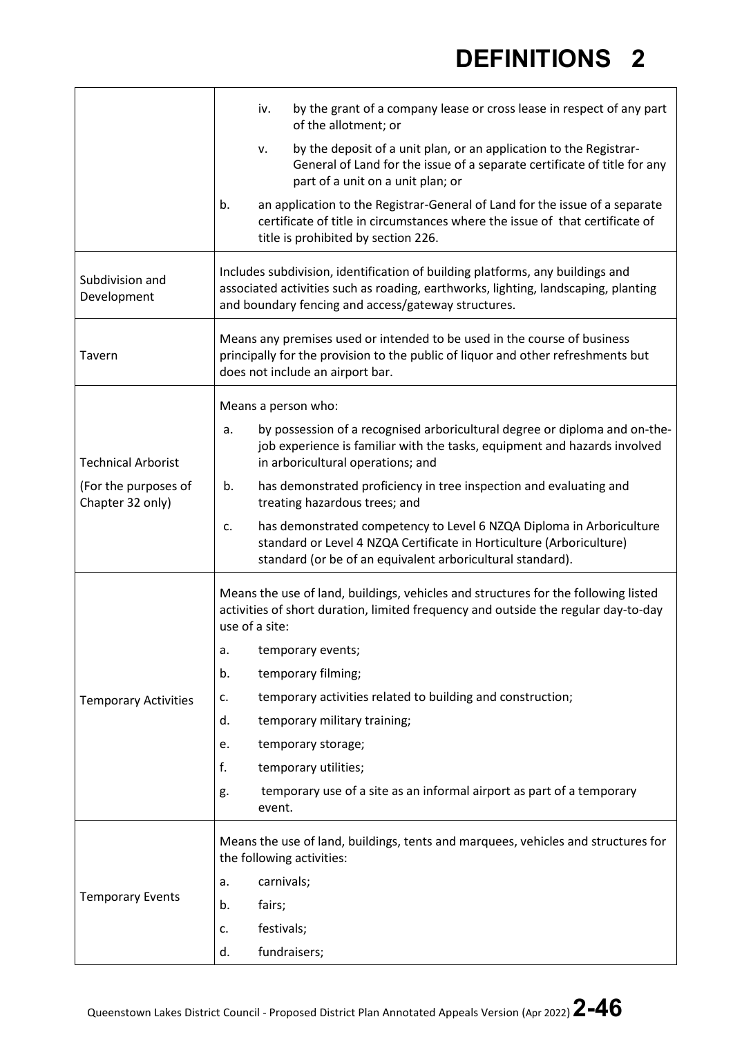|                                          | by the grant of a company lease or cross lease in respect of any part<br>iv.<br>of the allotment; or                                                                                                                       |  |  |  |
|------------------------------------------|----------------------------------------------------------------------------------------------------------------------------------------------------------------------------------------------------------------------------|--|--|--|
|                                          | by the deposit of a unit plan, or an application to the Registrar-<br>v.<br>General of Land for the issue of a separate certificate of title for any<br>part of a unit on a unit plan; or                                  |  |  |  |
|                                          | an application to the Registrar-General of Land for the issue of a separate<br>b.<br>certificate of title in circumstances where the issue of that certificate of<br>title is prohibited by section 226.                   |  |  |  |
| Subdivision and<br>Development           | Includes subdivision, identification of building platforms, any buildings and<br>associated activities such as roading, earthworks, lighting, landscaping, planting<br>and boundary fencing and access/gateway structures. |  |  |  |
| Tavern                                   | Means any premises used or intended to be used in the course of business<br>principally for the provision to the public of liquor and other refreshments but<br>does not include an airport bar.                           |  |  |  |
|                                          | Means a person who:                                                                                                                                                                                                        |  |  |  |
| <b>Technical Arborist</b>                | by possession of a recognised arboricultural degree or diploma and on-the-<br>a.<br>job experience is familiar with the tasks, equipment and hazards involved<br>in arboricultural operations; and                         |  |  |  |
| (For the purposes of<br>Chapter 32 only) | has demonstrated proficiency in tree inspection and evaluating and<br>b.<br>treating hazardous trees; and                                                                                                                  |  |  |  |
|                                          | has demonstrated competency to Level 6 NZQA Diploma in Arboriculture<br>c.<br>standard or Level 4 NZQA Certificate in Horticulture (Arboriculture)<br>standard (or be of an equivalent arboricultural standard).           |  |  |  |
|                                          | Means the use of land, buildings, vehicles and structures for the following listed<br>activities of short duration, limited frequency and outside the regular day-to-day<br>use of a site:                                 |  |  |  |
|                                          | temporary events;<br>a.                                                                                                                                                                                                    |  |  |  |
|                                          | temporary filming;<br>b.                                                                                                                                                                                                   |  |  |  |
| <b>Temporary Activities</b>              | temporary activities related to building and construction;<br>c.                                                                                                                                                           |  |  |  |
|                                          | temporary military training;<br>d.                                                                                                                                                                                         |  |  |  |
|                                          | temporary storage;<br>е.                                                                                                                                                                                                   |  |  |  |
|                                          | f.<br>temporary utilities;                                                                                                                                                                                                 |  |  |  |
|                                          | temporary use of a site as an informal airport as part of a temporary<br>g.<br>event.                                                                                                                                      |  |  |  |
|                                          | Means the use of land, buildings, tents and marquees, vehicles and structures for<br>the following activities:                                                                                                             |  |  |  |
|                                          | carnivals;<br>a.                                                                                                                                                                                                           |  |  |  |
| <b>Temporary Events</b>                  | fairs;<br>b.                                                                                                                                                                                                               |  |  |  |
|                                          | festivals;<br>c.                                                                                                                                                                                                           |  |  |  |
|                                          | fundraisers;<br>d.                                                                                                                                                                                                         |  |  |  |

 $\mathbf{r}$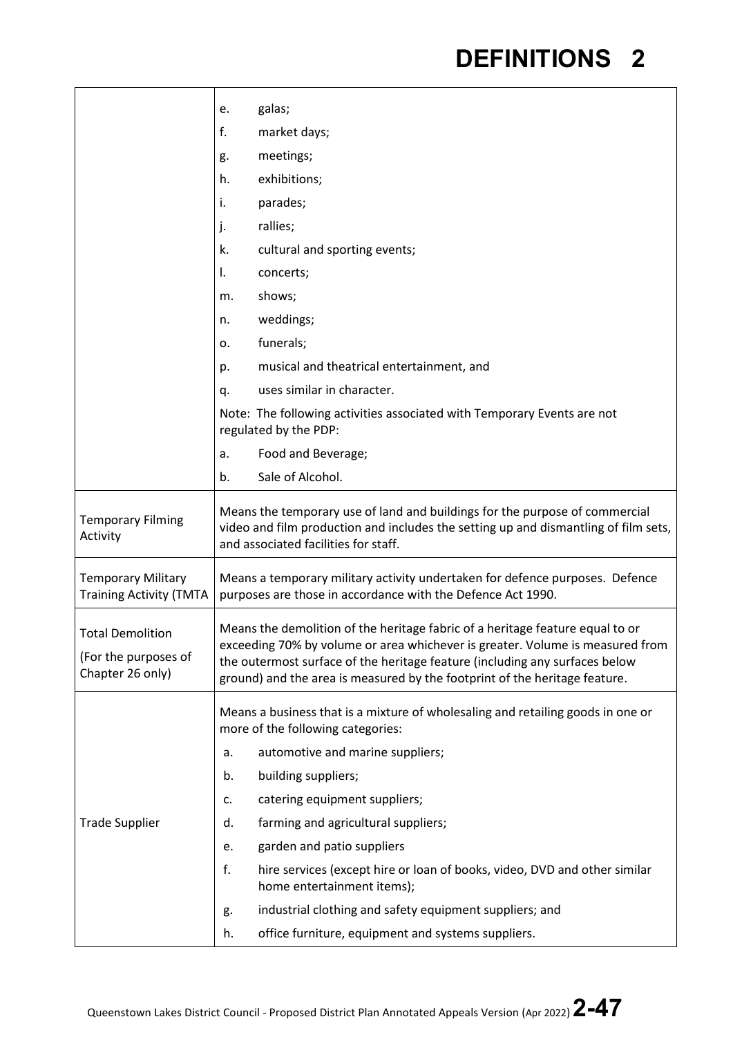|                                                                     | galas;<br>e.                                                                                                                                                                                                                                                                                                                |  |  |
|---------------------------------------------------------------------|-----------------------------------------------------------------------------------------------------------------------------------------------------------------------------------------------------------------------------------------------------------------------------------------------------------------------------|--|--|
|                                                                     | f.<br>market days;                                                                                                                                                                                                                                                                                                          |  |  |
|                                                                     | meetings;<br>g.                                                                                                                                                                                                                                                                                                             |  |  |
|                                                                     | exhibitions;<br>h.                                                                                                                                                                                                                                                                                                          |  |  |
|                                                                     | parades;<br>i.                                                                                                                                                                                                                                                                                                              |  |  |
|                                                                     | j.<br>rallies;                                                                                                                                                                                                                                                                                                              |  |  |
|                                                                     | k.<br>cultural and sporting events;                                                                                                                                                                                                                                                                                         |  |  |
|                                                                     | I.<br>concerts;                                                                                                                                                                                                                                                                                                             |  |  |
|                                                                     | shows;<br>m.                                                                                                                                                                                                                                                                                                                |  |  |
|                                                                     | weddings;<br>n.                                                                                                                                                                                                                                                                                                             |  |  |
|                                                                     | funerals;<br>о.                                                                                                                                                                                                                                                                                                             |  |  |
|                                                                     | musical and theatrical entertainment, and<br>p.                                                                                                                                                                                                                                                                             |  |  |
|                                                                     | uses similar in character.<br>q.                                                                                                                                                                                                                                                                                            |  |  |
|                                                                     | Note: The following activities associated with Temporary Events are not<br>regulated by the PDP:                                                                                                                                                                                                                            |  |  |
|                                                                     | Food and Beverage;<br>a.                                                                                                                                                                                                                                                                                                    |  |  |
|                                                                     | Sale of Alcohol.<br>b.                                                                                                                                                                                                                                                                                                      |  |  |
| <b>Temporary Filming</b><br>Activity                                | Means the temporary use of land and buildings for the purpose of commercial<br>video and film production and includes the setting up and dismantling of film sets,<br>and associated facilities for staff.                                                                                                                  |  |  |
| <b>Temporary Military</b><br><b>Training Activity (TMTA</b>         | Means a temporary military activity undertaken for defence purposes. Defence<br>purposes are those in accordance with the Defence Act 1990.                                                                                                                                                                                 |  |  |
| <b>Total Demolition</b><br>(For the purposes of<br>Chapter 26 only) | Means the demolition of the heritage fabric of a heritage feature equal to or<br>exceeding 70% by volume or area whichever is greater. Volume is measured from<br>the outermost surface of the heritage feature (including any surfaces below<br>ground) and the area is measured by the footprint of the heritage feature. |  |  |
|                                                                     | Means a business that is a mixture of wholesaling and retailing goods in one or<br>more of the following categories:                                                                                                                                                                                                        |  |  |
|                                                                     | automotive and marine suppliers;<br>a.                                                                                                                                                                                                                                                                                      |  |  |
|                                                                     | building suppliers;<br>b.                                                                                                                                                                                                                                                                                                   |  |  |
|                                                                     | catering equipment suppliers;<br>c.                                                                                                                                                                                                                                                                                         |  |  |
| <b>Trade Supplier</b>                                               | farming and agricultural suppliers;<br>d.                                                                                                                                                                                                                                                                                   |  |  |
|                                                                     | garden and patio suppliers<br>e.                                                                                                                                                                                                                                                                                            |  |  |
|                                                                     | f.<br>hire services (except hire or loan of books, video, DVD and other similar<br>home entertainment items);                                                                                                                                                                                                               |  |  |
|                                                                     | industrial clothing and safety equipment suppliers; and<br>g.                                                                                                                                                                                                                                                               |  |  |
|                                                                     | office furniture, equipment and systems suppliers.<br>h.                                                                                                                                                                                                                                                                    |  |  |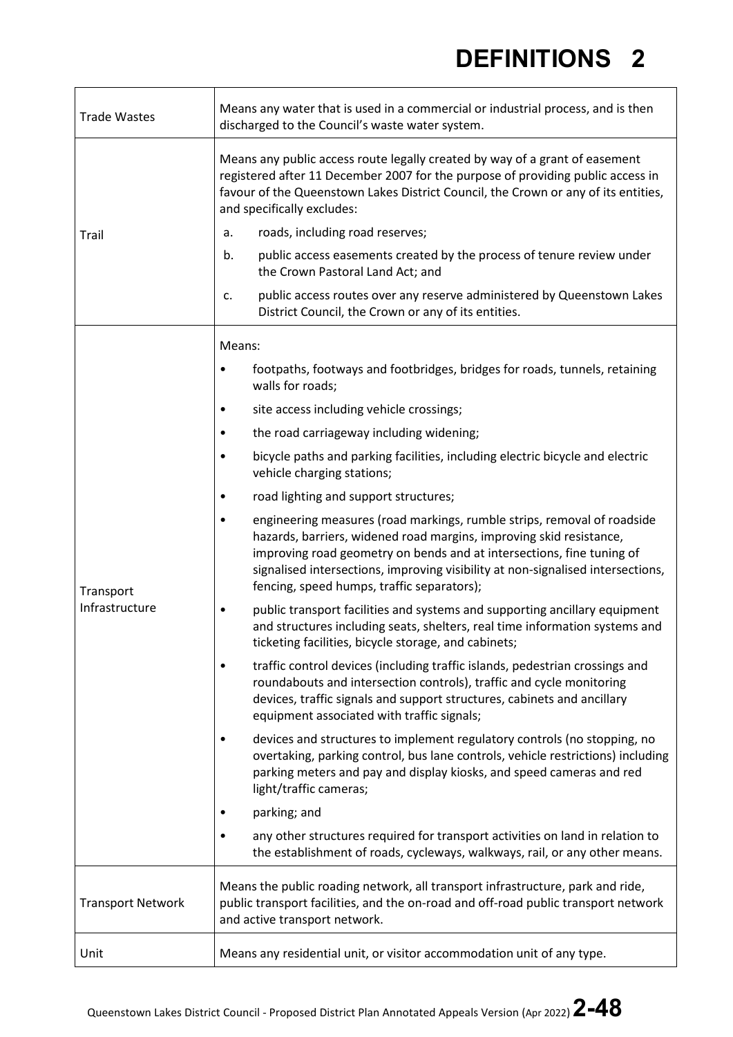| <b>Trade Wastes</b>         | Means any water that is used in a commercial or industrial process, and is then<br>discharged to the Council's waste water system.                                                                                                                                                                                                                                    |  |  |  |
|-----------------------------|-----------------------------------------------------------------------------------------------------------------------------------------------------------------------------------------------------------------------------------------------------------------------------------------------------------------------------------------------------------------------|--|--|--|
|                             | Means any public access route legally created by way of a grant of easement<br>registered after 11 December 2007 for the purpose of providing public access in<br>favour of the Queenstown Lakes District Council, the Crown or any of its entities,<br>and specifically excludes:                                                                                    |  |  |  |
| Trail                       | roads, including road reserves;<br>a.                                                                                                                                                                                                                                                                                                                                 |  |  |  |
|                             | public access easements created by the process of tenure review under<br>b.<br>the Crown Pastoral Land Act; and                                                                                                                                                                                                                                                       |  |  |  |
|                             | public access routes over any reserve administered by Queenstown Lakes<br>c.<br>District Council, the Crown or any of its entities.                                                                                                                                                                                                                                   |  |  |  |
|                             | Means:                                                                                                                                                                                                                                                                                                                                                                |  |  |  |
|                             | footpaths, footways and footbridges, bridges for roads, tunnels, retaining<br>٠<br>walls for roads;                                                                                                                                                                                                                                                                   |  |  |  |
|                             | site access including vehicle crossings;                                                                                                                                                                                                                                                                                                                              |  |  |  |
|                             | the road carriageway including widening;<br>$\bullet$                                                                                                                                                                                                                                                                                                                 |  |  |  |
|                             | bicycle paths and parking facilities, including electric bicycle and electric<br>٠<br>vehicle charging stations;                                                                                                                                                                                                                                                      |  |  |  |
|                             | road lighting and support structures;<br>٠                                                                                                                                                                                                                                                                                                                            |  |  |  |
| Transport<br>Infrastructure | engineering measures (road markings, rumble strips, removal of roadside<br>$\bullet$<br>hazards, barriers, widened road margins, improving skid resistance,<br>improving road geometry on bends and at intersections, fine tuning of<br>signalised intersections, improving visibility at non-signalised intersections,<br>fencing, speed humps, traffic separators); |  |  |  |
|                             | public transport facilities and systems and supporting ancillary equipment<br>٠<br>and structures including seats, shelters, real time information systems and<br>ticketing facilities, bicycle storage, and cabinets;                                                                                                                                                |  |  |  |
|                             | traffic control devices (including traffic islands, pedestrian crossings and<br>$\bullet$<br>roundabouts and intersection controls), traffic and cycle monitoring<br>devices, traffic signals and support structures, cabinets and ancillary<br>equipment associated with traffic signals;                                                                            |  |  |  |
|                             | devices and structures to implement regulatory controls (no stopping, no<br>٠<br>overtaking, parking control, bus lane controls, vehicle restrictions) including<br>parking meters and pay and display kiosks, and speed cameras and red<br>light/traffic cameras;                                                                                                    |  |  |  |
|                             | parking; and                                                                                                                                                                                                                                                                                                                                                          |  |  |  |
|                             | any other structures required for transport activities on land in relation to<br>٠<br>the establishment of roads, cycleways, walkways, rail, or any other means.                                                                                                                                                                                                      |  |  |  |
| <b>Transport Network</b>    | Means the public roading network, all transport infrastructure, park and ride,<br>public transport facilities, and the on-road and off-road public transport network<br>and active transport network.                                                                                                                                                                 |  |  |  |
| Unit                        | Means any residential unit, or visitor accommodation unit of any type.                                                                                                                                                                                                                                                                                                |  |  |  |

 $\Gamma$ 

 $\mathbf{\overline{1}}$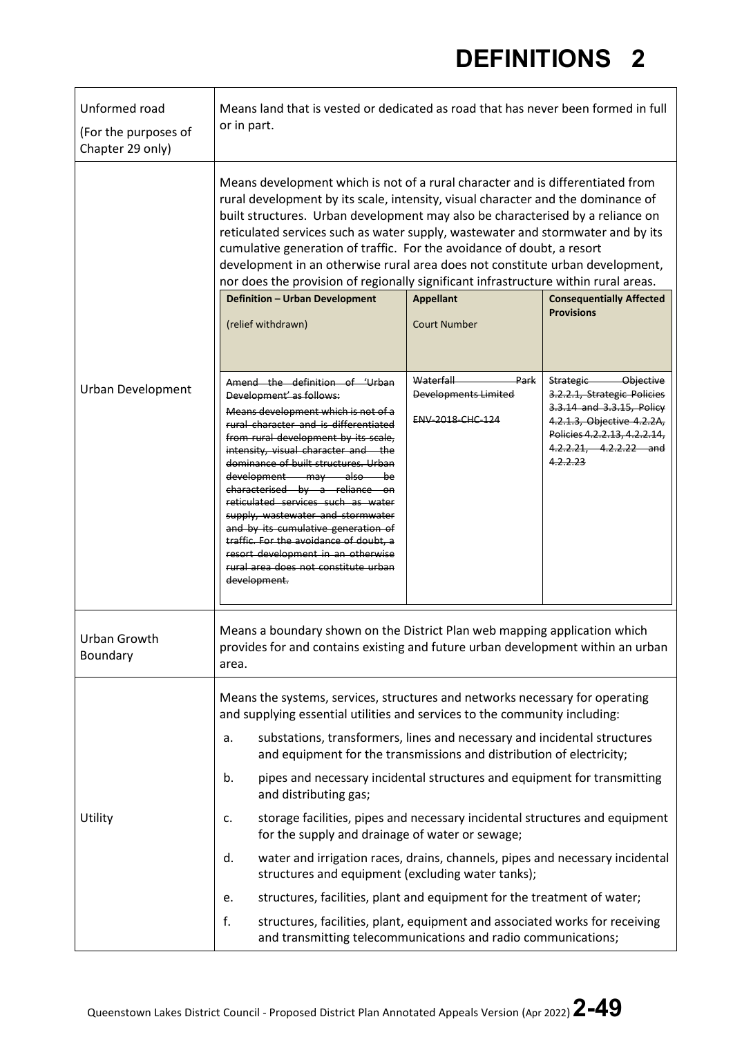| Unformed road<br>(For the purposes of<br>Chapter 29 only) | Means land that is vested or dedicated as road that has never been formed in full<br>or in part.                                                                                                                                                                                                                                                                                                                                                                                                                                                                                          |                                                                      |                                                                                                                                                                                        |  |
|-----------------------------------------------------------|-------------------------------------------------------------------------------------------------------------------------------------------------------------------------------------------------------------------------------------------------------------------------------------------------------------------------------------------------------------------------------------------------------------------------------------------------------------------------------------------------------------------------------------------------------------------------------------------|----------------------------------------------------------------------|----------------------------------------------------------------------------------------------------------------------------------------------------------------------------------------|--|
|                                                           | Means development which is not of a rural character and is differentiated from<br>rural development by its scale, intensity, visual character and the dominance of<br>built structures. Urban development may also be characterised by a reliance on<br>reticulated services such as water supply, wastewater and stormwater and by its<br>cumulative generation of traffic. For the avoidance of doubt, a resort<br>development in an otherwise rural area does not constitute urban development,<br>nor does the provision of regionally significant infrastructure within rural areas. |                                                                      |                                                                                                                                                                                        |  |
|                                                           | <b>Definition - Urban Development</b><br>(relief withdrawn)                                                                                                                                                                                                                                                                                                                                                                                                                                                                                                                               | <b>Appellant</b><br><b>Court Number</b>                              | <b>Consequentially Affected</b><br><b>Provisions</b>                                                                                                                                   |  |
|                                                           |                                                                                                                                                                                                                                                                                                                                                                                                                                                                                                                                                                                           |                                                                      |                                                                                                                                                                                        |  |
| <b>Urban Development</b>                                  | Amend the definition of 'Urban<br>Development' as follows:<br>Means development which is not of a<br>rural character and is differentiated<br>from rural development by its scale,<br>intensity, visual character and the<br>dominance of built structures. Urban<br>development may also be<br>characterised by a reliance on<br>reticulated services such as water<br>supply, wastewater and stormwater<br>and by its cumulative generation of<br>traffic. For the avoidance of doubt, a<br>resort development in an otherwise<br>rural area does not constitute urban<br>development.  | Waterfall<br>Park<br><b>Developments Limited</b><br>ENV-2018-CHC-124 | Strategic Objective<br>3.2.2.1, Strategic Policies<br>3.3.14 and 3.3.15, Policy<br>4.2.1.3, Objective 4.2.2A,<br>Policies 4.2.2.13, 4.2.2.14,<br>4.2.2.21, 4.2.2.22 and<br>4, 2, 2, 23 |  |
| Urban Growth<br>Boundary                                  | Means a boundary shown on the District Plan web mapping application which<br>provides for and contains existing and future urban development within an urban<br>area.                                                                                                                                                                                                                                                                                                                                                                                                                     |                                                                      |                                                                                                                                                                                        |  |
| Utility                                                   | Means the systems, services, structures and networks necessary for operating<br>and supplying essential utilities and services to the community including:<br>substations, transformers, lines and necessary and incidental structures<br>a.<br>and equipment for the transmissions and distribution of electricity;<br>pipes and necessary incidental structures and equipment for transmitting<br>b.<br>and distributing gas;<br>storage facilities, pipes and necessary incidental structures and equipment<br>c.                                                                      |                                                                      |                                                                                                                                                                                        |  |
|                                                           | for the supply and drainage of water or sewage;<br>d.<br>water and irrigation races, drains, channels, pipes and necessary incidental                                                                                                                                                                                                                                                                                                                                                                                                                                                     |                                                                      |                                                                                                                                                                                        |  |
|                                                           | structures and equipment (excluding water tanks);<br>structures, facilities, plant and equipment for the treatment of water;<br>e.                                                                                                                                                                                                                                                                                                                                                                                                                                                        |                                                                      |                                                                                                                                                                                        |  |
|                                                           | f.<br>structures, facilities, plant, equipment and associated works for receiving<br>and transmitting telecommunications and radio communications;                                                                                                                                                                                                                                                                                                                                                                                                                                        |                                                                      |                                                                                                                                                                                        |  |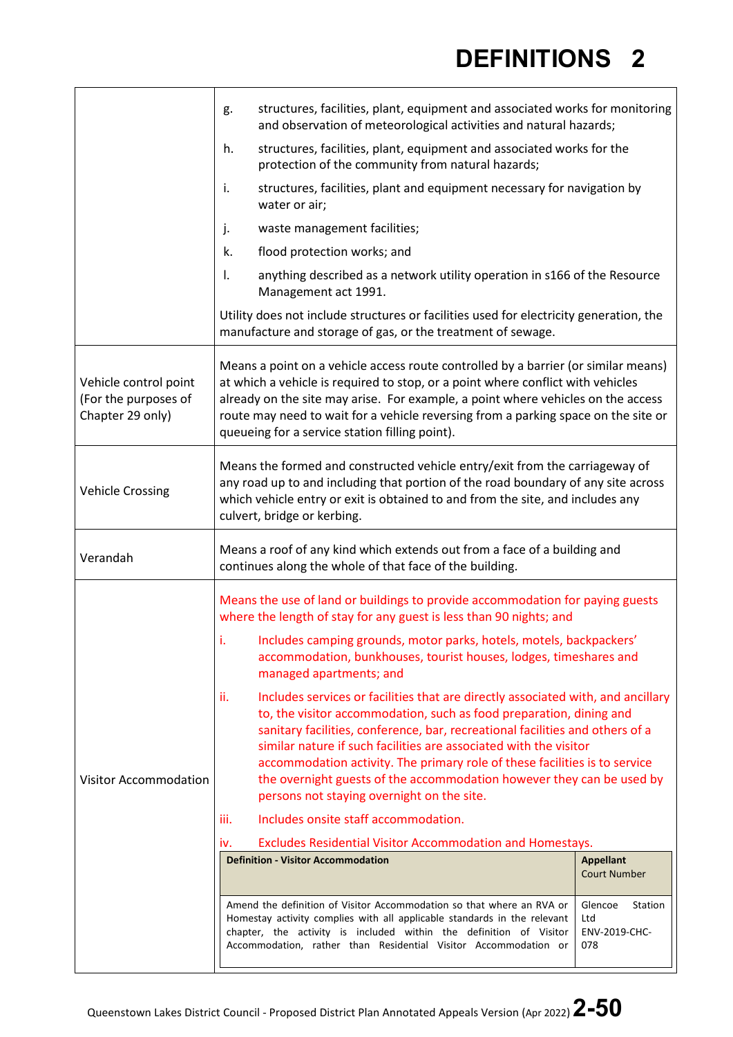|                                                                   | structures, facilities, plant, equipment and associated works for monitoring<br>g.<br>and observation of meteorological activities and natural hazards;                                                                                                                                                                                                                                                                                                                                                                   |                                                   |  |  |
|-------------------------------------------------------------------|---------------------------------------------------------------------------------------------------------------------------------------------------------------------------------------------------------------------------------------------------------------------------------------------------------------------------------------------------------------------------------------------------------------------------------------------------------------------------------------------------------------------------|---------------------------------------------------|--|--|
|                                                                   | structures, facilities, plant, equipment and associated works for the<br>h.<br>protection of the community from natural hazards;                                                                                                                                                                                                                                                                                                                                                                                          |                                                   |  |  |
|                                                                   | structures, facilities, plant and equipment necessary for navigation by<br>i.<br>water or air;                                                                                                                                                                                                                                                                                                                                                                                                                            |                                                   |  |  |
|                                                                   | waste management facilities;<br>j.                                                                                                                                                                                                                                                                                                                                                                                                                                                                                        |                                                   |  |  |
|                                                                   | k.<br>flood protection works; and                                                                                                                                                                                                                                                                                                                                                                                                                                                                                         |                                                   |  |  |
|                                                                   | anything described as a network utility operation in s166 of the Resource<br>Ι.<br>Management act 1991.                                                                                                                                                                                                                                                                                                                                                                                                                   |                                                   |  |  |
|                                                                   | Utility does not include structures or facilities used for electricity generation, the<br>manufacture and storage of gas, or the treatment of sewage.                                                                                                                                                                                                                                                                                                                                                                     |                                                   |  |  |
| Vehicle control point<br>(For the purposes of<br>Chapter 29 only) | Means a point on a vehicle access route controlled by a barrier (or similar means)<br>at which a vehicle is required to stop, or a point where conflict with vehicles<br>already on the site may arise. For example, a point where vehicles on the access<br>route may need to wait for a vehicle reversing from a parking space on the site or<br>queueing for a service station filling point).                                                                                                                         |                                                   |  |  |
| <b>Vehicle Crossing</b>                                           | Means the formed and constructed vehicle entry/exit from the carriageway of<br>any road up to and including that portion of the road boundary of any site across<br>which vehicle entry or exit is obtained to and from the site, and includes any<br>culvert, bridge or kerbing.                                                                                                                                                                                                                                         |                                                   |  |  |
| Verandah                                                          | Means a roof of any kind which extends out from a face of a building and<br>continues along the whole of that face of the building.                                                                                                                                                                                                                                                                                                                                                                                       |                                                   |  |  |
|                                                                   | Means the use of land or buildings to provide accommodation for paying guests<br>where the length of stay for any guest is less than 90 nights; and                                                                                                                                                                                                                                                                                                                                                                       |                                                   |  |  |
|                                                                   | Includes camping grounds, motor parks, hotels, motels, backpackers'<br>accommodation, bunkhouses, tourist houses, lodges, timeshares and<br>managed apartments; and                                                                                                                                                                                                                                                                                                                                                       |                                                   |  |  |
| <b>Visitor Accommodation</b>                                      | ii.<br>Includes services or facilities that are directly associated with, and ancillary<br>to, the visitor accommodation, such as food preparation, dining and<br>sanitary facilities, conference, bar, recreational facilities and others of a<br>similar nature if such facilities are associated with the visitor<br>accommodation activity. The primary role of these facilities is to service<br>the overnight guests of the accommodation however they can be used by<br>persons not staying overnight on the site. |                                                   |  |  |
|                                                                   | Includes onsite staff accommodation.<br>iii.                                                                                                                                                                                                                                                                                                                                                                                                                                                                              |                                                   |  |  |
|                                                                   | Excludes Residential Visitor Accommodation and Homestays.<br>iv.                                                                                                                                                                                                                                                                                                                                                                                                                                                          |                                                   |  |  |
|                                                                   | <b>Definition - Visitor Accommodation</b>                                                                                                                                                                                                                                                                                                                                                                                                                                                                                 | <b>Appellant</b><br><b>Court Number</b>           |  |  |
|                                                                   | Amend the definition of Visitor Accommodation so that where an RVA or<br>Homestay activity complies with all applicable standards in the relevant<br>chapter, the activity is included within the definition of Visitor<br>Accommodation, rather than Residential Visitor Accommodation or                                                                                                                                                                                                                                | Glencoe<br>Station<br>Ltd<br>ENV-2019-CHC-<br>078 |  |  |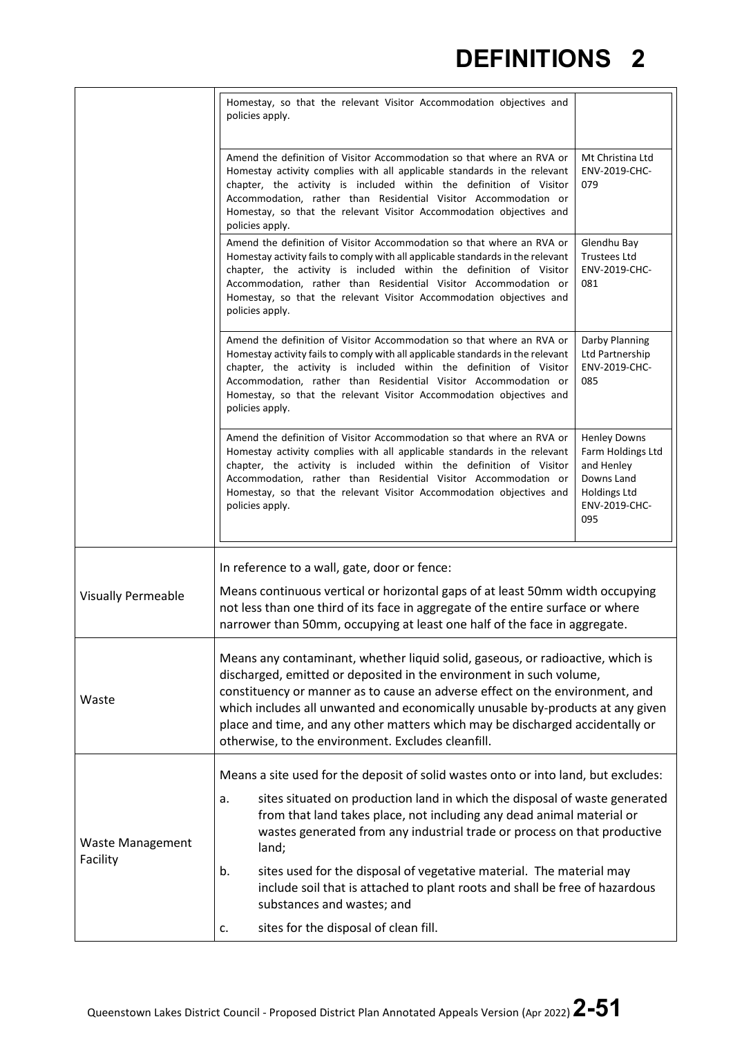|                                     | Homestay, so that the relevant Visitor Accommodation objectives and<br>policies apply.                                                                                                                                                                                                                                                                                                                                                                         |                                                                                                                     |
|-------------------------------------|----------------------------------------------------------------------------------------------------------------------------------------------------------------------------------------------------------------------------------------------------------------------------------------------------------------------------------------------------------------------------------------------------------------------------------------------------------------|---------------------------------------------------------------------------------------------------------------------|
|                                     | Amend the definition of Visitor Accommodation so that where an RVA or<br>Homestay activity complies with all applicable standards in the relevant<br>chapter, the activity is included within the definition of Visitor<br>Accommodation, rather than Residential Visitor Accommodation or<br>Homestay, so that the relevant Visitor Accommodation objectives and<br>policies apply.                                                                           | Mt Christina Ltd<br>ENV-2019-CHC-<br>079                                                                            |
|                                     | Amend the definition of Visitor Accommodation so that where an RVA or<br>Homestay activity fails to comply with all applicable standards in the relevant<br>chapter, the activity is included within the definition of Visitor<br>Accommodation, rather than Residential Visitor Accommodation or<br>Homestay, so that the relevant Visitor Accommodation objectives and<br>policies apply.                                                                    | Glendhu Bay<br><b>Trustees Ltd</b><br>ENV-2019-CHC-<br>081                                                          |
|                                     | Amend the definition of Visitor Accommodation so that where an RVA or<br>Homestay activity fails to comply with all applicable standards in the relevant<br>chapter, the activity is included within the definition of Visitor<br>Accommodation, rather than Residential Visitor Accommodation or<br>Homestay, so that the relevant Visitor Accommodation objectives and<br>policies apply.                                                                    | Darby Planning<br>Ltd Partnership<br>ENV-2019-CHC-<br>085                                                           |
|                                     | Amend the definition of Visitor Accommodation so that where an RVA or<br>Homestay activity complies with all applicable standards in the relevant<br>chapter, the activity is included within the definition of Visitor<br>Accommodation, rather than Residential Visitor Accommodation or<br>Homestay, so that the relevant Visitor Accommodation objectives and<br>policies apply.                                                                           | <b>Henley Downs</b><br>Farm Holdings Ltd<br>and Henley<br>Downs Land<br><b>Holdings Ltd</b><br>ENV-2019-CHC-<br>095 |
| <b>Visually Permeable</b>           | In reference to a wall, gate, door or fence:<br>Means continuous vertical or horizontal gaps of at least 50mm width occupying<br>not less than one third of its face in aggregate of the entire surface or where<br>narrower than 50mm, occupying at least one half of the face in aggregate.                                                                                                                                                                  |                                                                                                                     |
| Waste                               | Means any contaminant, whether liquid solid, gaseous, or radioactive, which is<br>discharged, emitted or deposited in the environment in such volume,<br>constituency or manner as to cause an adverse effect on the environment, and<br>which includes all unwanted and economically unusable by-products at any given<br>place and time, and any other matters which may be discharged accidentally or<br>otherwise, to the environment. Excludes cleanfill. |                                                                                                                     |
| <b>Waste Management</b><br>Facility | Means a site used for the deposit of solid wastes onto or into land, but excludes:<br>sites situated on production land in which the disposal of waste generated<br>a.<br>from that land takes place, not including any dead animal material or<br>wastes generated from any industrial trade or process on that productive<br>land;                                                                                                                           |                                                                                                                     |
|                                     | b.<br>sites used for the disposal of vegetative material. The material may<br>include soil that is attached to plant roots and shall be free of hazardous<br>substances and wastes; and                                                                                                                                                                                                                                                                        |                                                                                                                     |
|                                     | sites for the disposal of clean fill.<br>c.                                                                                                                                                                                                                                                                                                                                                                                                                    |                                                                                                                     |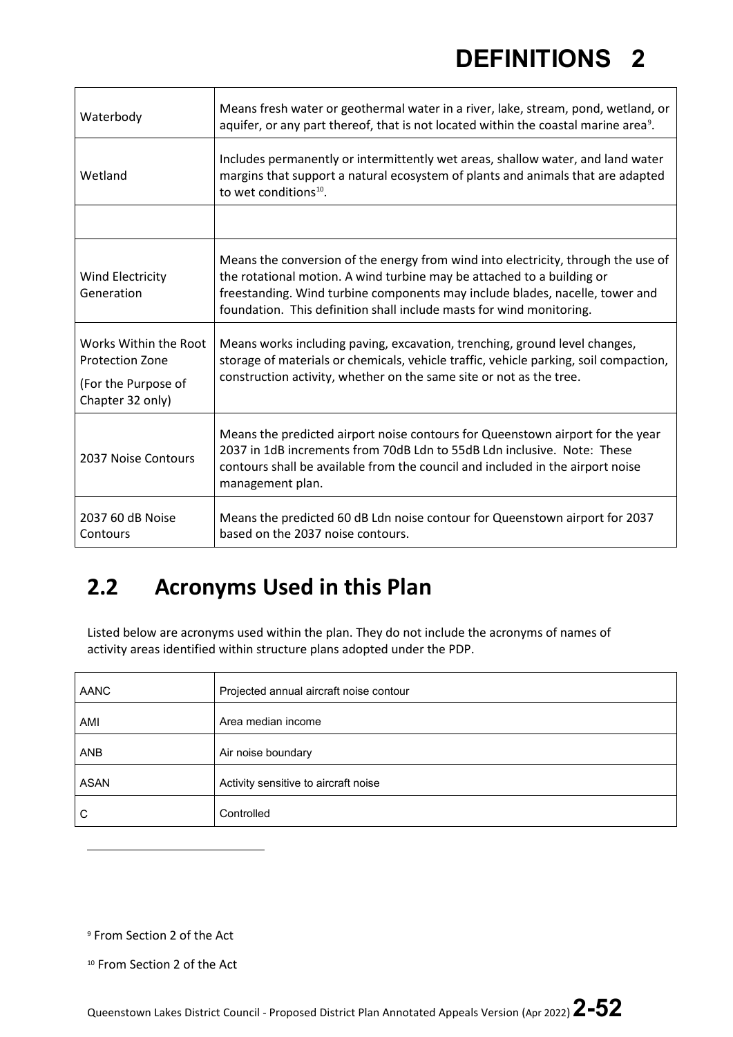| Waterbody                                                                                  | Means fresh water or geothermal water in a river, lake, stream, pond, wetland, or<br>aquifer, or any part thereof, that is not located within the coastal marine area <sup>9</sup> .                                                                                                                                |
|--------------------------------------------------------------------------------------------|---------------------------------------------------------------------------------------------------------------------------------------------------------------------------------------------------------------------------------------------------------------------------------------------------------------------|
| Wetland                                                                                    | Includes permanently or intermittently wet areas, shallow water, and land water<br>margins that support a natural ecosystem of plants and animals that are adapted<br>to wet conditions <sup>10</sup> .                                                                                                             |
|                                                                                            |                                                                                                                                                                                                                                                                                                                     |
| Wind Electricity<br>Generation                                                             | Means the conversion of the energy from wind into electricity, through the use of<br>the rotational motion. A wind turbine may be attached to a building or<br>freestanding. Wind turbine components may include blades, nacelle, tower and<br>foundation. This definition shall include masts for wind monitoring. |
| Works Within the Root<br><b>Protection Zone</b><br>(For the Purpose of<br>Chapter 32 only) | Means works including paving, excavation, trenching, ground level changes,<br>storage of materials or chemicals, vehicle traffic, vehicle parking, soil compaction,<br>construction activity, whether on the same site or not as the tree.                                                                          |
| 2037 Noise Contours                                                                        | Means the predicted airport noise contours for Queenstown airport for the year<br>2037 in 1dB increments from 70dB Ldn to 55dB Ldn inclusive. Note: These<br>contours shall be available from the council and included in the airport noise<br>management plan.                                                     |
| 2037 60 dB Noise<br>Contours                                                               | Means the predicted 60 dB Ldn noise contour for Queenstown airport for 2037<br>based on the 2037 noise contours.                                                                                                                                                                                                    |

#### **2.2 Acronyms Used in this Plan**

Listed below are acronyms used within the plan. They do not include the acronyms of names of activity areas identified within structure plans adopted under the PDP.

| AANC        | Projected annual aircraft noise contour |
|-------------|-----------------------------------------|
| AMI         | Area median income                      |
| <b>ANB</b>  | Air noise boundary                      |
| <b>ASAN</b> | Activity sensitive to aircraft noise    |
| C           | Controlled                              |

<span id="page-51-0"></span><sup>9</sup> From Section 2 of the Act

<span id="page-51-1"></span><sup>10</sup> From Section 2 of the Act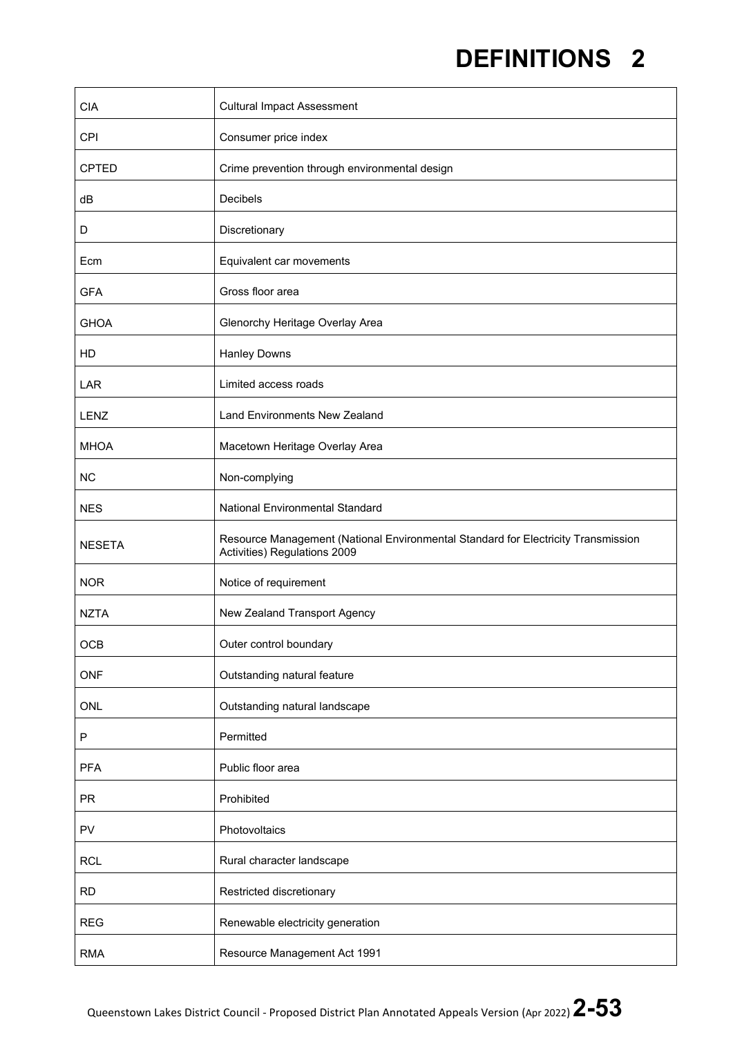| <b>CIA</b>    | <b>Cultural Impact Assessment</b>                                                                                 |
|---------------|-------------------------------------------------------------------------------------------------------------------|
| CPI           | Consumer price index                                                                                              |
| <b>CPTED</b>  | Crime prevention through environmental design                                                                     |
| dB            | Decibels                                                                                                          |
| D             | Discretionary                                                                                                     |
| Ecm           | Equivalent car movements                                                                                          |
| <b>GFA</b>    | Gross floor area                                                                                                  |
| <b>GHOA</b>   | Glenorchy Heritage Overlay Area                                                                                   |
| HD            | <b>Hanley Downs</b>                                                                                               |
| LAR           | Limited access roads                                                                                              |
| LENZ          | <b>Land Environments New Zealand</b>                                                                              |
| <b>MHOA</b>   | Macetown Heritage Overlay Area                                                                                    |
| <b>NC</b>     | Non-complying                                                                                                     |
| <b>NES</b>    | National Environmental Standard                                                                                   |
| <b>NESETA</b> | Resource Management (National Environmental Standard for Electricity Transmission<br>Activities) Regulations 2009 |
| <b>NOR</b>    | Notice of requirement                                                                                             |
| <b>NZTA</b>   | New Zealand Transport Agency                                                                                      |
| OCB           | Outer control boundary                                                                                            |
| ONF           | Outstanding natural feature                                                                                       |
| <b>ONL</b>    | Outstanding natural landscape                                                                                     |
| ${\sf P}$     | Permitted                                                                                                         |
| <b>PFA</b>    | Public floor area                                                                                                 |
| <b>PR</b>     | Prohibited                                                                                                        |
| <b>PV</b>     | Photovoltaics                                                                                                     |
| <b>RCL</b>    | Rural character landscape                                                                                         |
| <b>RD</b>     | Restricted discretionary                                                                                          |
|               |                                                                                                                   |
| <b>REG</b>    | Renewable electricity generation                                                                                  |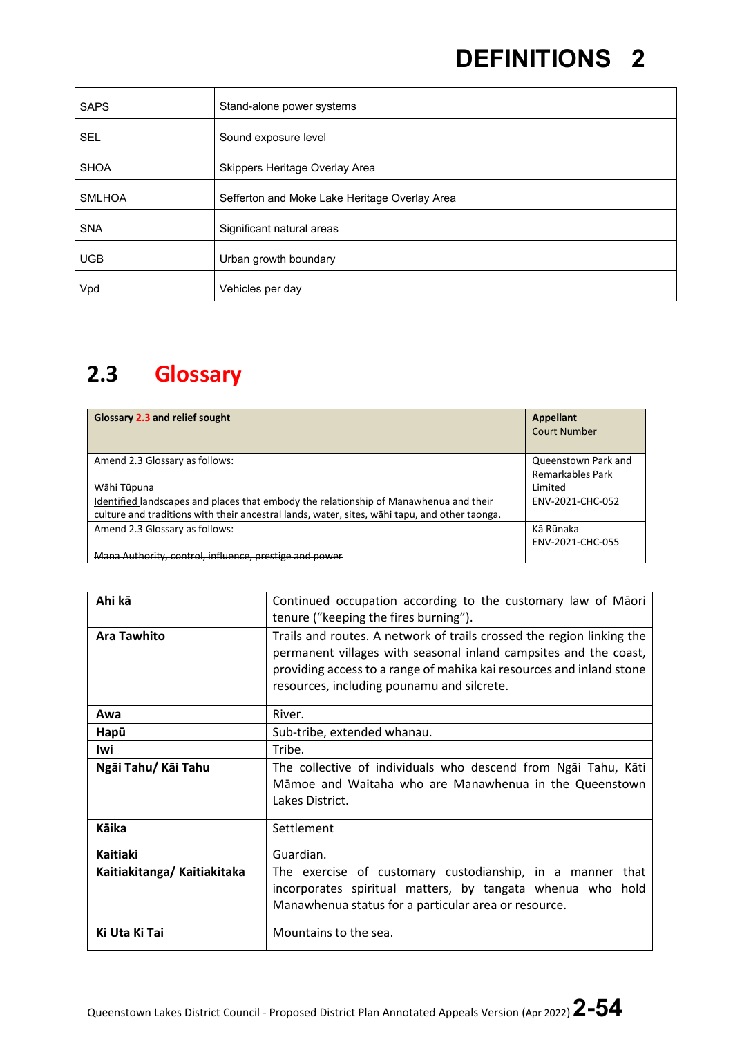| <b>SAPS</b>   | Stand-alone power systems                     |
|---------------|-----------------------------------------------|
| <b>SEL</b>    | Sound exposure level                          |
| <b>SHOA</b>   | Skippers Heritage Overlay Area                |
| <b>SMLHOA</b> | Sefferton and Moke Lake Heritage Overlay Area |
| <b>SNA</b>    | Significant natural areas                     |
| <b>UGB</b>    | Urban growth boundary                         |
| Vpd           | Vehicles per day                              |

#### **2.3 Glossary**

| Glossary 2.3 and relief sought                                                                | <b>Appellant</b><br>Court Number |
|-----------------------------------------------------------------------------------------------|----------------------------------|
| Amend 2.3 Glossary as follows:                                                                | Queenstown Park and              |
|                                                                                               | Remarkables Park                 |
| Wāhi Tūpuna                                                                                   | Limited                          |
| Identified landscapes and places that embody the relationship of Manawhenua and their         | ENV-2021-CHC-052                 |
| culture and traditions with their ancestral lands, water, sites, wahi tapu, and other taonga. |                                  |
| Amend 2.3 Glossary as follows:                                                                | Kā Rūnaka                        |
|                                                                                               | ENV-2021-CHC-055                 |
| Mana Authority, control, influence, prestige and power                                        |                                  |

| Ahi kā                     | Continued occupation according to the customary law of Maori<br>tenure ("keeping the fires burning").                                                                                                                                                           |
|----------------------------|-----------------------------------------------------------------------------------------------------------------------------------------------------------------------------------------------------------------------------------------------------------------|
| <b>Ara Tawhito</b>         | Trails and routes. A network of trails crossed the region linking the<br>permanent villages with seasonal inland campsites and the coast,<br>providing access to a range of mahika kai resources and inland stone<br>resources, including pounamu and silcrete. |
| Awa                        | River.                                                                                                                                                                                                                                                          |
| Hapū                       | Sub-tribe, extended whanau.                                                                                                                                                                                                                                     |
| lwi                        | Tribe.                                                                                                                                                                                                                                                          |
| Ngāi Tahu/ Kāi Tahu        | The collective of individuals who descend from Ngai Tahu, Kati<br>Māmoe and Waitaha who are Manawhenua in the Queenstown<br>Lakes District.                                                                                                                     |
| Kāika                      | Settlement                                                                                                                                                                                                                                                      |
| Kaitiaki                   | Guardian.                                                                                                                                                                                                                                                       |
| Kaitiakitanga/Kaitiakitaka | The exercise of customary custodianship, in a manner<br>that<br>incorporates spiritual matters, by tangata whenua who hold<br>Manawhenua status for a particular area or resource.                                                                              |
| Ki Uta Ki Tai              | Mountains to the sea.                                                                                                                                                                                                                                           |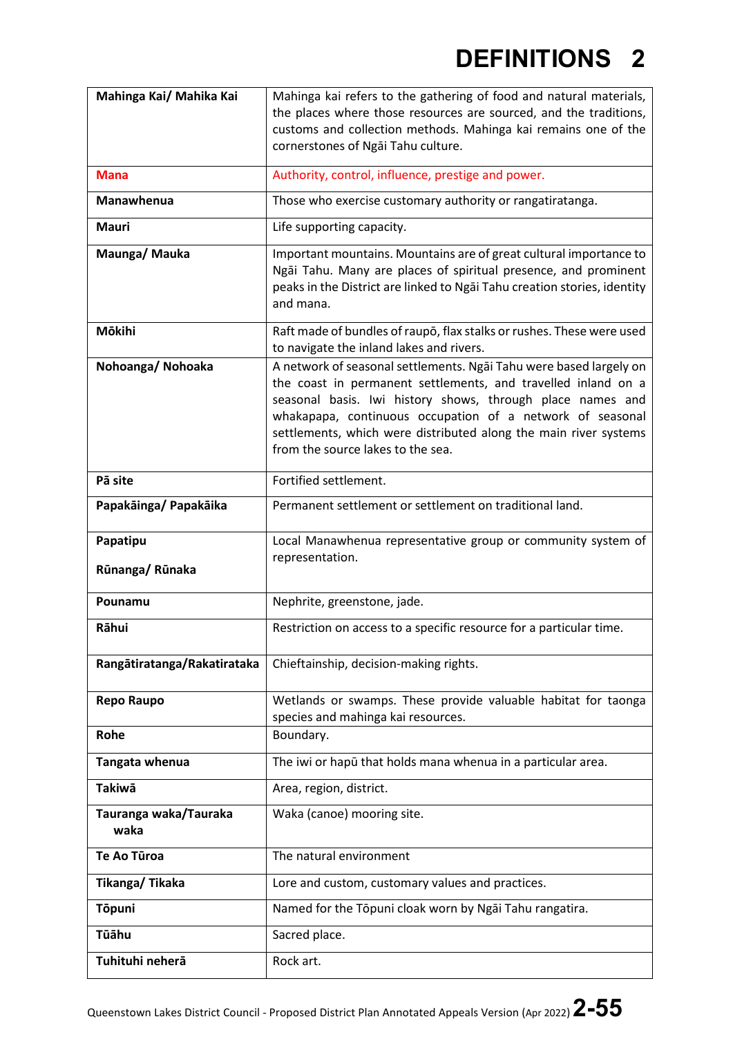| Mahinga Kai/ Mahika Kai       | Mahinga kai refers to the gathering of food and natural materials,<br>the places where those resources are sourced, and the traditions,<br>customs and collection methods. Mahinga kai remains one of the<br>cornerstones of Ngai Tahu culture.                                                                                                                         |
|-------------------------------|-------------------------------------------------------------------------------------------------------------------------------------------------------------------------------------------------------------------------------------------------------------------------------------------------------------------------------------------------------------------------|
| <b>Mana</b>                   | Authority, control, influence, prestige and power.                                                                                                                                                                                                                                                                                                                      |
| Manawhenua                    | Those who exercise customary authority or rangatiratanga.                                                                                                                                                                                                                                                                                                               |
| <b>Mauri</b>                  | Life supporting capacity.                                                                                                                                                                                                                                                                                                                                               |
| Maunga/Mauka                  | Important mountains. Mountains are of great cultural importance to<br>Ngai Tahu. Many are places of spiritual presence, and prominent<br>peaks in the District are linked to Ngai Tahu creation stories, identity<br>and mana.                                                                                                                                          |
| Mōkihi                        | Raft made of bundles of raupo, flax stalks or rushes. These were used<br>to navigate the inland lakes and rivers.                                                                                                                                                                                                                                                       |
| Nohoanga/Nohoaka              | A network of seasonal settlements. Ngāi Tahu were based largely on<br>the coast in permanent settlements, and travelled inland on a<br>seasonal basis. Iwi history shows, through place names and<br>whakapapa, continuous occupation of a network of seasonal<br>settlements, which were distributed along the main river systems<br>from the source lakes to the sea. |
| Pā site                       | Fortified settlement.                                                                                                                                                                                                                                                                                                                                                   |
| Papakāinga/ Papakāika         | Permanent settlement or settlement on traditional land.                                                                                                                                                                                                                                                                                                                 |
| Papatipu<br>Rūnanga/Rūnaka    | Local Manawhenua representative group or community system of<br>representation.                                                                                                                                                                                                                                                                                         |
| Pounamu                       | Nephrite, greenstone, jade.                                                                                                                                                                                                                                                                                                                                             |
| Rāhui                         | Restriction on access to a specific resource for a particular time.                                                                                                                                                                                                                                                                                                     |
| Rangātiratanga/Rakatirataka   | Chieftainship, decision-making rights.                                                                                                                                                                                                                                                                                                                                  |
| Repo Raupo                    | Wetlands or swamps. These provide valuable habitat for taonga<br>species and mahinga kai resources.                                                                                                                                                                                                                                                                     |
| Rohe                          | Boundary.                                                                                                                                                                                                                                                                                                                                                               |
|                               |                                                                                                                                                                                                                                                                                                                                                                         |
| Tangata whenua                | The iwi or hapū that holds mana whenua in a particular area.                                                                                                                                                                                                                                                                                                            |
| Takiwā                        | Area, region, district.                                                                                                                                                                                                                                                                                                                                                 |
| Tauranga waka/Tauraka<br>waka | Waka (canoe) mooring site.                                                                                                                                                                                                                                                                                                                                              |
| Te Ao Tūroa                   | The natural environment                                                                                                                                                                                                                                                                                                                                                 |
| Tikanga/Tikaka                | Lore and custom, customary values and practices.                                                                                                                                                                                                                                                                                                                        |
| <b>Tōpuni</b>                 | Named for the Tōpuni cloak worn by Ngai Tahu rangatira.                                                                                                                                                                                                                                                                                                                 |
| Tūāhu                         | Sacred place.                                                                                                                                                                                                                                                                                                                                                           |